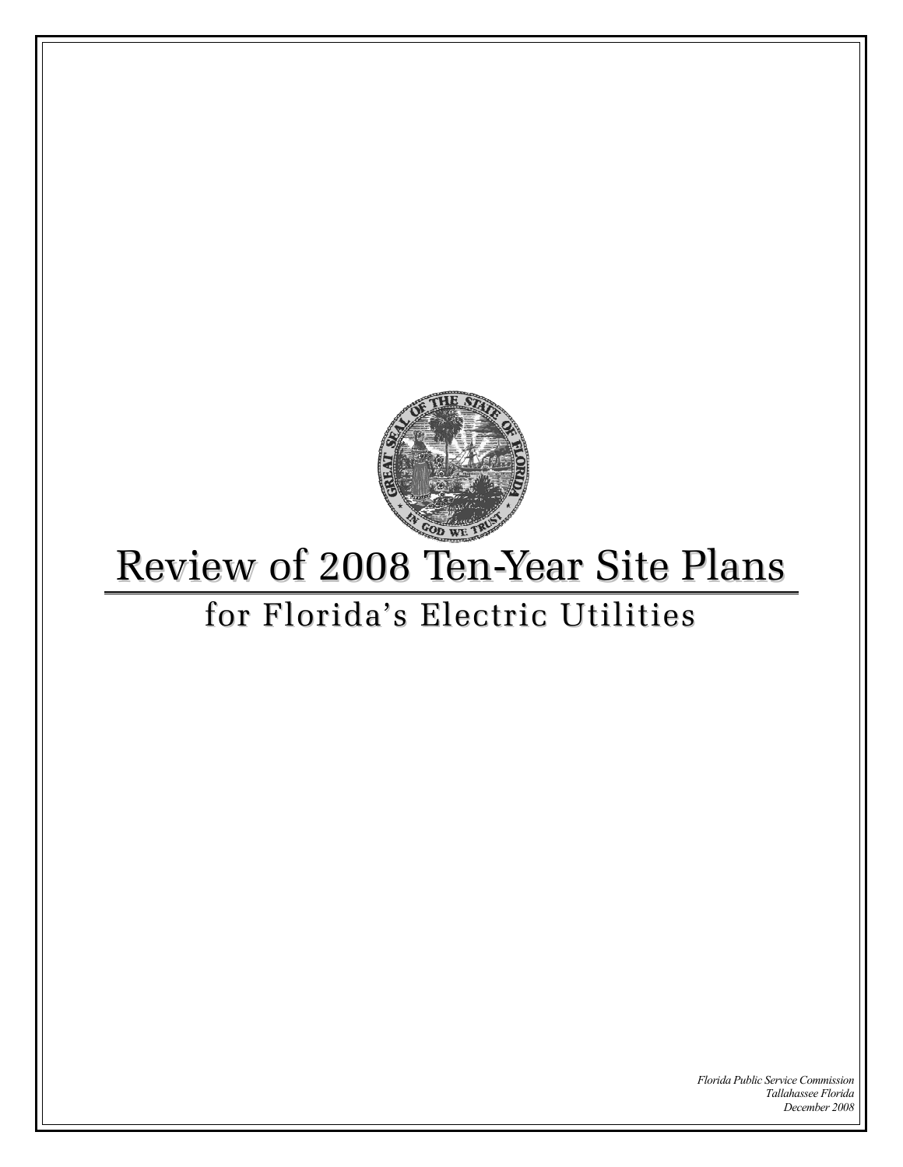

# Review of 2008 Ten-Year Site Plans

## for Florida's Electric Utilities

*Florida Public Service Commission Tallahassee Florida December 2008*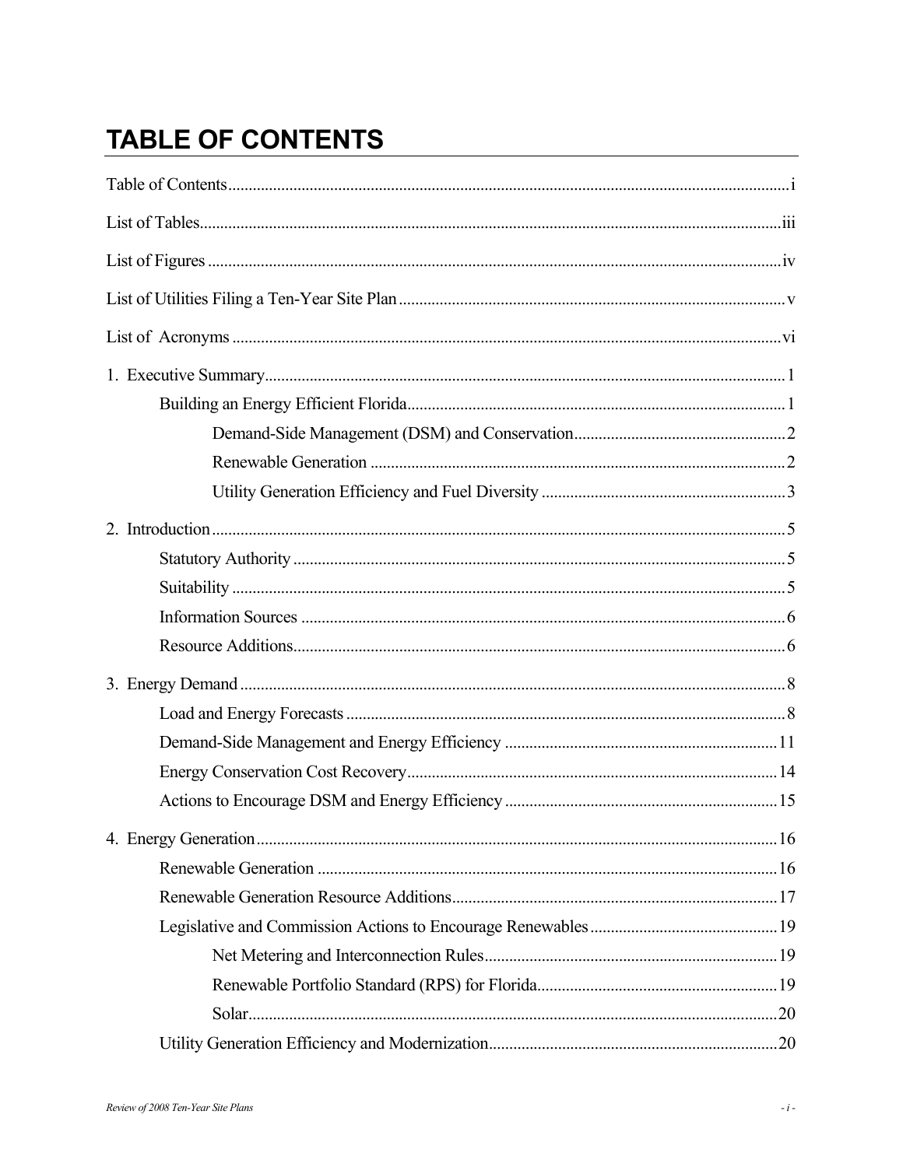## **TABLE OF CONTENTS**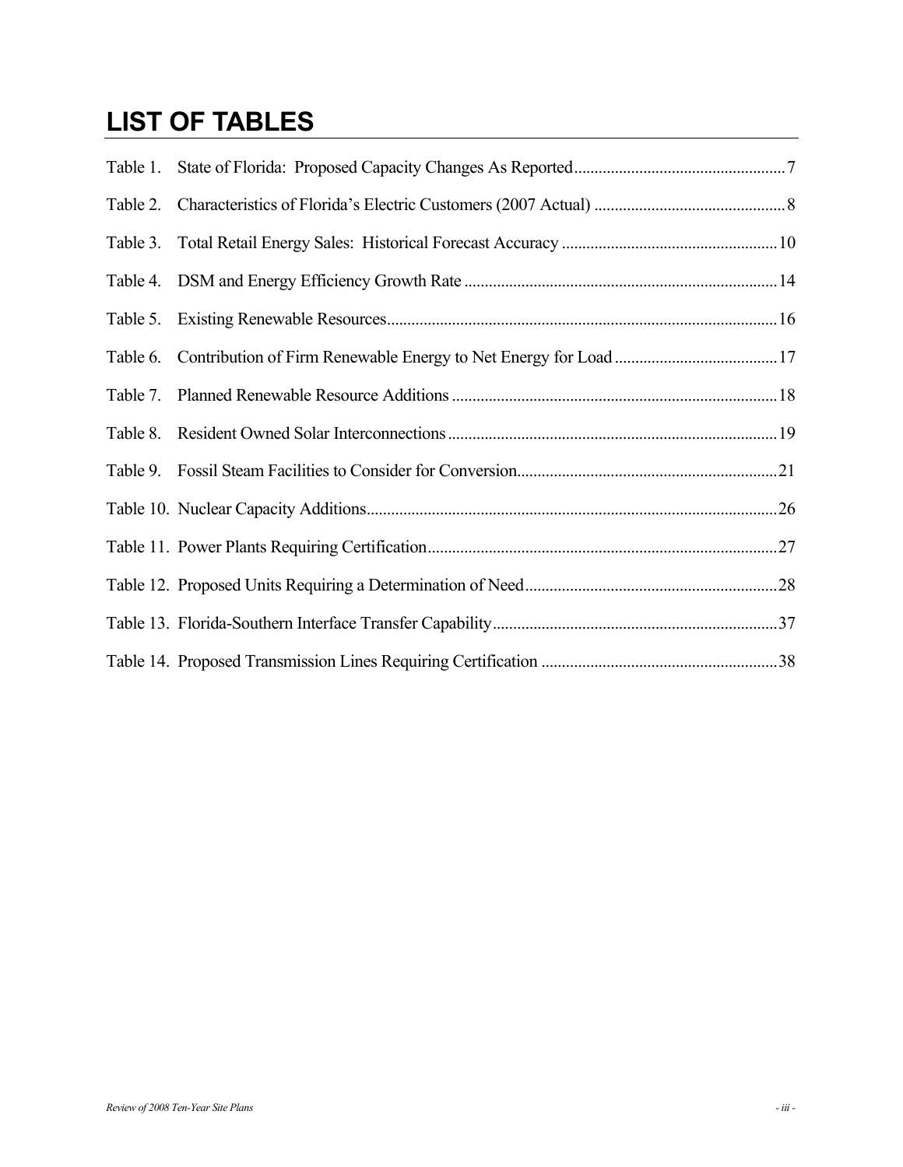## **LIST OF TABLES**

| Table 1. |  |
|----------|--|
| Table 2. |  |
| Table 3. |  |
|          |  |
|          |  |
| Table 6. |  |
| Table 7. |  |
| Table 8. |  |
|          |  |
|          |  |
|          |  |
|          |  |
|          |  |
|          |  |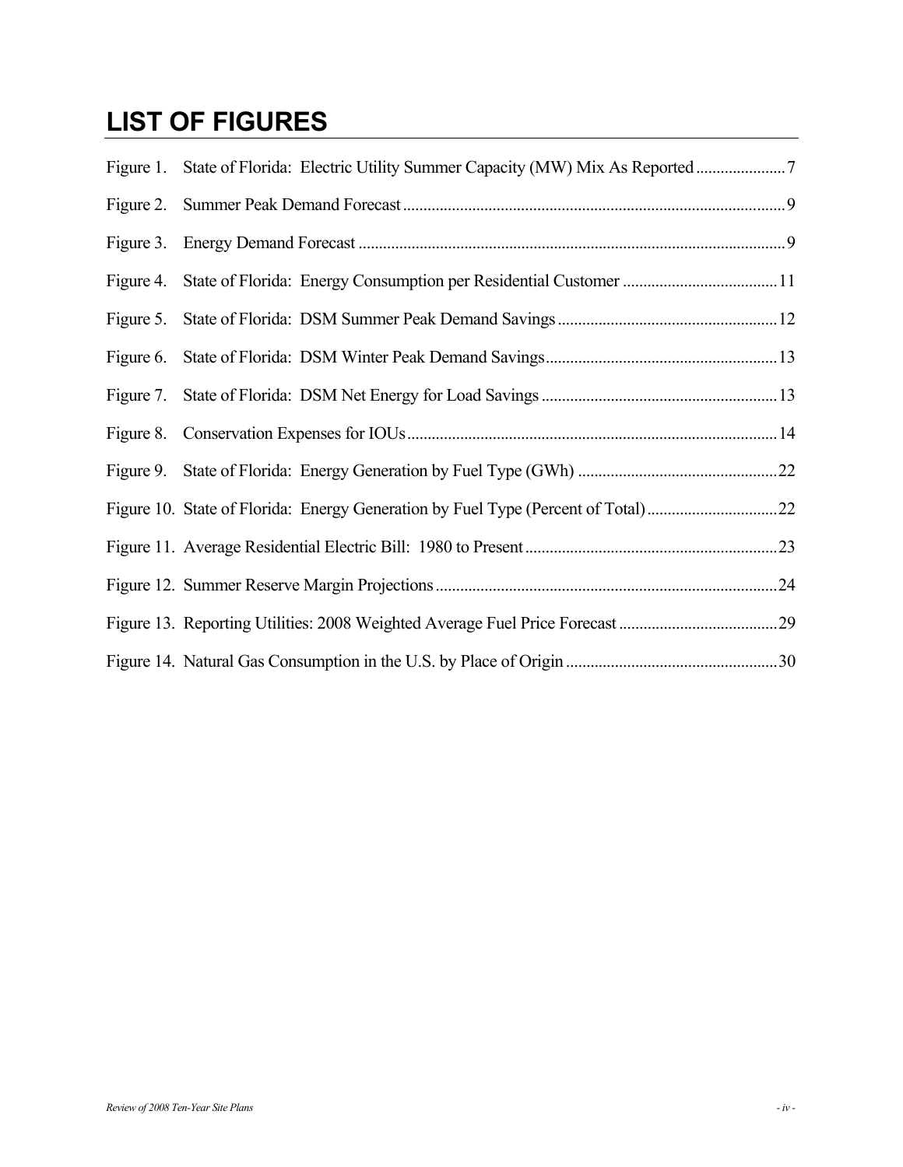## **LIST OF FIGURES**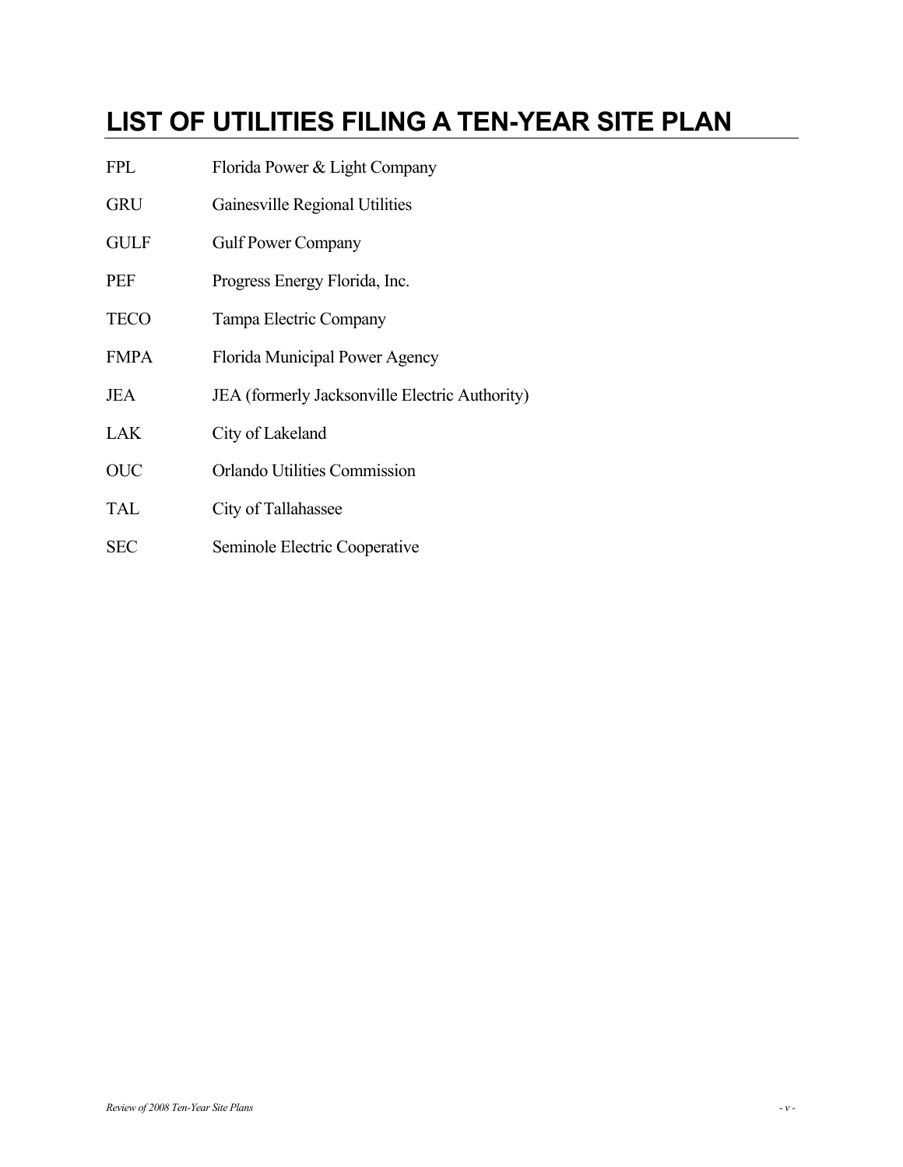## **LIST OF UTILITIES FILING A TEN-YEAR SITE PLAN**

- FPL Florida Power & Light Company
- GRU Gainesville Regional Utilities
- GULF Gulf Power Company
- PEF Progress Energy Florida, Inc.
- TECO Tampa Electric Company
- FMPA Florida Municipal Power Agency
- JEA JEA (formerly Jacksonville Electric Authority)
- LAK City of Lakeland
- OUC Orlando Utilities Commission
- TAL City of Tallahassee
- SEC Seminole Electric Cooperative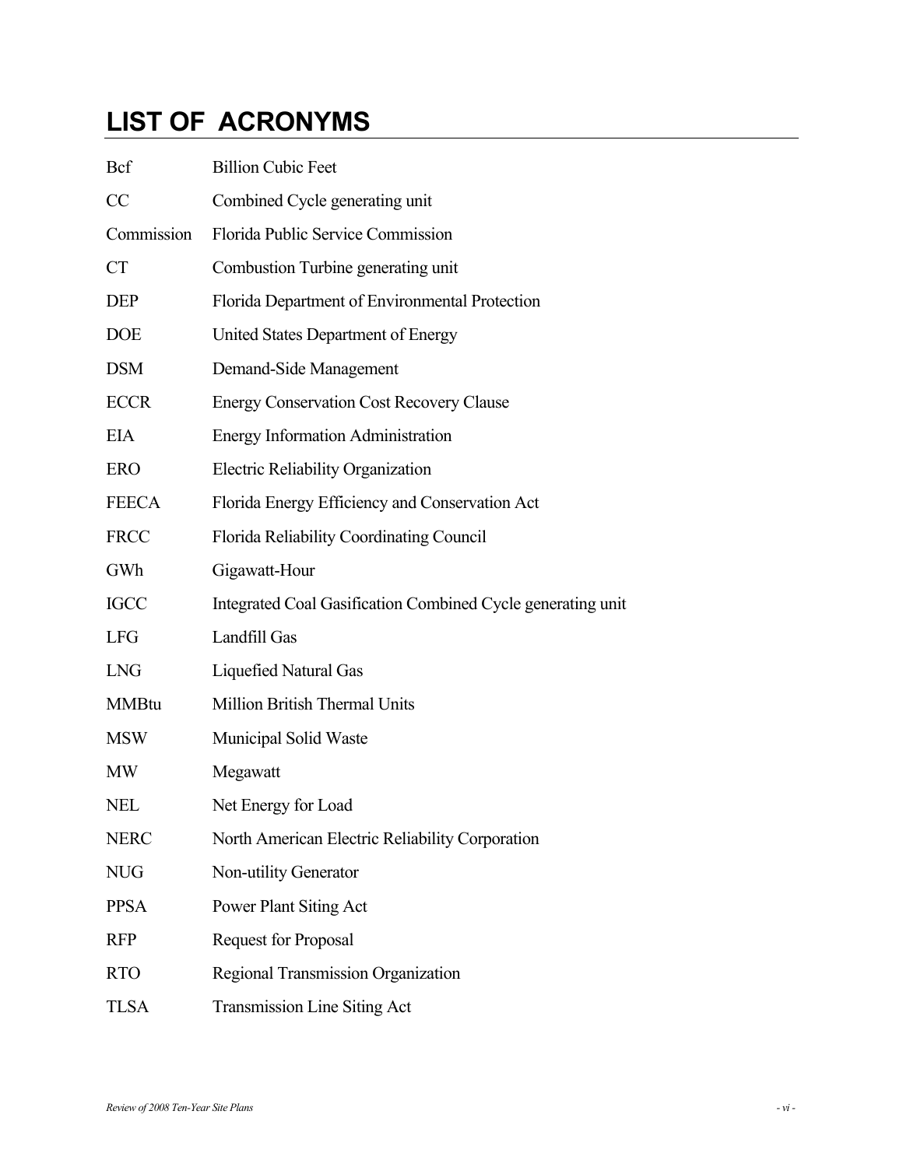## **LIST OF ACRONYMS**

| <b>Bcf</b>   | <b>Billion Cubic Feet</b>                                   |
|--------------|-------------------------------------------------------------|
| CC           | Combined Cycle generating unit                              |
| Commission   | Florida Public Service Commission                           |
| <b>CT</b>    | Combustion Turbine generating unit                          |
| <b>DEP</b>   | Florida Department of Environmental Protection              |
| <b>DOE</b>   | United States Department of Energy                          |
| <b>DSM</b>   | Demand-Side Management                                      |
| <b>ECCR</b>  | <b>Energy Conservation Cost Recovery Clause</b>             |
| <b>EIA</b>   | <b>Energy Information Administration</b>                    |
| <b>ERO</b>   | <b>Electric Reliability Organization</b>                    |
| <b>FEECA</b> | Florida Energy Efficiency and Conservation Act              |
| <b>FRCC</b>  | Florida Reliability Coordinating Council                    |
| GWh          | Gigawatt-Hour                                               |
| <b>IGCC</b>  | Integrated Coal Gasification Combined Cycle generating unit |
| <b>LFG</b>   | Landfill Gas                                                |
| <b>LNG</b>   | <b>Liquefied Natural Gas</b>                                |
| <b>MMBtu</b> | Million British Thermal Units                               |
| <b>MSW</b>   | Municipal Solid Waste                                       |
| <b>MW</b>    | Megawatt                                                    |
| <b>NEL</b>   | Net Energy for Load                                         |
| <b>NERC</b>  | North American Electric Reliability Corporation             |
| <b>NUG</b>   | Non-utility Generator                                       |
| <b>PPSA</b>  | Power Plant Siting Act                                      |
| <b>RFP</b>   | <b>Request for Proposal</b>                                 |
| <b>RTO</b>   | Regional Transmission Organization                          |
| <b>TLSA</b>  | Transmission Line Siting Act                                |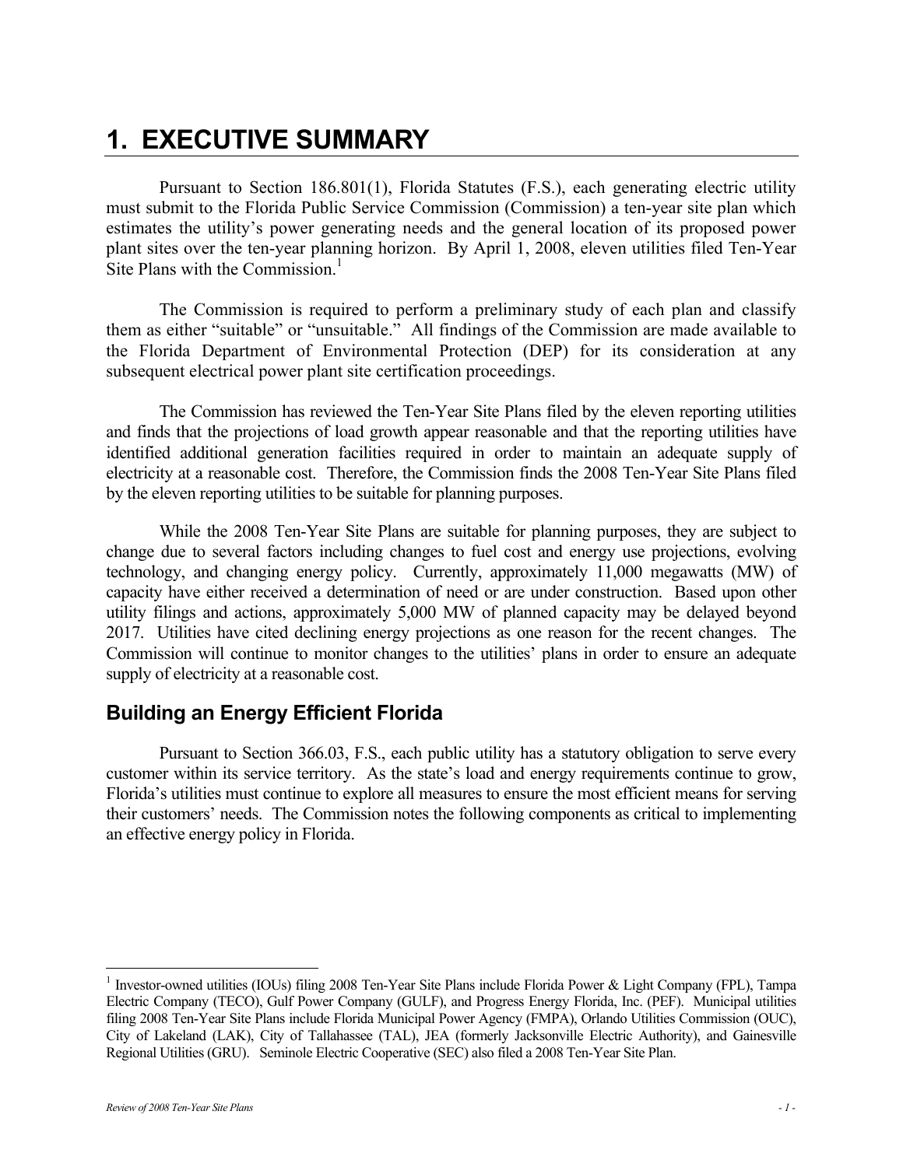## **1. EXECUTIVE SUMMARY**

Pursuant to Section 186.801(1), Florida Statutes (F.S.), each generating electric utility must submit to the Florida Public Service Commission (Commission) a ten-year site plan which estimates the utility's power generating needs and the general location of its proposed power plant sites over the ten-year planning horizon. By April 1, 2008, eleven utilities filed Ten-Year Site Plans with the Commission. $<sup>1</sup>$ </sup>

The Commission is required to perform a preliminary study of each plan and classify them as either "suitable" or "unsuitable." All findings of the Commission are made available to the Florida Department of Environmental Protection (DEP) for its consideration at any subsequent electrical power plant site certification proceedings.

The Commission has reviewed the Ten-Year Site Plans filed by the eleven reporting utilities and finds that the projections of load growth appear reasonable and that the reporting utilities have identified additional generation facilities required in order to maintain an adequate supply of electricity at a reasonable cost. Therefore, the Commission finds the 2008 Ten-Year Site Plans filed by the eleven reporting utilities to be suitable for planning purposes.

While the 2008 Ten-Year Site Plans are suitable for planning purposes, they are subject to change due to several factors including changes to fuel cost and energy use projections, evolving technology, and changing energy policy. Currently, approximately 11,000 megawatts (MW) of capacity have either received a determination of need or are under construction. Based upon other utility filings and actions, approximately 5,000 MW of planned capacity may be delayed beyond 2017. Utilities have cited declining energy projections as one reason for the recent changes. The Commission will continue to monitor changes to the utilities' plans in order to ensure an adequate supply of electricity at a reasonable cost.

## **Building an Energy Efficient Florida**

Pursuant to Section 366.03, F.S., each public utility has a statutory obligation to serve every customer within its service territory. As the state's load and energy requirements continue to grow, Florida's utilities must continue to explore all measures to ensure the most efficient means for serving their customers' needs. The Commission notes the following components as critical to implementing an effective energy policy in Florida.

 $\overline{a}$ 

<sup>&</sup>lt;sup>1</sup> Investor-owned utilities (IOUs) filing 2008 Ten-Year Site Plans include Florida Power & Light Company (FPL), Tampa Electric Company (TECO), Gulf Power Company (GULF), and Progress Energy Florida, Inc. (PEF). Municipal utilities filing 2008 Ten-Year Site Plans include Florida Municipal Power Agency (FMPA), Orlando Utilities Commission (OUC), City of Lakeland (LAK), City of Tallahassee (TAL), JEA (formerly Jacksonville Electric Authority), and Gainesville Regional Utilities (GRU). Seminole Electric Cooperative (SEC) also filed a 2008 Ten-Year Site Plan.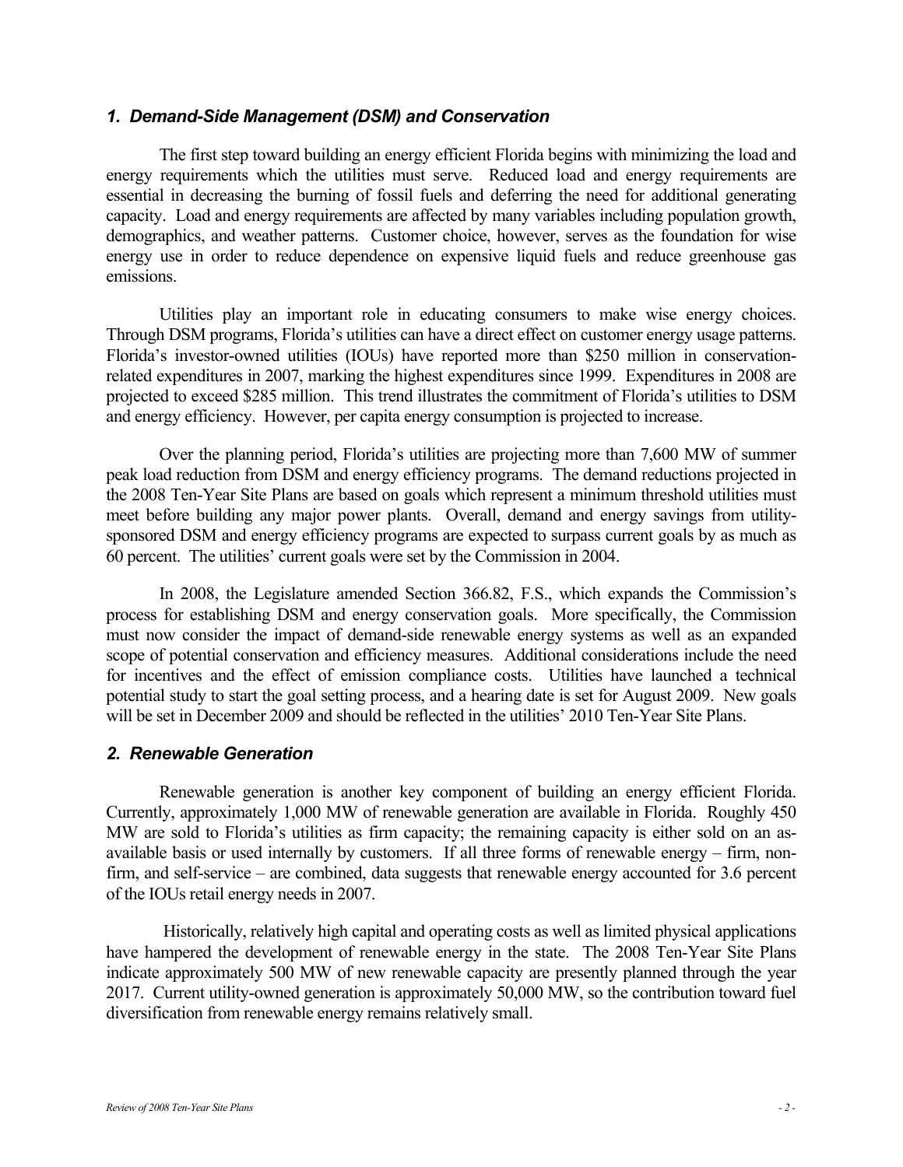#### *1. Demand-Side Management (DSM) and Conservation*

The first step toward building an energy efficient Florida begins with minimizing the load and energy requirements which the utilities must serve. Reduced load and energy requirements are essential in decreasing the burning of fossil fuels and deferring the need for additional generating capacity. Load and energy requirements are affected by many variables including population growth, demographics, and weather patterns. Customer choice, however, serves as the foundation for wise energy use in order to reduce dependence on expensive liquid fuels and reduce greenhouse gas emissions.

Utilities play an important role in educating consumers to make wise energy choices. Through DSM programs, Florida's utilities can have a direct effect on customer energy usage patterns. Florida's investor-owned utilities (IOUs) have reported more than \$250 million in conservationrelated expenditures in 2007, marking the highest expenditures since 1999. Expenditures in 2008 are projected to exceed \$285 million. This trend illustrates the commitment of Florida's utilities to DSM and energy efficiency. However, per capita energy consumption is projected to increase.

Over the planning period, Florida's utilities are projecting more than 7,600 MW of summer peak load reduction from DSM and energy efficiency programs. The demand reductions projected in the 2008 Ten-Year Site Plans are based on goals which represent a minimum threshold utilities must meet before building any major power plants. Overall, demand and energy savings from utilitysponsored DSM and energy efficiency programs are expected to surpass current goals by as much as 60 percent. The utilities' current goals were set by the Commission in 2004.

In 2008, the Legislature amended Section 366.82, F.S., which expands the Commission's process for establishing DSM and energy conservation goals. More specifically, the Commission must now consider the impact of demand-side renewable energy systems as well as an expanded scope of potential conservation and efficiency measures. Additional considerations include the need for incentives and the effect of emission compliance costs. Utilities have launched a technical potential study to start the goal setting process, and a hearing date is set for August 2009. New goals will be set in December 2009 and should be reflected in the utilities' 2010 Ten-Year Site Plans.

#### *2. Renewable Generation*

Renewable generation is another key component of building an energy efficient Florida. Currently, approximately 1,000 MW of renewable generation are available in Florida. Roughly 450 MW are sold to Florida's utilities as firm capacity; the remaining capacity is either sold on an asavailable basis or used internally by customers. If all three forms of renewable energy – firm, nonfirm, and self-service – are combined, data suggests that renewable energy accounted for 3.6 percent of the IOUs retail energy needs in 2007.

 Historically, relatively high capital and operating costs as well as limited physical applications have hampered the development of renewable energy in the state. The 2008 Ten-Year Site Plans indicate approximately 500 MW of new renewable capacity are presently planned through the year 2017. Current utility-owned generation is approximately 50,000 MW, so the contribution toward fuel diversification from renewable energy remains relatively small.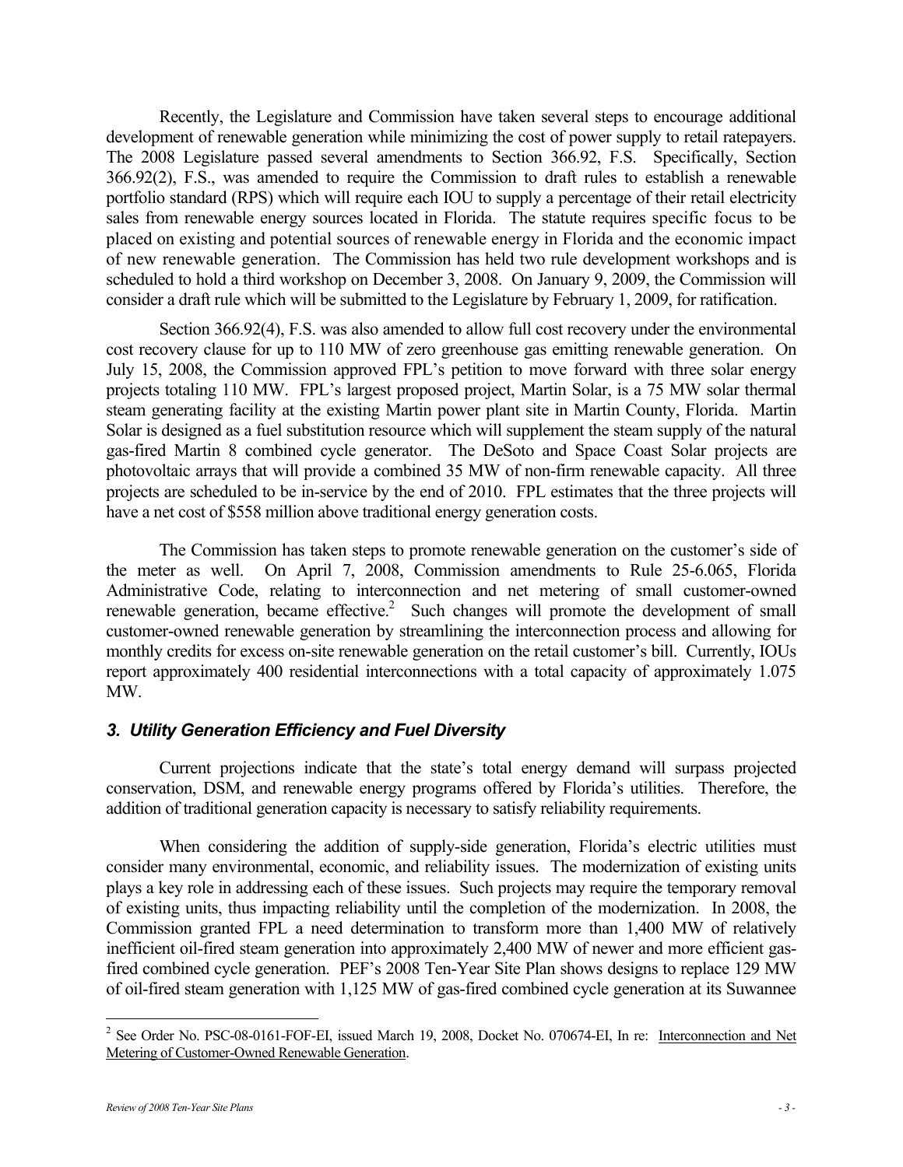Recently, the Legislature and Commission have taken several steps to encourage additional development of renewable generation while minimizing the cost of power supply to retail ratepayers. The 2008 Legislature passed several amendments to Section 366.92, F.S. Specifically, Section 366.92(2), F.S., was amended to require the Commission to draft rules to establish a renewable portfolio standard (RPS) which will require each IOU to supply a percentage of their retail electricity sales from renewable energy sources located in Florida. The statute requires specific focus to be placed on existing and potential sources of renewable energy in Florida and the economic impact of new renewable generation. The Commission has held two rule development workshops and is scheduled to hold a third workshop on December 3, 2008. On January 9, 2009, the Commission will consider a draft rule which will be submitted to the Legislature by February 1, 2009, for ratification.

Section 366.92(4), F.S. was also amended to allow full cost recovery under the environmental cost recovery clause for up to 110 MW of zero greenhouse gas emitting renewable generation. On July 15, 2008, the Commission approved FPL's petition to move forward with three solar energy projects totaling 110 MW. FPL's largest proposed project, Martin Solar, is a 75 MW solar thermal steam generating facility at the existing Martin power plant site in Martin County, Florida. Martin Solar is designed as a fuel substitution resource which will supplement the steam supply of the natural gas-fired Martin 8 combined cycle generator. The DeSoto and Space Coast Solar projects are photovoltaic arrays that will provide a combined 35 MW of non-firm renewable capacity. All three projects are scheduled to be in-service by the end of 2010. FPL estimates that the three projects will have a net cost of \$558 million above traditional energy generation costs.

The Commission has taken steps to promote renewable generation on the customer's side of the meter as well. On April 7, 2008, Commission amendments to Rule 25-6.065, Florida Administrative Code, relating to interconnection and net metering of small customer-owned renewable generation, became effective.<sup>2</sup> Such changes will promote the development of small customer-owned renewable generation by streamlining the interconnection process and allowing for monthly credits for excess on-site renewable generation on the retail customer's bill. Currently, IOUs report approximately 400 residential interconnections with a total capacity of approximately 1.075 MW.

#### *3. Utility Generation Efficiency and Fuel Diversity*

Current projections indicate that the state's total energy demand will surpass projected conservation, DSM, and renewable energy programs offered by Florida's utilities. Therefore, the addition of traditional generation capacity is necessary to satisfy reliability requirements.

When considering the addition of supply-side generation, Florida's electric utilities must consider many environmental, economic, and reliability issues. The modernization of existing units plays a key role in addressing each of these issues. Such projects may require the temporary removal of existing units, thus impacting reliability until the completion of the modernization. In 2008, the Commission granted FPL a need determination to transform more than 1,400 MW of relatively inefficient oil-fired steam generation into approximately 2,400 MW of newer and more efficient gasfired combined cycle generation. PEF's 2008 Ten-Year Site Plan shows designs to replace 129 MW of oil-fired steam generation with 1,125 MW of gas-fired combined cycle generation at its Suwannee

 $\overline{a}$ 

<sup>&</sup>lt;sup>2</sup> See Order No. PSC-08-0161-FOF-EI, issued March 19, 2008, Docket No. 070674-EI, In re: Interconnection and Net Metering of Customer-Owned Renewable Generation.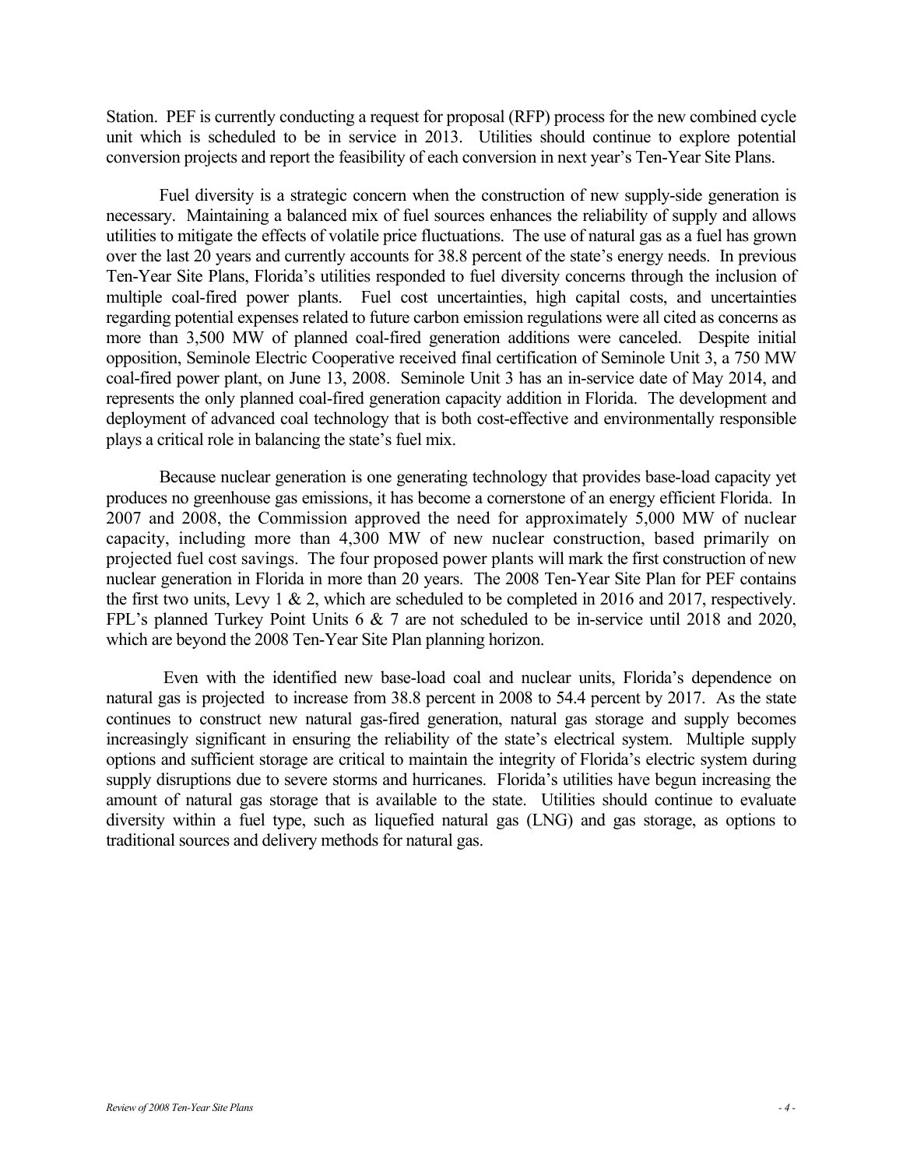Station. PEF is currently conducting a request for proposal (RFP) process for the new combined cycle unit which is scheduled to be in service in 2013. Utilities should continue to explore potential conversion projects and report the feasibility of each conversion in next year's Ten-Year Site Plans.

Fuel diversity is a strategic concern when the construction of new supply-side generation is necessary. Maintaining a balanced mix of fuel sources enhances the reliability of supply and allows utilities to mitigate the effects of volatile price fluctuations. The use of natural gas as a fuel has grown over the last 20 years and currently accounts for 38.8 percent of the state's energy needs. In previous Ten-Year Site Plans, Florida's utilities responded to fuel diversity concerns through the inclusion of multiple coal-fired power plants. Fuel cost uncertainties, high capital costs, and uncertainties regarding potential expenses related to future carbon emission regulations were all cited as concerns as more than 3,500 MW of planned coal-fired generation additions were canceled. Despite initial opposition, Seminole Electric Cooperative received final certification of Seminole Unit 3, a 750 MW coal-fired power plant, on June 13, 2008. Seminole Unit 3 has an in-service date of May 2014, and represents the only planned coal-fired generation capacity addition in Florida. The development and deployment of advanced coal technology that is both cost-effective and environmentally responsible plays a critical role in balancing the state's fuel mix.

Because nuclear generation is one generating technology that provides base-load capacity yet produces no greenhouse gas emissions, it has become a cornerstone of an energy efficient Florida. In 2007 and 2008, the Commission approved the need for approximately 5,000 MW of nuclear capacity, including more than 4,300 MW of new nuclear construction, based primarily on projected fuel cost savings. The four proposed power plants will mark the first construction of new nuclear generation in Florida in more than 20 years. The 2008 Ten-Year Site Plan for PEF contains the first two units, Levy 1 & 2, which are scheduled to be completed in 2016 and 2017, respectively. FPL's planned Turkey Point Units 6 & 7 are not scheduled to be in-service until 2018 and 2020, which are beyond the 2008 Ten-Year Site Plan planning horizon.

 Even with the identified new base-load coal and nuclear units, Florida's dependence on natural gas is projected to increase from 38.8 percent in 2008 to 54.4 percent by 2017. As the state continues to construct new natural gas-fired generation, natural gas storage and supply becomes increasingly significant in ensuring the reliability of the state's electrical system. Multiple supply options and sufficient storage are critical to maintain the integrity of Florida's electric system during supply disruptions due to severe storms and hurricanes. Florida's utilities have begun increasing the amount of natural gas storage that is available to the state. Utilities should continue to evaluate diversity within a fuel type, such as liquefied natural gas (LNG) and gas storage, as options to traditional sources and delivery methods for natural gas.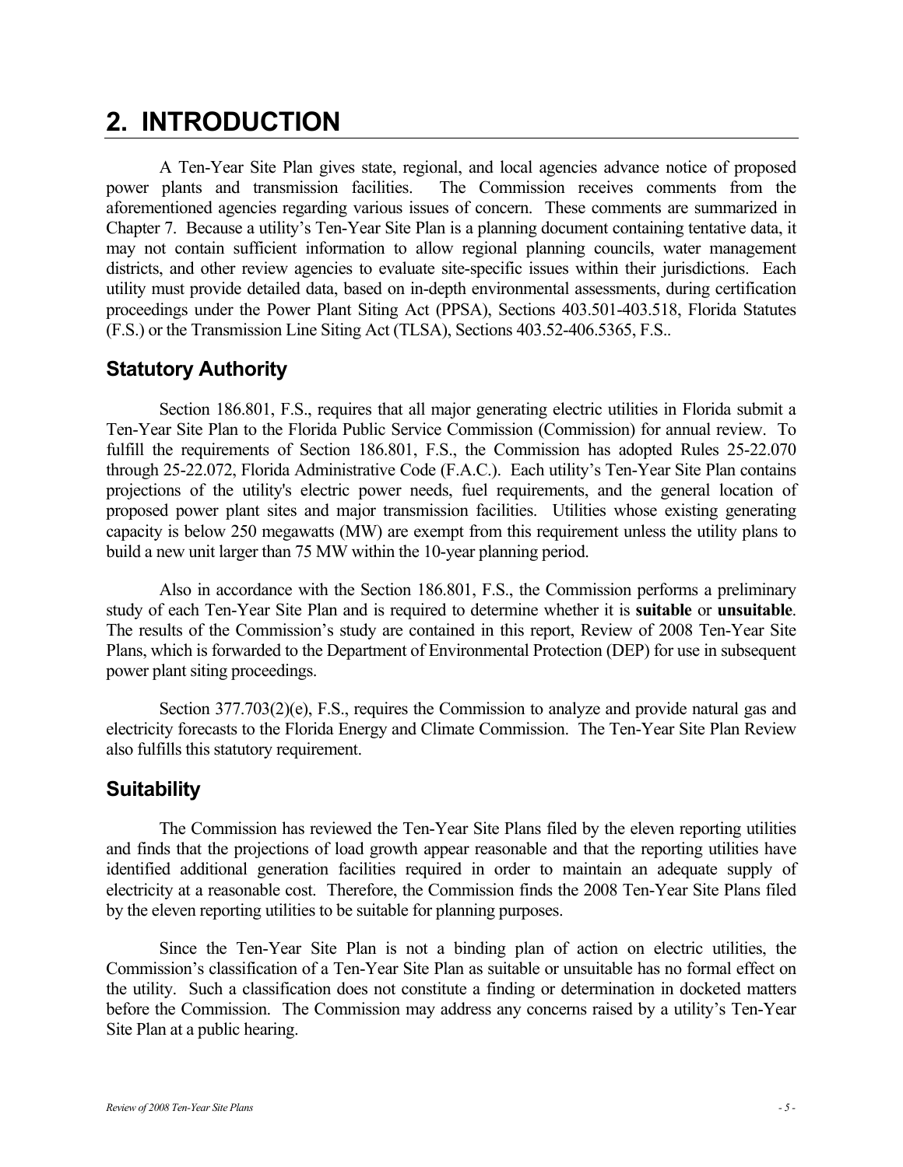## **2. INTRODUCTION**

A Ten-Year Site Plan gives state, regional, and local agencies advance notice of proposed power plants and transmission facilities. The Commission receives comments from the aforementioned agencies regarding various issues of concern. These comments are summarized in Chapter 7. Because a utility's Ten-Year Site Plan is a planning document containing tentative data, it may not contain sufficient information to allow regional planning councils, water management districts, and other review agencies to evaluate site-specific issues within their jurisdictions. Each utility must provide detailed data, based on in-depth environmental assessments, during certification proceedings under the Power Plant Siting Act (PPSA), Sections 403.501-403.518, Florida Statutes (F.S.) or the Transmission Line Siting Act (TLSA), Sections 403.52-406.5365, F.S..

## **Statutory Authority**

Section 186.801, F.S., requires that all major generating electric utilities in Florida submit a Ten-Year Site Plan to the Florida Public Service Commission (Commission) for annual review. To fulfill the requirements of Section 186.801, F.S., the Commission has adopted Rules 25-22.070 through 25-22.072, Florida Administrative Code (F.A.C.). Each utility's Ten-Year Site Plan contains projections of the utility's electric power needs, fuel requirements, and the general location of proposed power plant sites and major transmission facilities. Utilities whose existing generating capacity is below 250 megawatts (MW) are exempt from this requirement unless the utility plans to build a new unit larger than 75 MW within the 10-year planning period.

Also in accordance with the Section 186.801, F.S., the Commission performs a preliminary study of each Ten-Year Site Plan and is required to determine whether it is **suitable** or **unsuitable**. The results of the Commission's study are contained in this report, Review of 2008 Ten-Year Site Plans, which is forwarded to the Department of Environmental Protection (DEP) for use in subsequent power plant siting proceedings.

Section 377.703(2)(e), F.S., requires the Commission to analyze and provide natural gas and electricity forecasts to the Florida Energy and Climate Commission. The Ten-Year Site Plan Review also fulfills this statutory requirement.

### **Suitability**

The Commission has reviewed the Ten-Year Site Plans filed by the eleven reporting utilities and finds that the projections of load growth appear reasonable and that the reporting utilities have identified additional generation facilities required in order to maintain an adequate supply of electricity at a reasonable cost. Therefore, the Commission finds the 2008 Ten-Year Site Plans filed by the eleven reporting utilities to be suitable for planning purposes.

Since the Ten-Year Site Plan is not a binding plan of action on electric utilities, the Commission's classification of a Ten-Year Site Plan as suitable or unsuitable has no formal effect on the utility. Such a classification does not constitute a finding or determination in docketed matters before the Commission. The Commission may address any concerns raised by a utility's Ten-Year Site Plan at a public hearing.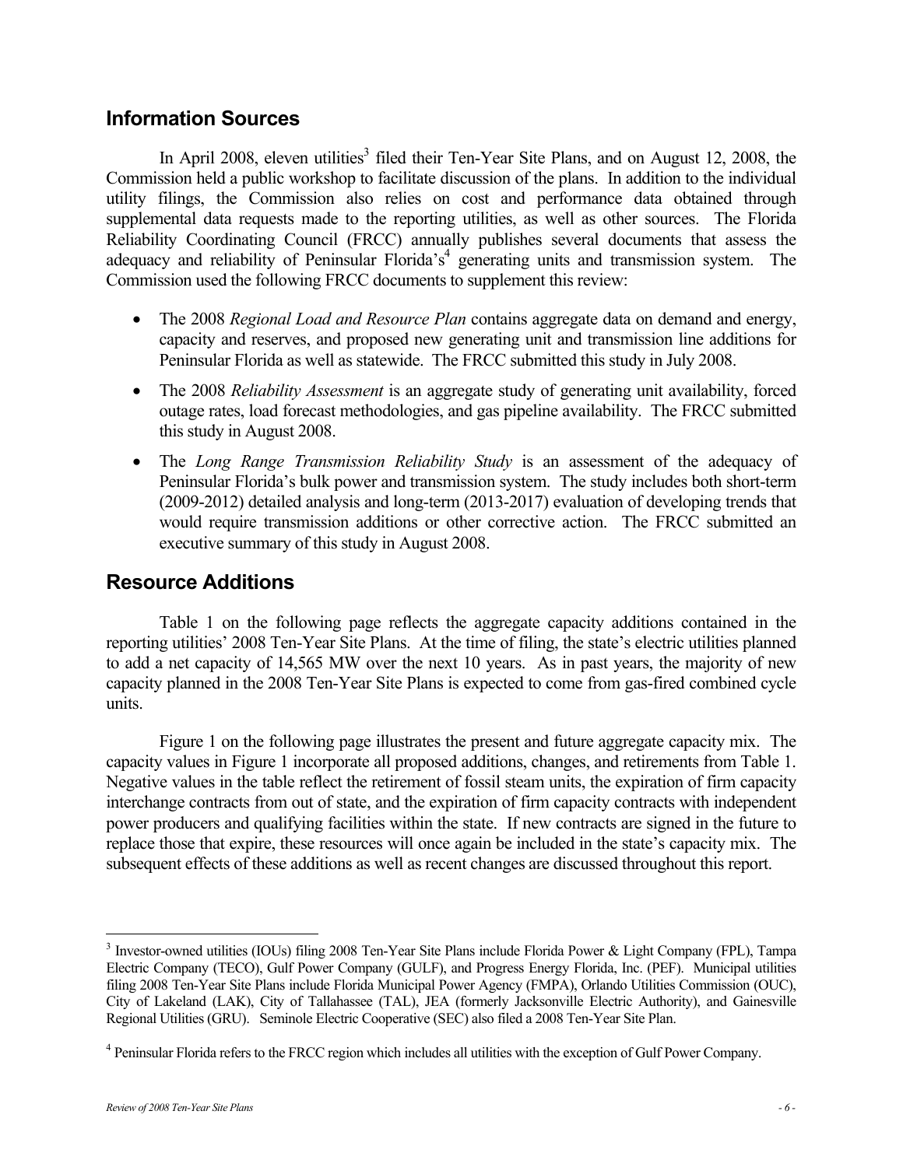### **Information Sources**

In April 2008, eleven utilities<sup>3</sup> filed their Ten-Year Site Plans, and on August 12, 2008, the Commission held a public workshop to facilitate discussion of the plans. In addition to the individual utility filings, the Commission also relies on cost and performance data obtained through supplemental data requests made to the reporting utilities, as well as other sources. The Florida Reliability Coordinating Council (FRCC) annually publishes several documents that assess the adequacy and reliability of Peninsular Florida's<sup>4</sup> generating units and transmission system. The Commission used the following FRCC documents to supplement this review:

- The 2008 *Regional Load and Resource Plan* contains aggregate data on demand and energy, capacity and reserves, and proposed new generating unit and transmission line additions for Peninsular Florida as well as statewide. The FRCC submitted this study in July 2008.
- The 2008 *Reliability Assessment* is an aggregate study of generating unit availability, forced outage rates, load forecast methodologies, and gas pipeline availability. The FRCC submitted this study in August 2008.
- The *Long Range Transmission Reliability Study* is an assessment of the adequacy of Peninsular Florida's bulk power and transmission system. The study includes both short-term (2009-2012) detailed analysis and long-term (2013-2017) evaluation of developing trends that would require transmission additions or other corrective action. The FRCC submitted an executive summary of this study in August 2008.

## **Resource Additions**

Table 1 on the following page reflects the aggregate capacity additions contained in the reporting utilities' 2008 Ten-Year Site Plans. At the time of filing, the state's electric utilities planned to add a net capacity of 14,565 MW over the next 10 years. As in past years, the majority of new capacity planned in the 2008 Ten-Year Site Plans is expected to come from gas-fired combined cycle units.

Figure 1 on the following page illustrates the present and future aggregate capacity mix. The capacity values in Figure 1 incorporate all proposed additions, changes, and retirements from Table 1. Negative values in the table reflect the retirement of fossil steam units, the expiration of firm capacity interchange contracts from out of state, and the expiration of firm capacity contracts with independent power producers and qualifying facilities within the state. If new contracts are signed in the future to replace those that expire, these resources will once again be included in the state's capacity mix. The subsequent effects of these additions as well as recent changes are discussed throughout this report.

 $\overline{a}$ 

<sup>&</sup>lt;sup>3</sup> Investor-owned utilities (IOUs) filing 2008 Ten-Year Site Plans include Florida Power & Light Company (FPL), Tampa Electric Company (TECO), Gulf Power Company (GULF), and Progress Energy Florida, Inc. (PEF). Municipal utilities filing 2008 Ten-Year Site Plans include Florida Municipal Power Agency (FMPA), Orlando Utilities Commission (OUC), City of Lakeland (LAK), City of Tallahassee (TAL), JEA (formerly Jacksonville Electric Authority), and Gainesville Regional Utilities (GRU). Seminole Electric Cooperative (SEC) also filed a 2008 Ten-Year Site Plan.

<sup>&</sup>lt;sup>4</sup> Peninsular Florida refers to the FRCC region which includes all utilities with the exception of Gulf Power Company.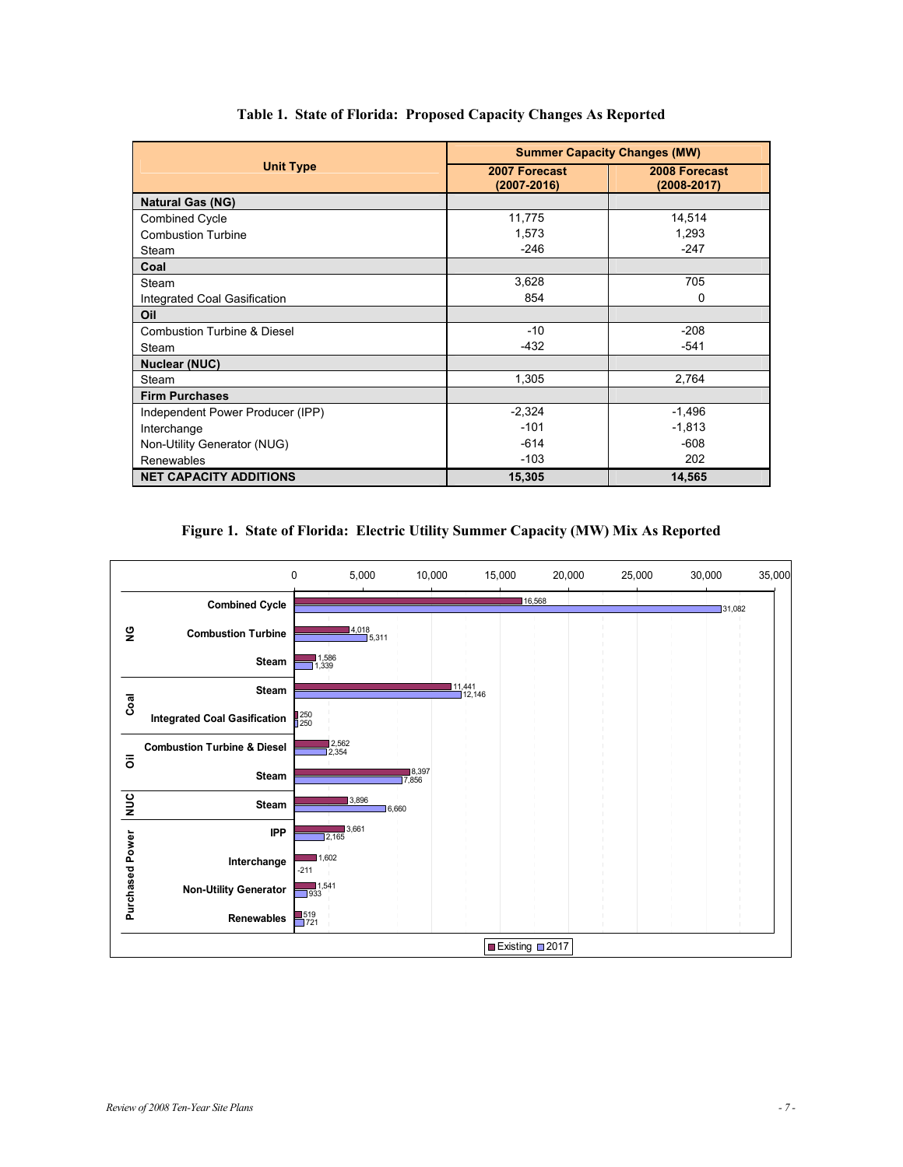|                                        | <b>Summer Capacity Changes (MW)</b> |                              |  |  |
|----------------------------------------|-------------------------------------|------------------------------|--|--|
| <b>Unit Type</b>                       | 2007 Forecast<br>$(2007 - 2016)$    | 2008 Forecast<br>(2008-2017) |  |  |
| <b>Natural Gas (NG)</b>                |                                     |                              |  |  |
| <b>Combined Cycle</b>                  | 11,775                              | 14,514                       |  |  |
| <b>Combustion Turbine</b>              | 1,573                               | 1,293                        |  |  |
| Steam                                  | $-246$                              | $-247$                       |  |  |
| Coal                                   |                                     |                              |  |  |
| Steam                                  | 3,628                               | 705                          |  |  |
| Integrated Coal Gasification           | 854                                 | $\Omega$                     |  |  |
| Oil                                    |                                     |                              |  |  |
| <b>Combustion Turbine &amp; Diesel</b> | $-10$                               | $-208$                       |  |  |
| Steam                                  | $-432$                              | $-541$                       |  |  |
| <b>Nuclear (NUC)</b>                   |                                     |                              |  |  |
| Steam                                  | 1,305                               | 2,764                        |  |  |
| <b>Firm Purchases</b>                  |                                     |                              |  |  |
| Independent Power Producer (IPP)       | $-2,324$                            | $-1,496$                     |  |  |
| Interchange                            | $-101$                              | $-1,813$                     |  |  |
| Non-Utility Generator (NUG)            | $-614$                              | $-608$                       |  |  |
| Renewables                             | $-103$                              | 202                          |  |  |
| <b>NET CAPACITY ADDITIONS</b>          | 15,305                              | 14,565                       |  |  |

#### **Table 1. State of Florida: Proposed Capacity Changes As Reported**

#### **Figure 1. State of Florida: Electric Utility Summer Capacity (MW) Mix As Reported**

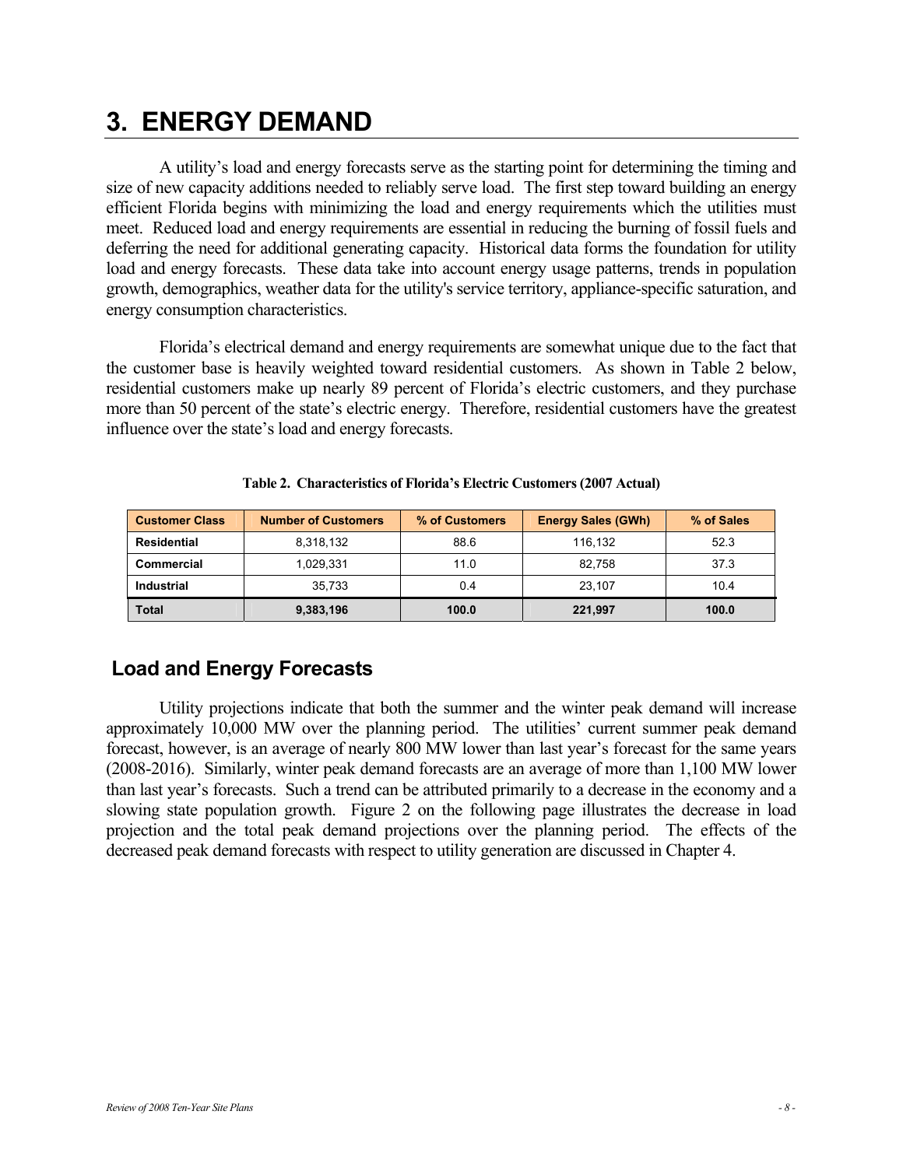## **3. ENERGY DEMAND**

A utility's load and energy forecasts serve as the starting point for determining the timing and size of new capacity additions needed to reliably serve load. The first step toward building an energy efficient Florida begins with minimizing the load and energy requirements which the utilities must meet. Reduced load and energy requirements are essential in reducing the burning of fossil fuels and deferring the need for additional generating capacity. Historical data forms the foundation for utility load and energy forecasts. These data take into account energy usage patterns, trends in population growth, demographics, weather data for the utility's service territory, appliance-specific saturation, and energy consumption characteristics.

Florida's electrical demand and energy requirements are somewhat unique due to the fact that the customer base is heavily weighted toward residential customers. As shown in Table 2 below, residential customers make up nearly 89 percent of Florida's electric customers, and they purchase more than 50 percent of the state's electric energy. Therefore, residential customers have the greatest influence over the state's load and energy forecasts.

| <b>Customer Class</b> | <b>Number of Customers</b> | % of Customers | <b>Energy Sales (GWh)</b> | % of Sales |
|-----------------------|----------------------------|----------------|---------------------------|------------|
| Residential           | 8,318,132                  | 88.6           | 116.132                   | 52.3       |
| Commercial            | 1,029,331                  | 11.0           | 82.758                    | 37.3       |
| <b>Industrial</b>     | 35.733                     | 0.4            | 23.107                    | 10.4       |
| Total                 | 9,383,196                  | 100.0          | 221,997                   | 100.0      |

|  | Table 2. Characteristics of Florida's Electric Customers (2007 Actual) |  |  |  |  |  |
|--|------------------------------------------------------------------------|--|--|--|--|--|
|--|------------------------------------------------------------------------|--|--|--|--|--|

## **Load and Energy Forecasts**

Utility projections indicate that both the summer and the winter peak demand will increase approximately 10,000 MW over the planning period. The utilities' current summer peak demand forecast, however, is an average of nearly 800 MW lower than last year's forecast for the same years (2008-2016). Similarly, winter peak demand forecasts are an average of more than 1,100 MW lower than last year's forecasts. Such a trend can be attributed primarily to a decrease in the economy and a slowing state population growth. Figure 2 on the following page illustrates the decrease in load projection and the total peak demand projections over the planning period. The effects of the decreased peak demand forecasts with respect to utility generation are discussed in Chapter 4.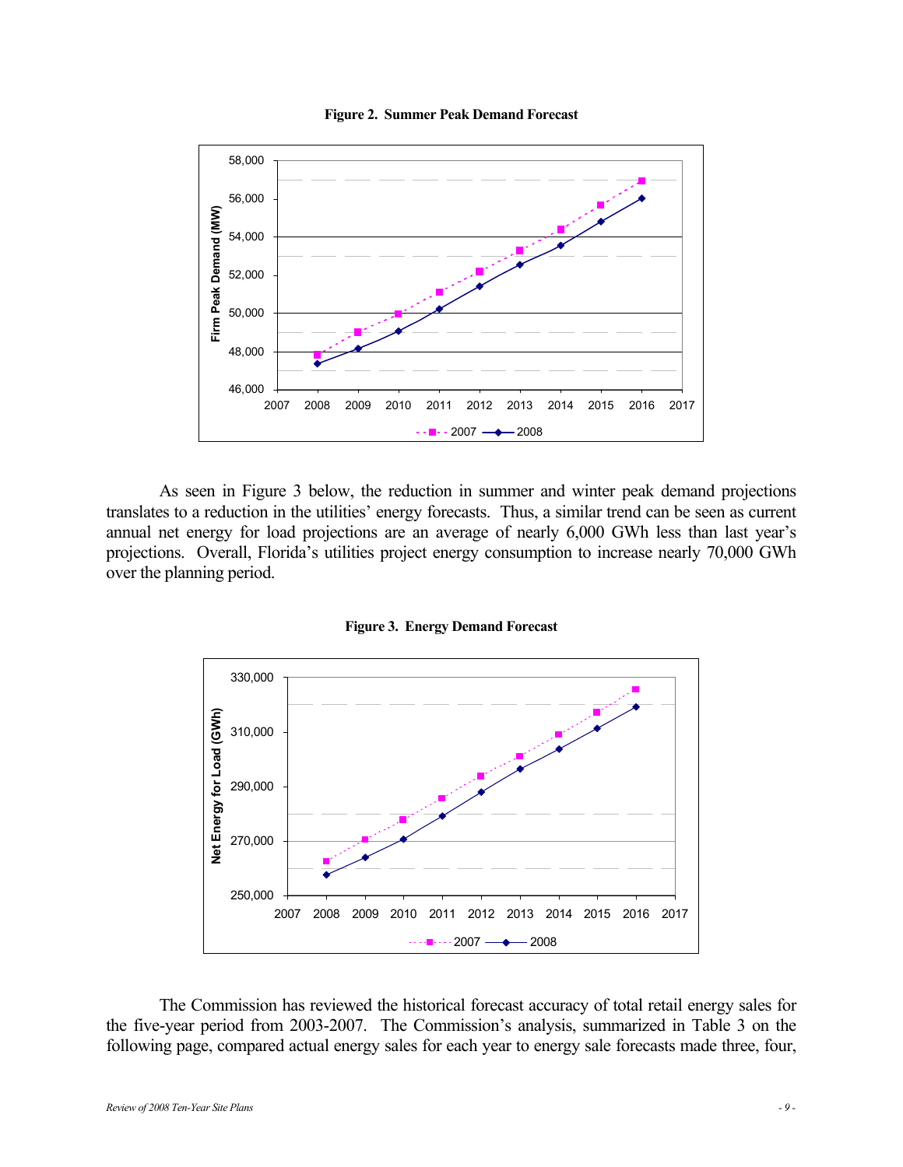

**Figure 2. Summer Peak Demand Forecast** 

As seen in Figure 3 below, the reduction in summer and winter peak demand projections translates to a reduction in the utilities' energy forecasts. Thus, a similar trend can be seen as current annual net energy for load projections are an average of nearly 6,000 GWh less than last year's projections. Overall, Florida's utilities project energy consumption to increase nearly 70,000 GWh



**Figure 3. Energy Demand Forecast** 

The Commission has reviewed the historical forecast accuracy of total retail energy sales for the five-year period from 2003-2007. The Commission's analysis, summarized in Table 3 on the following page, compared actual energy sales for each year to energy sale forecasts made three, four,

over the planning period.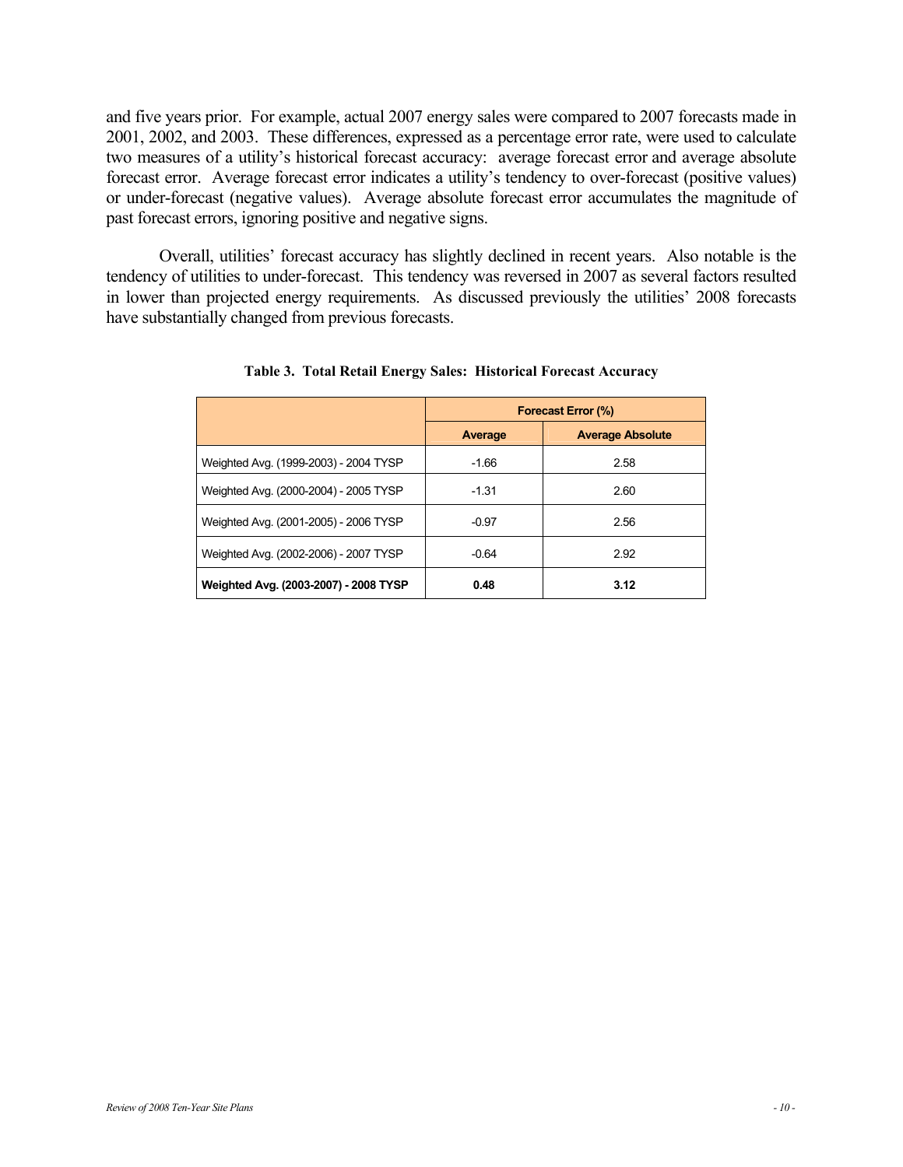and five years prior. For example, actual 2007 energy sales were compared to 2007 forecasts made in 2001, 2002, and 2003. These differences, expressed as a percentage error rate, were used to calculate two measures of a utility's historical forecast accuracy: average forecast error and average absolute forecast error. Average forecast error indicates a utility's tendency to over-forecast (positive values) or under-forecast (negative values). Average absolute forecast error accumulates the magnitude of past forecast errors, ignoring positive and negative signs.

Overall, utilities' forecast accuracy has slightly declined in recent years. Also notable is the tendency of utilities to under-forecast. This tendency was reversed in 2007 as several factors resulted in lower than projected energy requirements. As discussed previously the utilities' 2008 forecasts have substantially changed from previous forecasts.

|                                       | Forecast Error (%) |                         |  |  |
|---------------------------------------|--------------------|-------------------------|--|--|
|                                       | Average            | <b>Average Absolute</b> |  |  |
| Weighted Avg. (1999-2003) - 2004 TYSP | $-1.66$            | 2.58                    |  |  |
| Weighted Avg. (2000-2004) - 2005 TYSP | $-1.31$            | 2.60                    |  |  |
| Weighted Avg. (2001-2005) - 2006 TYSP | $-0.97$            | 2.56                    |  |  |
| Weighted Avg. (2002-2006) - 2007 TYSP | $-0.64$            | 2.92                    |  |  |
| Weighted Avg. (2003-2007) - 2008 TYSP | 0.48               | 3.12                    |  |  |

**Table 3. Total Retail Energy Sales: Historical Forecast Accuracy**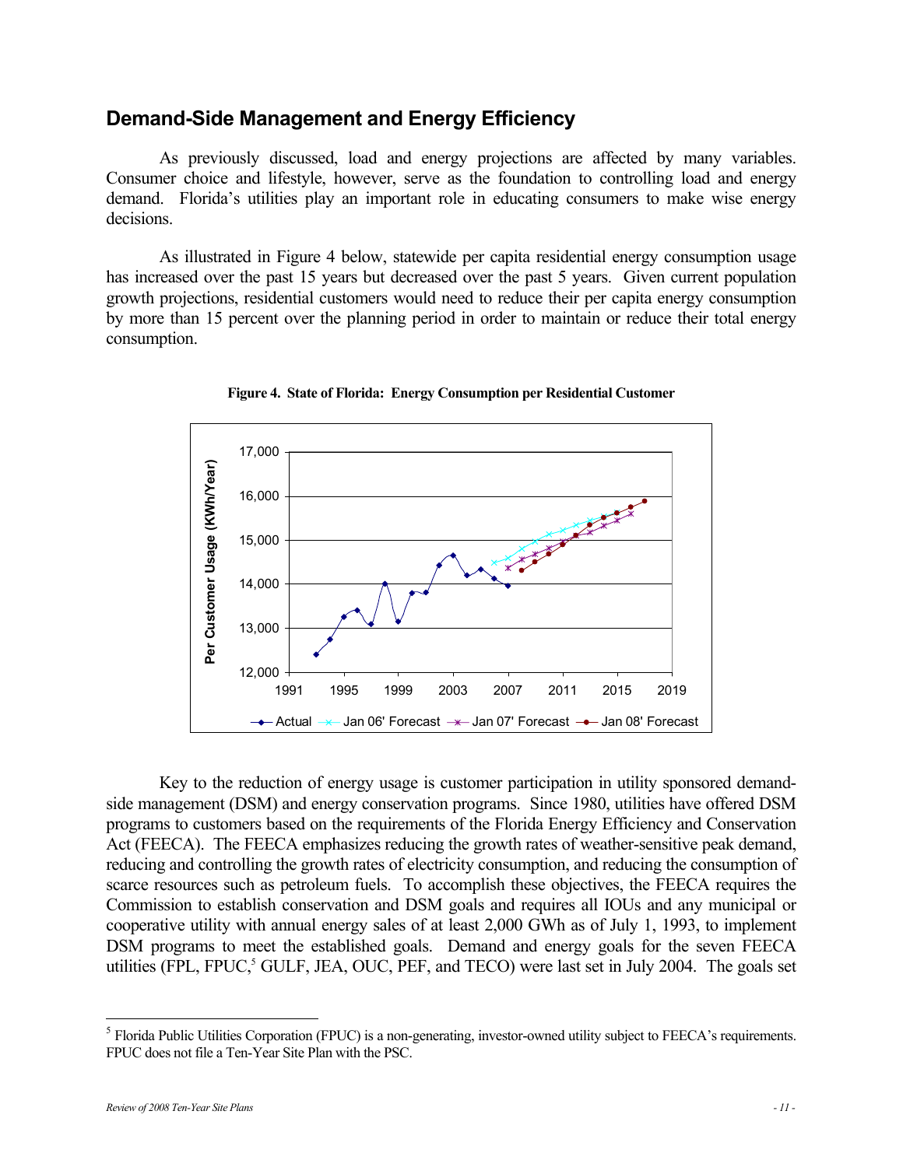### **Demand-Side Management and Energy Efficiency**

As previously discussed, load and energy projections are affected by many variables. Consumer choice and lifestyle, however, serve as the foundation to controlling load and energy demand. Florida's utilities play an important role in educating consumers to make wise energy decisions.

As illustrated in Figure 4 below, statewide per capita residential energy consumption usage has increased over the past 15 years but decreased over the past 5 years. Given current population growth projections, residential customers would need to reduce their per capita energy consumption by more than 15 percent over the planning period in order to maintain or reduce their total energy consumption.



**Figure 4. State of Florida: Energy Consumption per Residential Customer** 

Key to the reduction of energy usage is customer participation in utility sponsored demandside management (DSM) and energy conservation programs. Since 1980, utilities have offered DSM programs to customers based on the requirements of the Florida Energy Efficiency and Conservation Act (FEECA). The FEECA emphasizes reducing the growth rates of weather-sensitive peak demand, reducing and controlling the growth rates of electricity consumption, and reducing the consumption of scarce resources such as petroleum fuels. To accomplish these objectives, the FEECA requires the Commission to establish conservation and DSM goals and requires all IOUs and any municipal or cooperative utility with annual energy sales of at least 2,000 GWh as of July 1, 1993, to implement DSM programs to meet the established goals. Demand and energy goals for the seven FEECA utilities (FPL, FPUC,<sup>5</sup> GULF, JEA, OUC, PEF, and TECO) were last set in July 2004. The goals set

 5 Florida Public Utilities Corporation (FPUC) is a non-generating, investor-owned utility subject to FEECA's requirements. FPUC does not file a Ten-Year Site Plan with the PSC.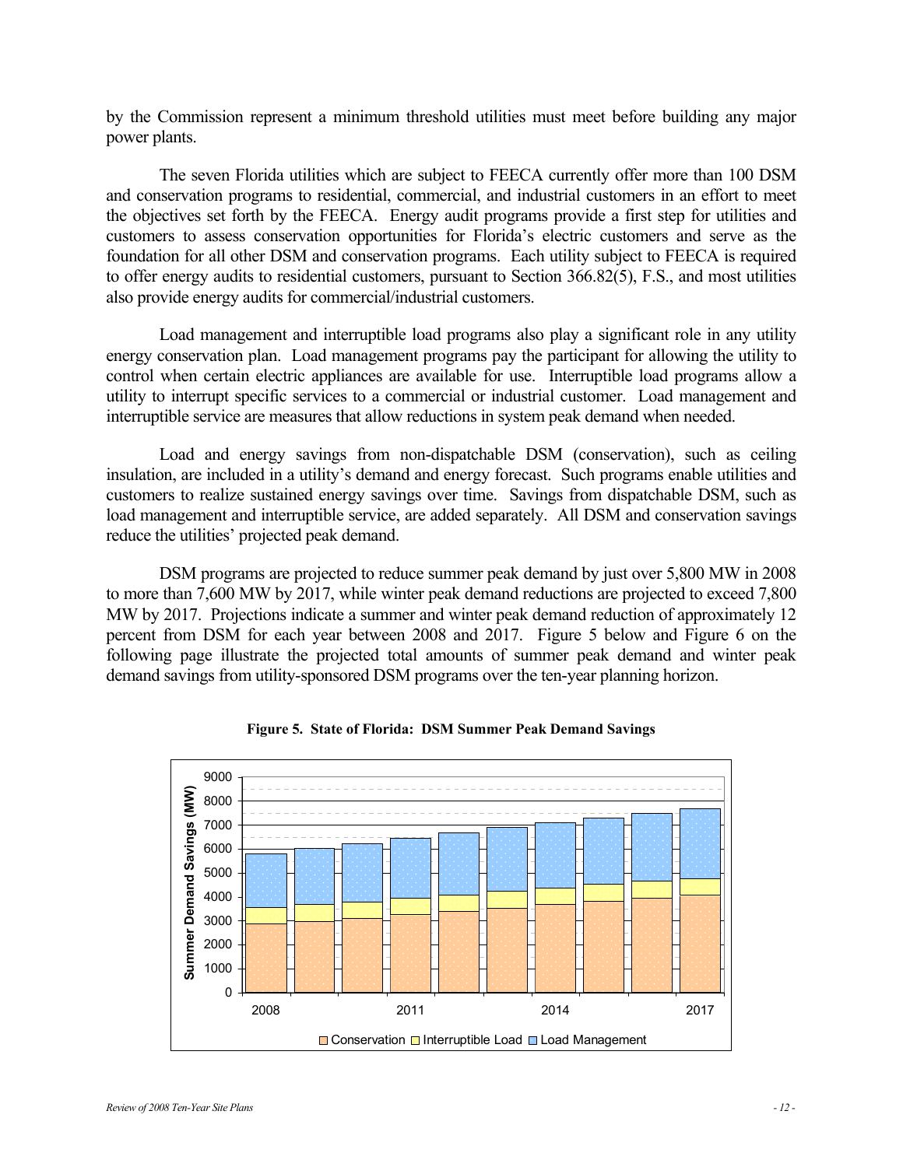by the Commission represent a minimum threshold utilities must meet before building any major power plants.

The seven Florida utilities which are subject to FEECA currently offer more than 100 DSM and conservation programs to residential, commercial, and industrial customers in an effort to meet the objectives set forth by the FEECA. Energy audit programs provide a first step for utilities and customers to assess conservation opportunities for Florida's electric customers and serve as the foundation for all other DSM and conservation programs. Each utility subject to FEECA is required to offer energy audits to residential customers, pursuant to Section 366.82(5), F.S., and most utilities also provide energy audits for commercial/industrial customers.

Load management and interruptible load programs also play a significant role in any utility energy conservation plan. Load management programs pay the participant for allowing the utility to control when certain electric appliances are available for use. Interruptible load programs allow a utility to interrupt specific services to a commercial or industrial customer. Load management and interruptible service are measures that allow reductions in system peak demand when needed.

Load and energy savings from non-dispatchable DSM (conservation), such as ceiling insulation, are included in a utility's demand and energy forecast. Such programs enable utilities and customers to realize sustained energy savings over time. Savings from dispatchable DSM, such as load management and interruptible service, are added separately. All DSM and conservation savings reduce the utilities' projected peak demand.

DSM programs are projected to reduce summer peak demand by just over 5,800 MW in 2008 to more than 7,600 MW by 2017, while winter peak demand reductions are projected to exceed 7,800 MW by 2017. Projections indicate a summer and winter peak demand reduction of approximately 12 percent from DSM for each year between 2008 and 2017. Figure 5 below and Figure 6 on the following page illustrate the projected total amounts of summer peak demand and winter peak demand savings from utility-sponsored DSM programs over the ten-year planning horizon.



**Figure 5. State of Florida: DSM Summer Peak Demand Savings**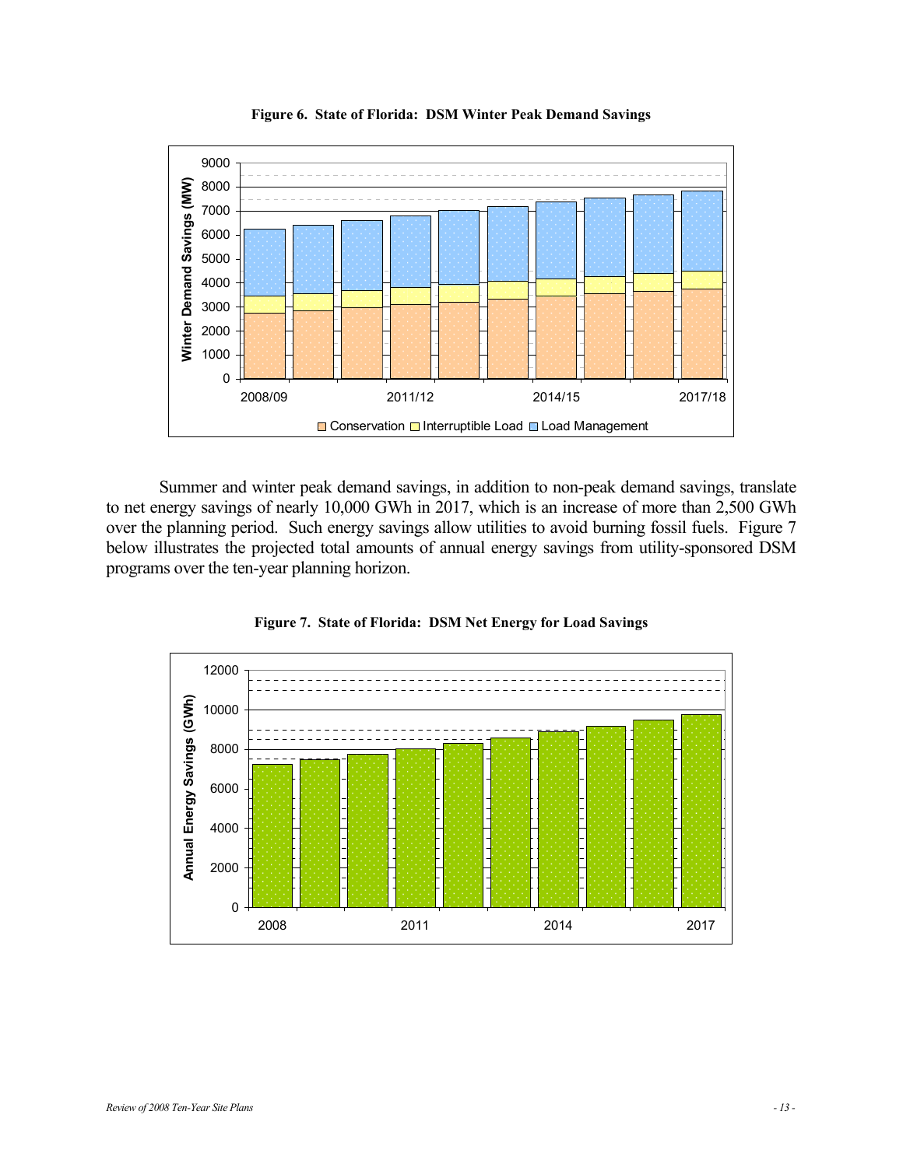

**Figure 6. State of Florida: DSM Winter Peak Demand Savings** 

Summer and winter peak demand savings, in addition to non-peak demand savings, translate to net energy savings of nearly 10,000 GWh in 2017, which is an increase of more than 2,500 GWh over the planning period. Such energy savings allow utilities to avoid burning fossil fuels. Figure 7 below illustrates the projected total amounts of annual energy savings from utility-sponsored DSM programs over the ten-year planning horizon.



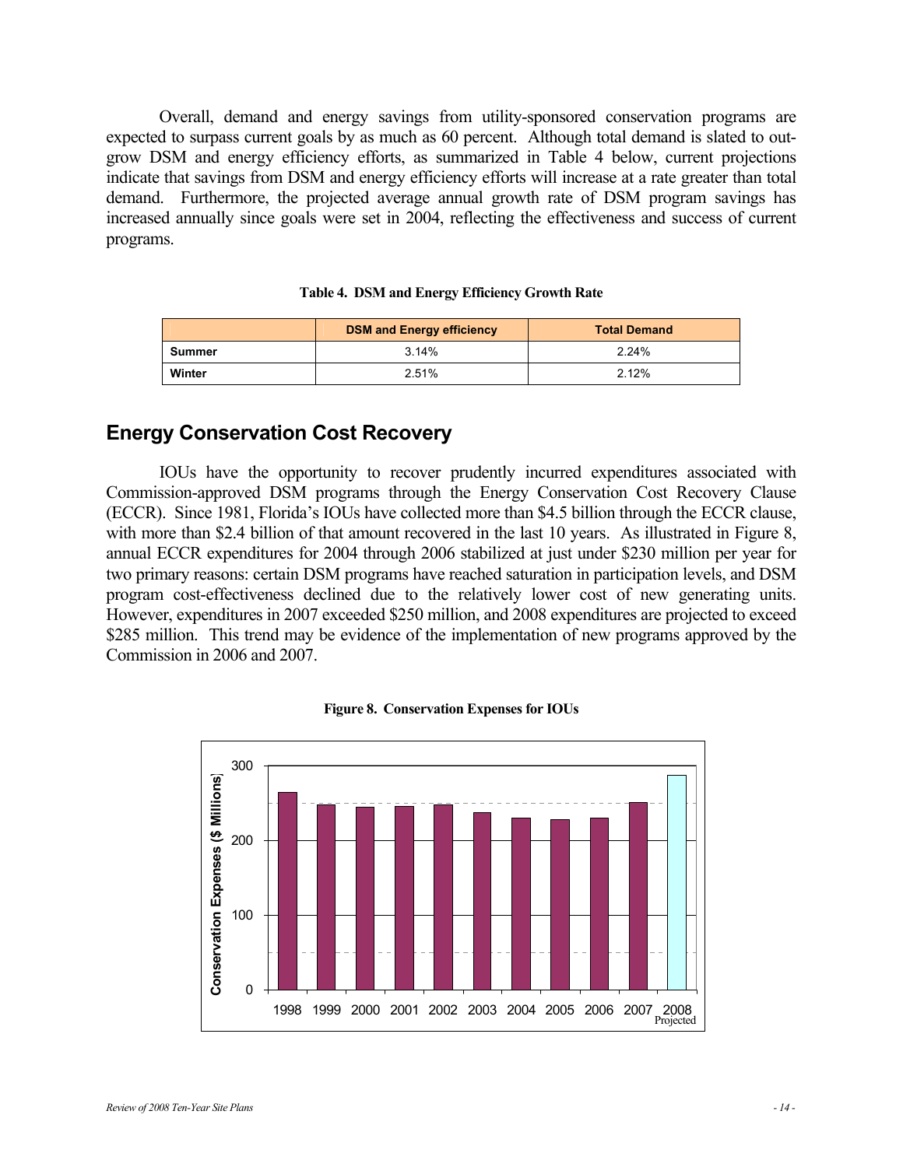Overall, demand and energy savings from utility-sponsored conservation programs are expected to surpass current goals by as much as 60 percent. Although total demand is slated to outgrow DSM and energy efficiency efforts, as summarized in Table 4 below, current projections indicate that savings from DSM and energy efficiency efforts will increase at a rate greater than total demand. Furthermore, the projected average annual growth rate of DSM program savings has increased annually since goals were set in 2004, reflecting the effectiveness and success of current programs.

|        | <b>DSM and Energy efficiency</b> | <b>Total Demand</b> |
|--------|----------------------------------|---------------------|
| Summer | 3.14%                            | 2.24%               |
| Winter | 2.51%                            | 2.12%               |

#### **Table 4. DSM and Energy Efficiency Growth Rate**

## **Energy Conservation Cost Recovery**

IOUs have the opportunity to recover prudently incurred expenditures associated with Commission-approved DSM programs through the Energy Conservation Cost Recovery Clause (ECCR). Since 1981, Florida's IOUs have collected more than \$4.5 billion through the ECCR clause, with more than \$2.4 billion of that amount recovered in the last 10 years. As illustrated in Figure 8, annual ECCR expenditures for 2004 through 2006 stabilized at just under \$230 million per year for two primary reasons: certain DSM programs have reached saturation in participation levels, and DSM program cost-effectiveness declined due to the relatively lower cost of new generating units. However, expenditures in 2007 exceeded \$250 million, and 2008 expenditures are projected to exceed \$285 million. This trend may be evidence of the implementation of new programs approved by the Commission in 2006 and 2007.



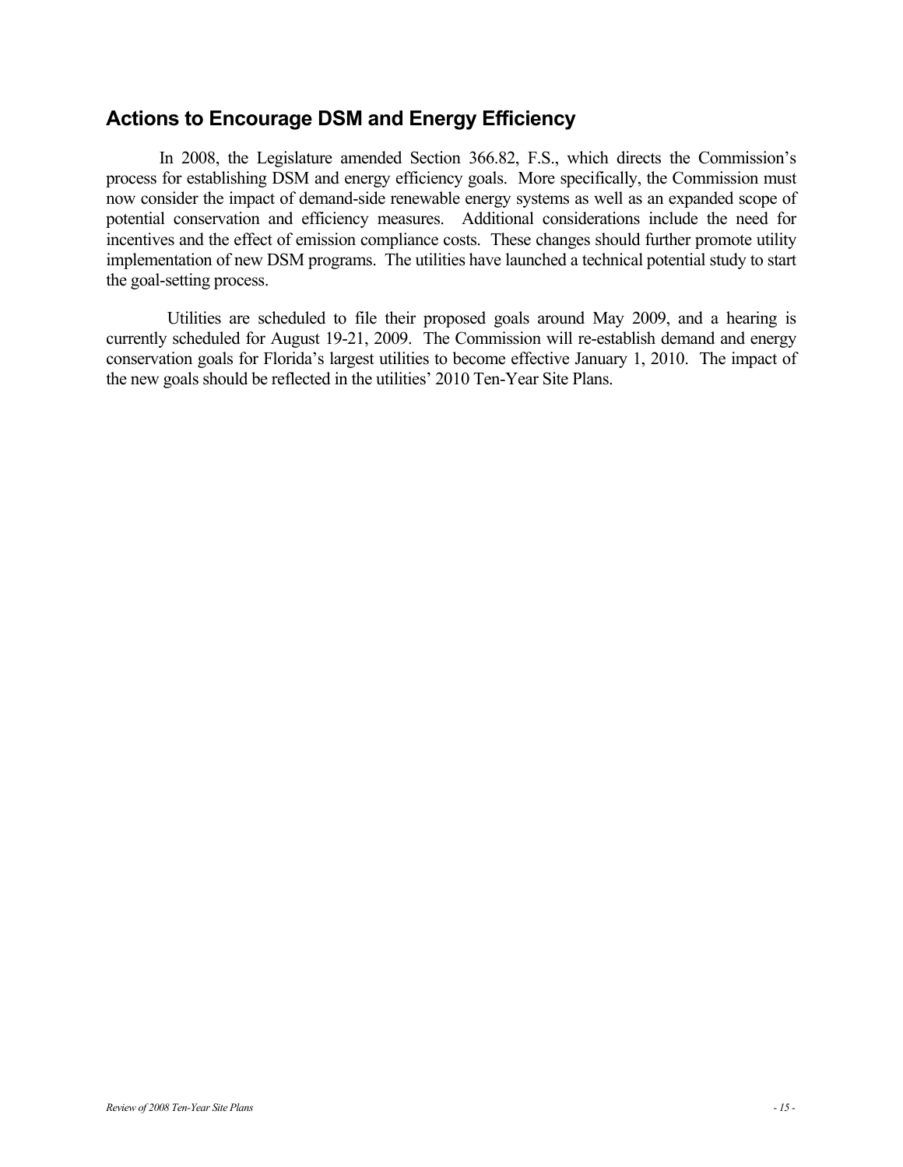## **Actions to Encourage DSM and Energy Efficiency**

In 2008, the Legislature amended Section 366.82, F.S., which directs the Commission's process for establishing DSM and energy efficiency goals. More specifically, the Commission must now consider the impact of demand-side renewable energy systems as well as an expanded scope of potential conservation and efficiency measures. Additional considerations include the need for incentives and the effect of emission compliance costs. These changes should further promote utility implementation of new DSM programs. The utilities have launched a technical potential study to start the goal-setting process.

 Utilities are scheduled to file their proposed goals around May 2009, and a hearing is currently scheduled for August 19-21, 2009. The Commission will re-establish demand and energy conservation goals for Florida's largest utilities to become effective January 1, 2010. The impact of the new goals should be reflected in the utilities' 2010 Ten-Year Site Plans.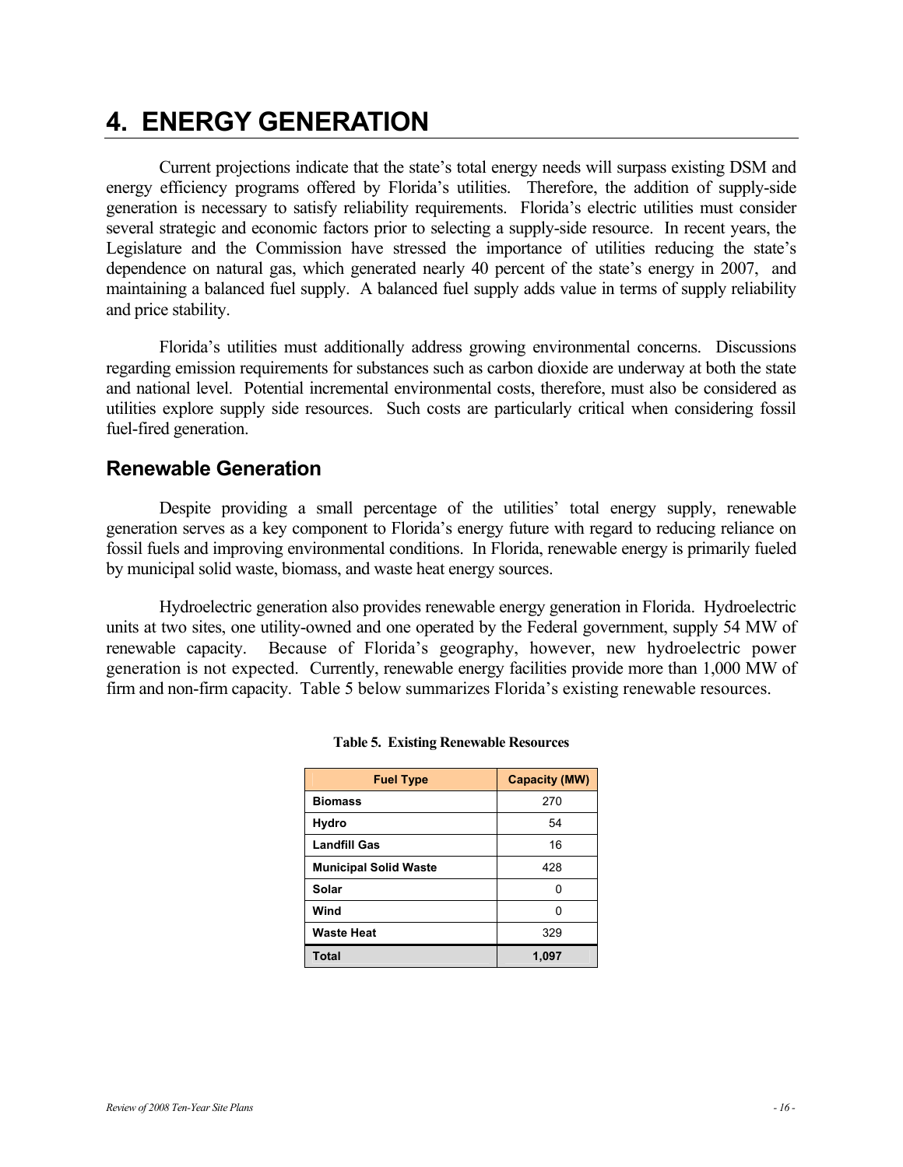## **4. ENERGY GENERATION**

Current projections indicate that the state's total energy needs will surpass existing DSM and energy efficiency programs offered by Florida's utilities. Therefore, the addition of supply-side generation is necessary to satisfy reliability requirements. Florida's electric utilities must consider several strategic and economic factors prior to selecting a supply-side resource. In recent years, the Legislature and the Commission have stressed the importance of utilities reducing the state's dependence on natural gas, which generated nearly 40 percent of the state's energy in 2007, and maintaining a balanced fuel supply. A balanced fuel supply adds value in terms of supply reliability and price stability.

Florida's utilities must additionally address growing environmental concerns. Discussions regarding emission requirements for substances such as carbon dioxide are underway at both the state and national level. Potential incremental environmental costs, therefore, must also be considered as utilities explore supply side resources. Such costs are particularly critical when considering fossil fuel-fired generation.

## **Renewable Generation**

Despite providing a small percentage of the utilities' total energy supply, renewable generation serves as a key component to Florida's energy future with regard to reducing reliance on fossil fuels and improving environmental conditions. In Florida, renewable energy is primarily fueled by municipal solid waste, biomass, and waste heat energy sources.

Hydroelectric generation also provides renewable energy generation in Florida. Hydroelectric units at two sites, one utility-owned and one operated by the Federal government, supply 54 MW of renewable capacity. Because of Florida's geography, however, new hydroelectric power generation is not expected. Currently, renewable energy facilities provide more than 1,000 MW of firm and non-firm capacity. Table 5 below summarizes Florida's existing renewable resources.

| <b>Fuel Type</b>             | <b>Capacity (MW)</b> |
|------------------------------|----------------------|
| <b>Biomass</b>               | 270                  |
| Hydro                        | 54                   |
| <b>Landfill Gas</b>          | 16                   |
| <b>Municipal Solid Waste</b> | 428                  |
| Solar                        | U                    |
| Wind                         | U                    |
| <b>Waste Heat</b>            | 329                  |
| Total                        | 1,097                |

#### **Table 5. Existing Renewable Resources**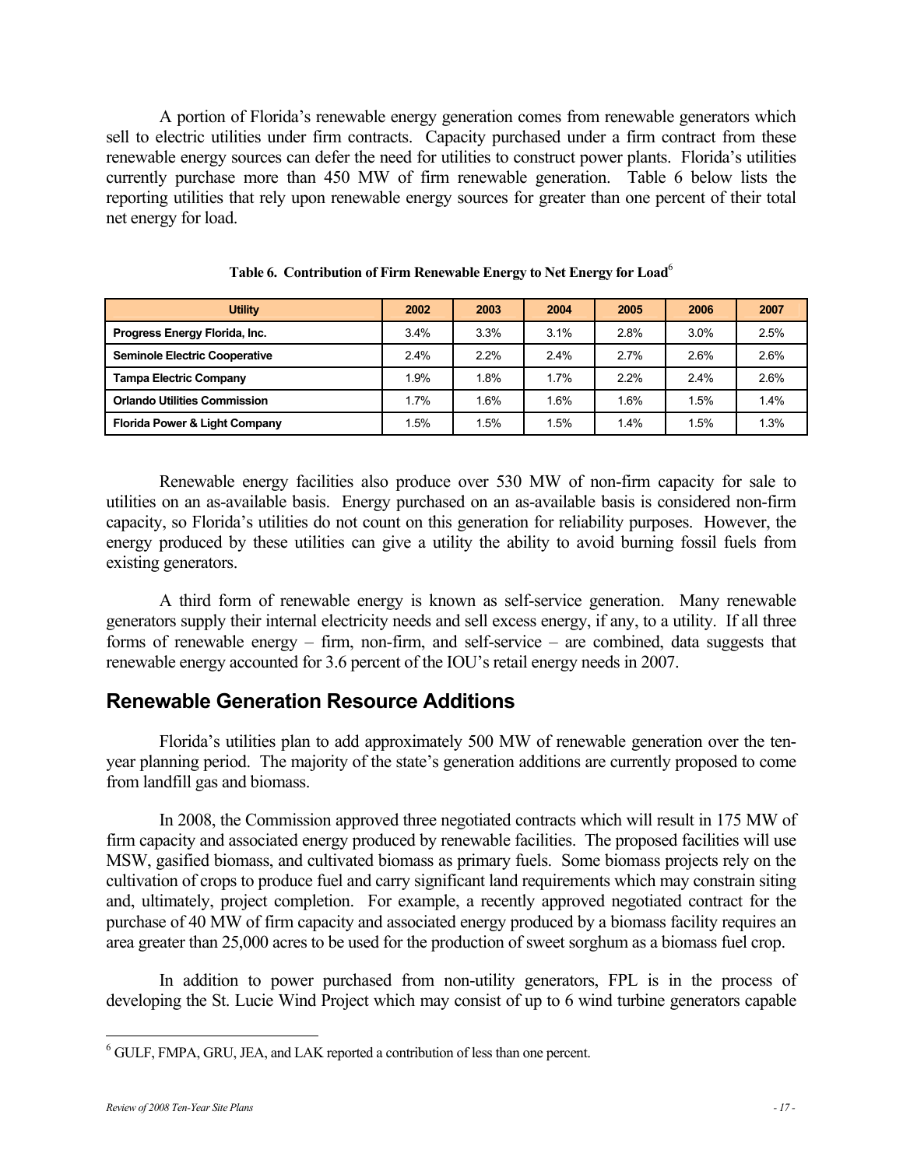A portion of Florida's renewable energy generation comes from renewable generators which sell to electric utilities under firm contracts. Capacity purchased under a firm contract from these renewable energy sources can defer the need for utilities to construct power plants. Florida's utilities currently purchase more than 450 MW of firm renewable generation. Table 6 below lists the reporting utilities that rely upon renewable energy sources for greater than one percent of their total net energy for load.

| <b>Utility</b>                       | 2002 | 2003 | 2004    | 2005 | 2006 | 2007 |
|--------------------------------------|------|------|---------|------|------|------|
| Progress Energy Florida, Inc.        | 3.4% | 3.3% | 3.1%    | 2.8% | 3.0% | 2.5% |
| <b>Seminole Electric Cooperative</b> | 2.4% | 2.2% | $2.4\%$ | 2.7% | 2.6% | 2.6% |
| <b>Tampa Electric Company</b>        | 1.9% | 1.8% | 1.7%    | 2.2% | 2.4% | 2.6% |
| <b>Orlando Utilities Commission</b>  | 1.7% | 1.6% | 1.6%    | 1.6% | 1.5% | 1.4% |
| Florida Power & Light Company        | .5%  | 1.5% | 1.5%    | 1.4% | 1.5% | 1.3% |

**Table 6. Contribution of Firm Renewable Energy to Net Energy for Load**<sup>6</sup>

Renewable energy facilities also produce over 530 MW of non-firm capacity for sale to utilities on an as-available basis. Energy purchased on an as-available basis is considered non-firm capacity, so Florida's utilities do not count on this generation for reliability purposes. However, the energy produced by these utilities can give a utility the ability to avoid burning fossil fuels from existing generators.

A third form of renewable energy is known as self-service generation. Many renewable generators supply their internal electricity needs and sell excess energy, if any, to a utility. If all three forms of renewable energy – firm, non-firm, and self-service – are combined, data suggests that renewable energy accounted for 3.6 percent of the IOU's retail energy needs in 2007.

### **Renewable Generation Resource Additions**

Florida's utilities plan to add approximately 500 MW of renewable generation over the tenyear planning period. The majority of the state's generation additions are currently proposed to come from landfill gas and biomass.

In 2008, the Commission approved three negotiated contracts which will result in 175 MW of firm capacity and associated energy produced by renewable facilities. The proposed facilities will use MSW, gasified biomass, and cultivated biomass as primary fuels. Some biomass projects rely on the cultivation of crops to produce fuel and carry significant land requirements which may constrain siting and, ultimately, project completion. For example, a recently approved negotiated contract for the purchase of 40 MW of firm capacity and associated energy produced by a biomass facility requires an area greater than 25,000 acres to be used for the production of sweet sorghum as a biomass fuel crop.

In addition to power purchased from non-utility generators, FPL is in the process of developing the St. Lucie Wind Project which may consist of up to 6 wind turbine generators capable

 6 GULF, FMPA, GRU, JEA, and LAK reported a contribution of less than one percent.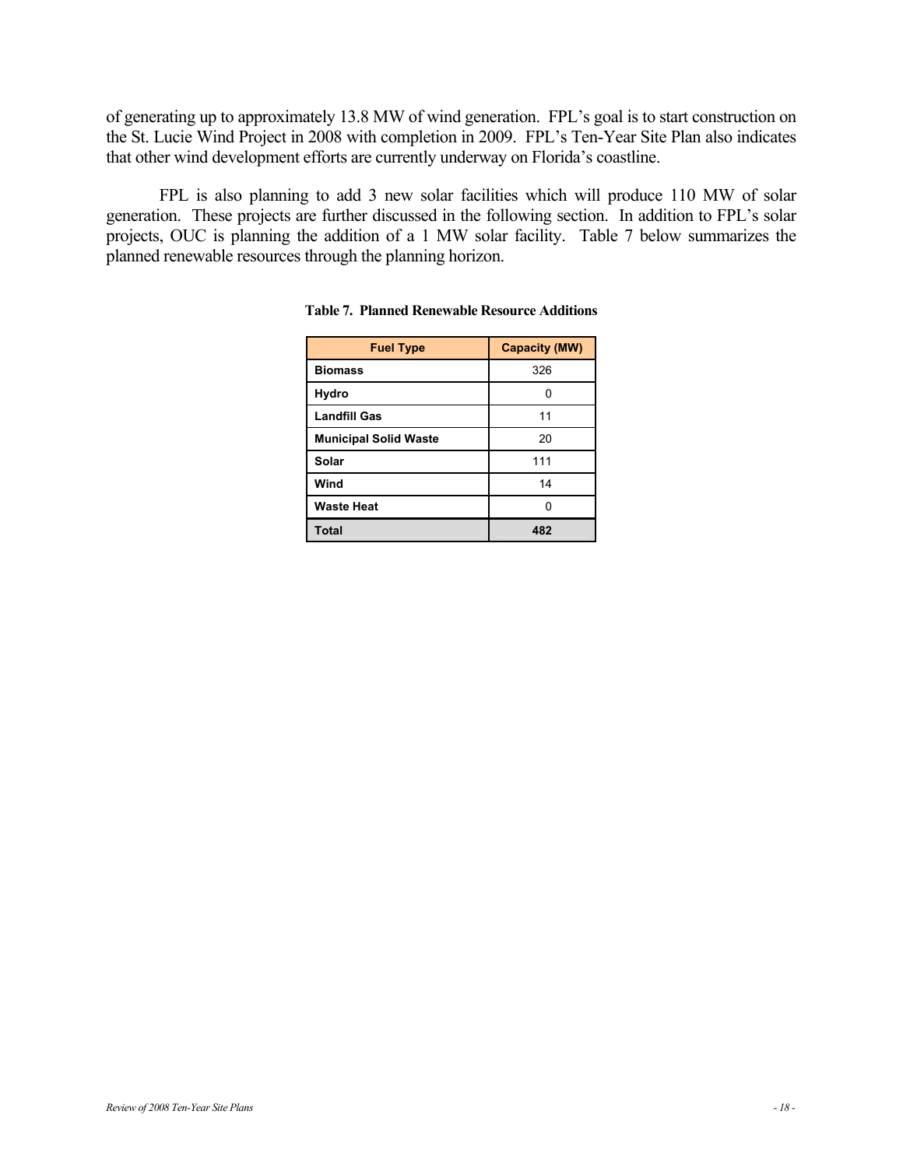of generating up to approximately 13.8 MW of wind generation. FPL's goal is to start construction on the St. Lucie Wind Project in 2008 with completion in 2009. FPL's Ten-Year Site Plan also indicates that other wind development efforts are currently underway on Florida's coastline.

FPL is also planning to add 3 new solar facilities which will produce 110 MW of solar generation. These projects are further discussed in the following section. In addition to FPL's solar projects, OUC is planning the addition of a 1 MW solar facility. Table 7 below summarizes the planned renewable resources through the planning horizon.

| <b>Fuel Type</b>             | <b>Capacity (MW)</b> |
|------------------------------|----------------------|
| <b>Biomass</b>               | 326                  |
| <b>Hydro</b>                 |                      |
| <b>Landfill Gas</b>          | 11                   |
| <b>Municipal Solid Waste</b> | 20                   |
| Solar                        | 111                  |
| Wind                         | 14                   |
| <b>Waste Heat</b>            |                      |
| <b>Total</b>                 | 482                  |

**Table 7. Planned Renewable Resource Additions**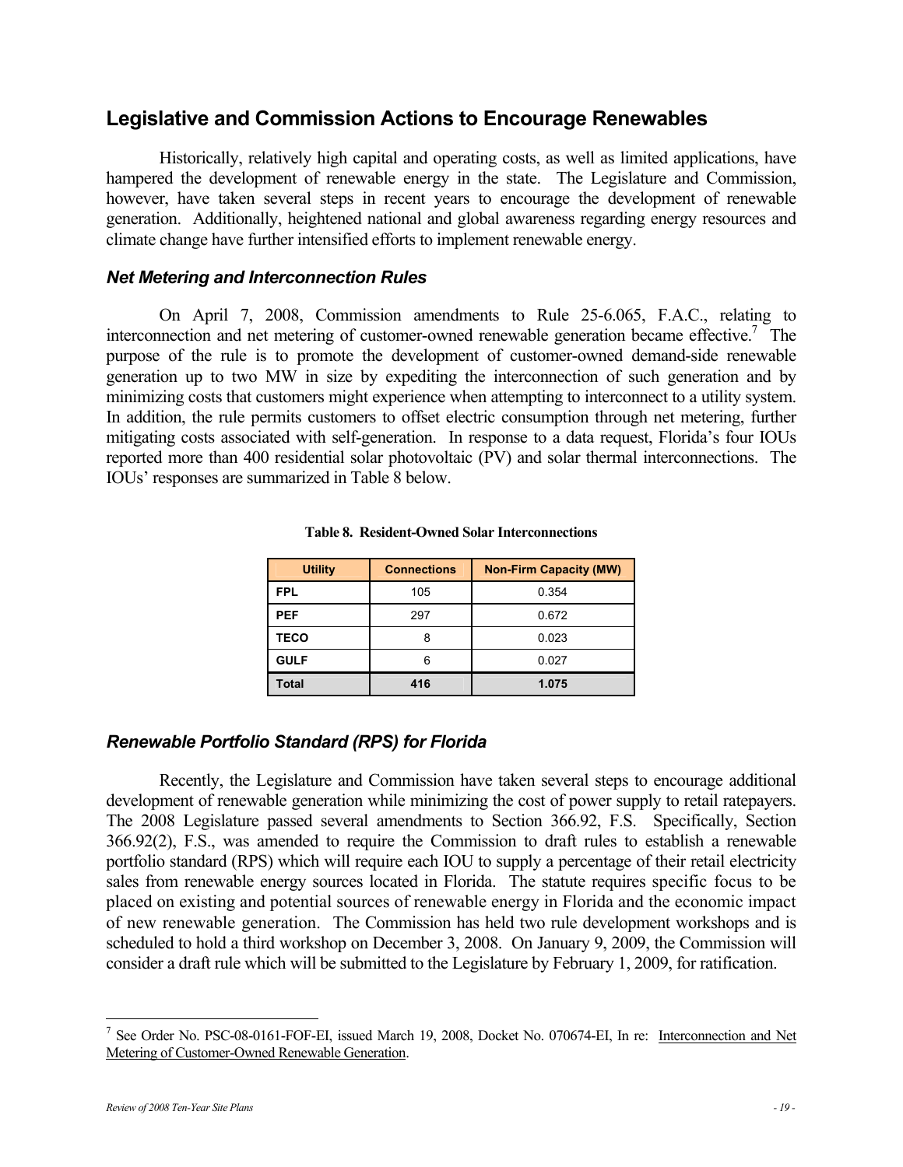## **Legislative and Commission Actions to Encourage Renewables**

Historically, relatively high capital and operating costs, as well as limited applications, have hampered the development of renewable energy in the state. The Legislature and Commission, however, have taken several steps in recent years to encourage the development of renewable generation. Additionally, heightened national and global awareness regarding energy resources and climate change have further intensified efforts to implement renewable energy.

#### *Net Metering and Interconnection Rules*

On April 7, 2008, Commission amendments to Rule 25-6.065, F.A.C., relating to interconnection and net metering of customer-owned renewable generation became effective.<sup>7</sup> The purpose of the rule is to promote the development of customer-owned demand-side renewable generation up to two MW in size by expediting the interconnection of such generation and by minimizing costs that customers might experience when attempting to interconnect to a utility system. In addition, the rule permits customers to offset electric consumption through net metering, further mitigating costs associated with self-generation. In response to a data request, Florida's four IOUs reported more than 400 residential solar photovoltaic (PV) and solar thermal interconnections. The IOUs' responses are summarized in Table 8 below.

| <b>Utility</b> | <b>Connections</b><br><b>Non-Firm Capacity (MW)</b> |       |
|----------------|-----------------------------------------------------|-------|
| <b>FPL</b>     | 105                                                 | 0.354 |
| <b>PEF</b>     | 297                                                 | 0.672 |
| <b>TECO</b>    | 8                                                   | 0.023 |
| <b>GULF</b>    | 6                                                   | 0.027 |
| <b>Total</b>   | 416                                                 | 1.075 |

**Table 8. Resident-Owned Solar Interconnections** 

### *Renewable Portfolio Standard (RPS) for Florida*

Recently, the Legislature and Commission have taken several steps to encourage additional development of renewable generation while minimizing the cost of power supply to retail ratepayers. The 2008 Legislature passed several amendments to Section 366.92, F.S. Specifically, Section 366.92(2), F.S., was amended to require the Commission to draft rules to establish a renewable portfolio standard (RPS) which will require each IOU to supply a percentage of their retail electricity sales from renewable energy sources located in Florida. The statute requires specific focus to be placed on existing and potential sources of renewable energy in Florida and the economic impact of new renewable generation. The Commission has held two rule development workshops and is scheduled to hold a third workshop on December 3, 2008. On January 9, 2009, the Commission will consider a draft rule which will be submitted to the Legislature by February 1, 2009, for ratification.

 $\overline{a}$ 

<sup>&</sup>lt;sup>7</sup> See Order No. PSC-08-0161-FOF-EI, issued March 19, 2008, Docket No. 070674-EI, In re: Interconnection and Net Metering of Customer-Owned Renewable Generation.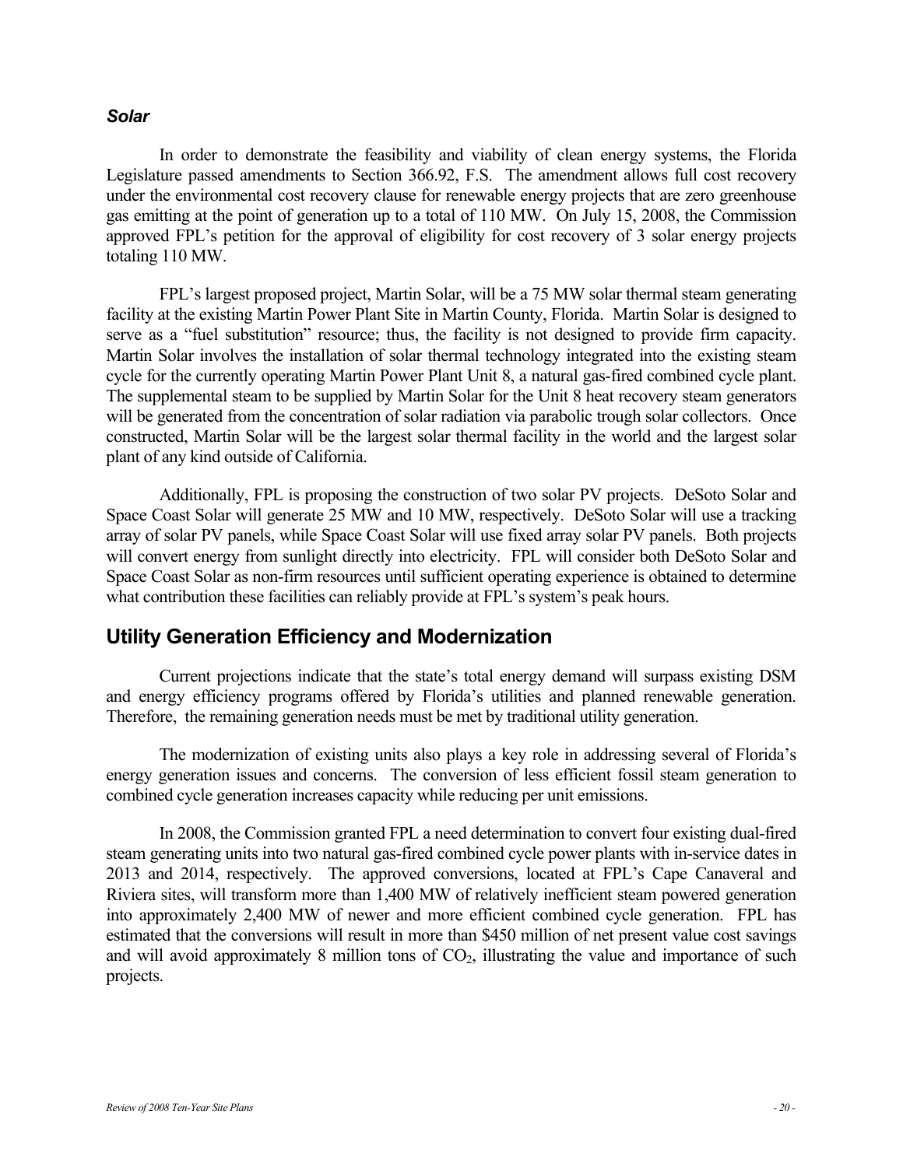#### *Solar*

In order to demonstrate the feasibility and viability of clean energy systems, the Florida Legislature passed amendments to Section 366.92, F.S. The amendment allows full cost recovery under the environmental cost recovery clause for renewable energy projects that are zero greenhouse gas emitting at the point of generation up to a total of 110 MW. On July 15, 2008, the Commission approved FPL's petition for the approval of eligibility for cost recovery of 3 solar energy projects totaling 110 MW.

FPL's largest proposed project, Martin Solar, will be a 75 MW solar thermal steam generating facility at the existing Martin Power Plant Site in Martin County, Florida. Martin Solar is designed to serve as a "fuel substitution" resource; thus, the facility is not designed to provide firm capacity. Martin Solar involves the installation of solar thermal technology integrated into the existing steam cycle for the currently operating Martin Power Plant Unit 8, a natural gas-fired combined cycle plant. The supplemental steam to be supplied by Martin Solar for the Unit 8 heat recovery steam generators will be generated from the concentration of solar radiation via parabolic trough solar collectors. Once constructed, Martin Solar will be the largest solar thermal facility in the world and the largest solar plant of any kind outside of California.

Additionally, FPL is proposing the construction of two solar PV projects. DeSoto Solar and Space Coast Solar will generate 25 MW and 10 MW, respectively. DeSoto Solar will use a tracking array of solar PV panels, while Space Coast Solar will use fixed array solar PV panels. Both projects will convert energy from sunlight directly into electricity. FPL will consider both DeSoto Solar and Space Coast Solar as non-firm resources until sufficient operating experience is obtained to determine what contribution these facilities can reliably provide at FPL's system's peak hours.

#### **Utility Generation Efficiency and Modernization**

Current projections indicate that the state's total energy demand will surpass existing DSM and energy efficiency programs offered by Florida's utilities and planned renewable generation. Therefore, the remaining generation needs must be met by traditional utility generation.

The modernization of existing units also plays a key role in addressing several of Florida's energy generation issues and concerns. The conversion of less efficient fossil steam generation to combined cycle generation increases capacity while reducing per unit emissions.

In 2008, the Commission granted FPL a need determination to convert four existing dual-fired steam generating units into two natural gas-fired combined cycle power plants with in-service dates in 2013 and 2014, respectively. The approved conversions, located at FPL's Cape Canaveral and Riviera sites, will transform more than 1,400 MW of relatively inefficient steam powered generation into approximately 2,400 MW of newer and more efficient combined cycle generation. FPL has estimated that the conversions will result in more than \$450 million of net present value cost savings and will avoid approximately 8 million tons of  $CO<sub>2</sub>$ , illustrating the value and importance of such projects.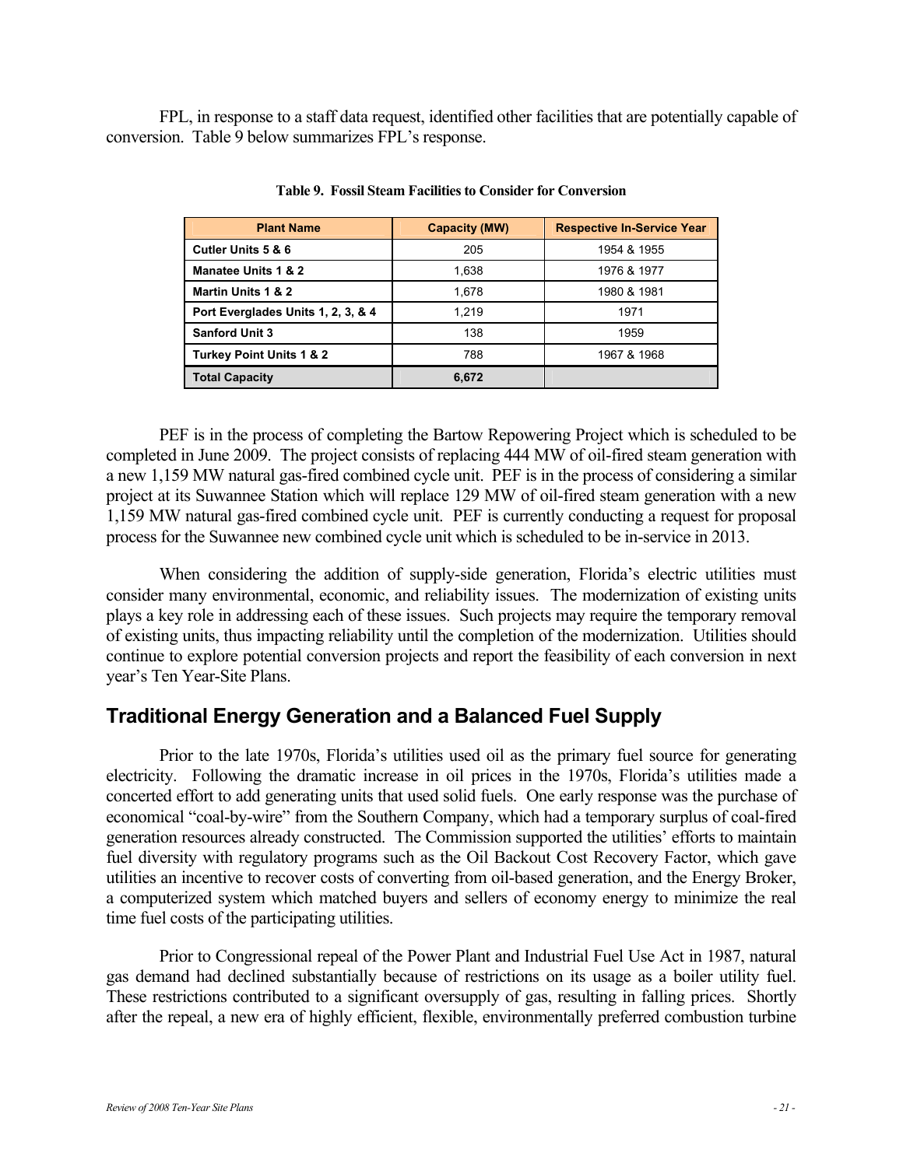FPL, in response to a staff data request, identified other facilities that are potentially capable of conversion. Table 9 below summarizes FPL's response.

| <b>Plant Name</b>                  | <b>Capacity (MW)</b> | <b>Respective In-Service Year</b> |
|------------------------------------|----------------------|-----------------------------------|
| <b>Cutler Units 5 &amp; 6</b>      | 205                  | 1954 & 1955                       |
| Manatee Units 1 & 2                | 1,638                | 1976 & 1977                       |
| Martin Units 1 & 2                 | 1.678                | 1980 & 1981                       |
| Port Everglades Units 1, 2, 3, & 4 | 1.219                | 1971                              |
| <b>Sanford Unit 3</b>              | 138                  | 1959                              |
| Turkey Point Units 1 & 2           | 788                  | 1967 & 1968                       |
| <b>Total Capacity</b>              | 6,672                |                                   |

**Table 9. Fossil Steam Facilities to Consider for Conversion** 

PEF is in the process of completing the Bartow Repowering Project which is scheduled to be completed in June 2009. The project consists of replacing 444 MW of oil-fired steam generation with a new 1,159 MW natural gas-fired combined cycle unit. PEF is in the process of considering a similar project at its Suwannee Station which will replace 129 MW of oil-fired steam generation with a new 1,159 MW natural gas-fired combined cycle unit. PEF is currently conducting a request for proposal process for the Suwannee new combined cycle unit which is scheduled to be in-service in 2013.

When considering the addition of supply-side generation, Florida's electric utilities must consider many environmental, economic, and reliability issues. The modernization of existing units plays a key role in addressing each of these issues. Such projects may require the temporary removal of existing units, thus impacting reliability until the completion of the modernization. Utilities should continue to explore potential conversion projects and report the feasibility of each conversion in next year's Ten Year-Site Plans.

## **Traditional Energy Generation and a Balanced Fuel Supply**

Prior to the late 1970s, Florida's utilities used oil as the primary fuel source for generating electricity. Following the dramatic increase in oil prices in the 1970s, Florida's utilities made a concerted effort to add generating units that used solid fuels. One early response was the purchase of economical "coal-by-wire" from the Southern Company, which had a temporary surplus of coal-fired generation resources already constructed. The Commission supported the utilities' efforts to maintain fuel diversity with regulatory programs such as the Oil Backout Cost Recovery Factor, which gave utilities an incentive to recover costs of converting from oil-based generation, and the Energy Broker, a computerized system which matched buyers and sellers of economy energy to minimize the real time fuel costs of the participating utilities.

Prior to Congressional repeal of the Power Plant and Industrial Fuel Use Act in 1987, natural gas demand had declined substantially because of restrictions on its usage as a boiler utility fuel. These restrictions contributed to a significant oversupply of gas, resulting in falling prices. Shortly after the repeal, a new era of highly efficient, flexible, environmentally preferred combustion turbine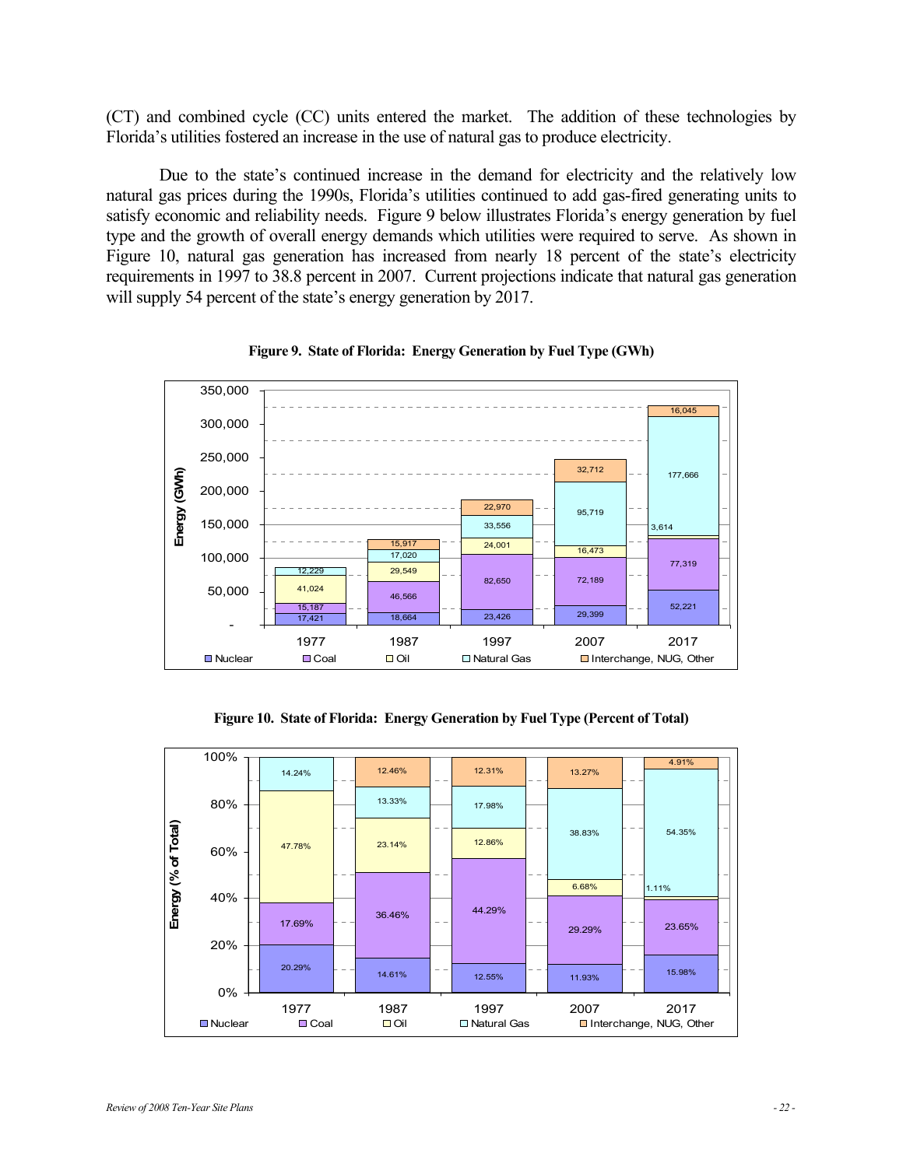(CT) and combined cycle (CC) units entered the market. The addition of these technologies by Florida's utilities fostered an increase in the use of natural gas to produce electricity.

Due to the state's continued increase in the demand for electricity and the relatively low natural gas prices during the 1990s, Florida's utilities continued to add gas-fired generating units to satisfy economic and reliability needs. Figure 9 below illustrates Florida's energy generation by fuel type and the growth of overall energy demands which utilities were required to serve. As shown in Figure 10, natural gas generation has increased from nearly 18 percent of the state's electricity requirements in 1997 to 38.8 percent in 2007. Current projections indicate that natural gas generation will supply 54 percent of the state's energy generation by 2017.





**Figure 10. State of Florida: Energy Generation by Fuel Type (Percent of Total)** 

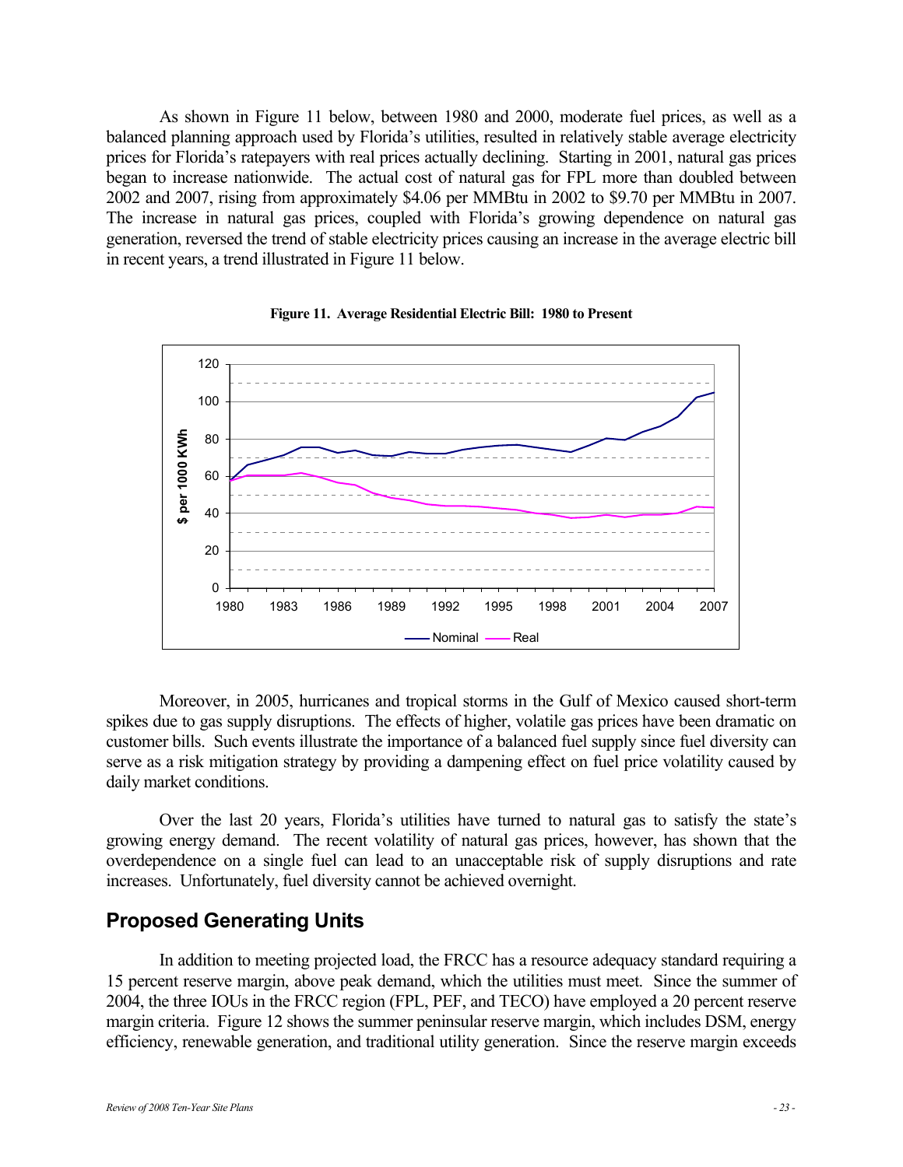As shown in Figure 11 below, between 1980 and 2000, moderate fuel prices, as well as a balanced planning approach used by Florida's utilities, resulted in relatively stable average electricity prices for Florida's ratepayers with real prices actually declining. Starting in 2001, natural gas prices began to increase nationwide. The actual cost of natural gas for FPL more than doubled between 2002 and 2007, rising from approximately \$4.06 per MMBtu in 2002 to \$9.70 per MMBtu in 2007. The increase in natural gas prices, coupled with Florida's growing dependence on natural gas generation, reversed the trend of stable electricity prices causing an increase in the average electric bill in recent years, a trend illustrated in Figure 11 below.





Moreover, in 2005, hurricanes and tropical storms in the Gulf of Mexico caused short-term spikes due to gas supply disruptions. The effects of higher, volatile gas prices have been dramatic on customer bills. Such events illustrate the importance of a balanced fuel supply since fuel diversity can serve as a risk mitigation strategy by providing a dampening effect on fuel price volatility caused by daily market conditions.

Over the last 20 years, Florida's utilities have turned to natural gas to satisfy the state's growing energy demand. The recent volatility of natural gas prices, however, has shown that the overdependence on a single fuel can lead to an unacceptable risk of supply disruptions and rate increases. Unfortunately, fuel diversity cannot be achieved overnight.

## **Proposed Generating Units**

In addition to meeting projected load, the FRCC has a resource adequacy standard requiring a 15 percent reserve margin, above peak demand, which the utilities must meet. Since the summer of 2004, the three IOUs in the FRCC region (FPL, PEF, and TECO) have employed a 20 percent reserve margin criteria. Figure 12 shows the summer peninsular reserve margin, which includes DSM, energy efficiency, renewable generation, and traditional utility generation. Since the reserve margin exceeds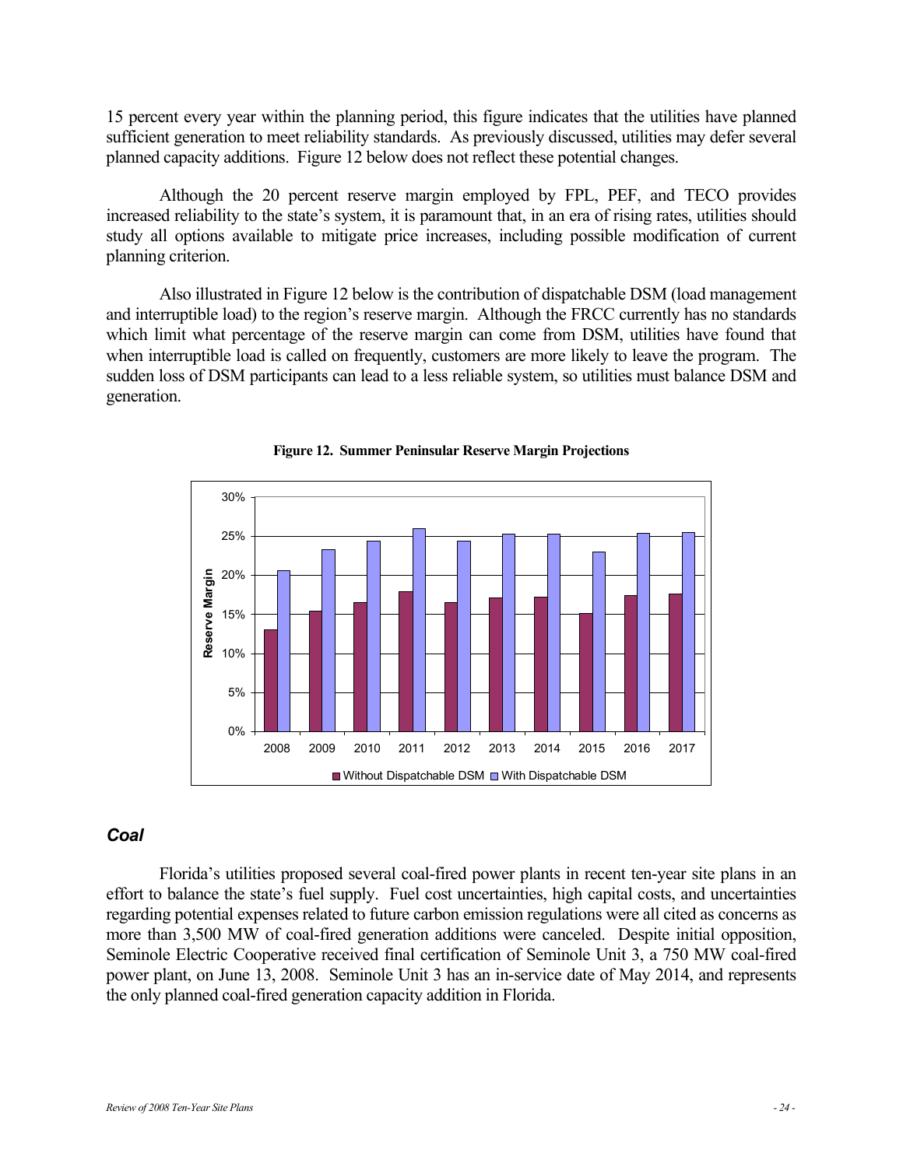15 percent every year within the planning period, this figure indicates that the utilities have planned sufficient generation to meet reliability standards. As previously discussed, utilities may defer several planned capacity additions. Figure 12 below does not reflect these potential changes.

Although the 20 percent reserve margin employed by FPL, PEF, and TECO provides increased reliability to the state's system, it is paramount that, in an era of rising rates, utilities should study all options available to mitigate price increases, including possible modification of current planning criterion.

Also illustrated in Figure 12 below is the contribution of dispatchable DSM (load management and interruptible load) to the region's reserve margin. Although the FRCC currently has no standards which limit what percentage of the reserve margin can come from DSM, utilities have found that when interruptible load is called on frequently, customers are more likely to leave the program. The sudden loss of DSM participants can lead to a less reliable system, so utilities must balance DSM and generation.





#### *Coal*

Florida's utilities proposed several coal-fired power plants in recent ten-year site plans in an effort to balance the state's fuel supply. Fuel cost uncertainties, high capital costs, and uncertainties regarding potential expenses related to future carbon emission regulations were all cited as concerns as more than 3,500 MW of coal-fired generation additions were canceled. Despite initial opposition, Seminole Electric Cooperative received final certification of Seminole Unit 3, a 750 MW coal-fired power plant, on June 13, 2008. Seminole Unit 3 has an in-service date of May 2014, and represents the only planned coal-fired generation capacity addition in Florida.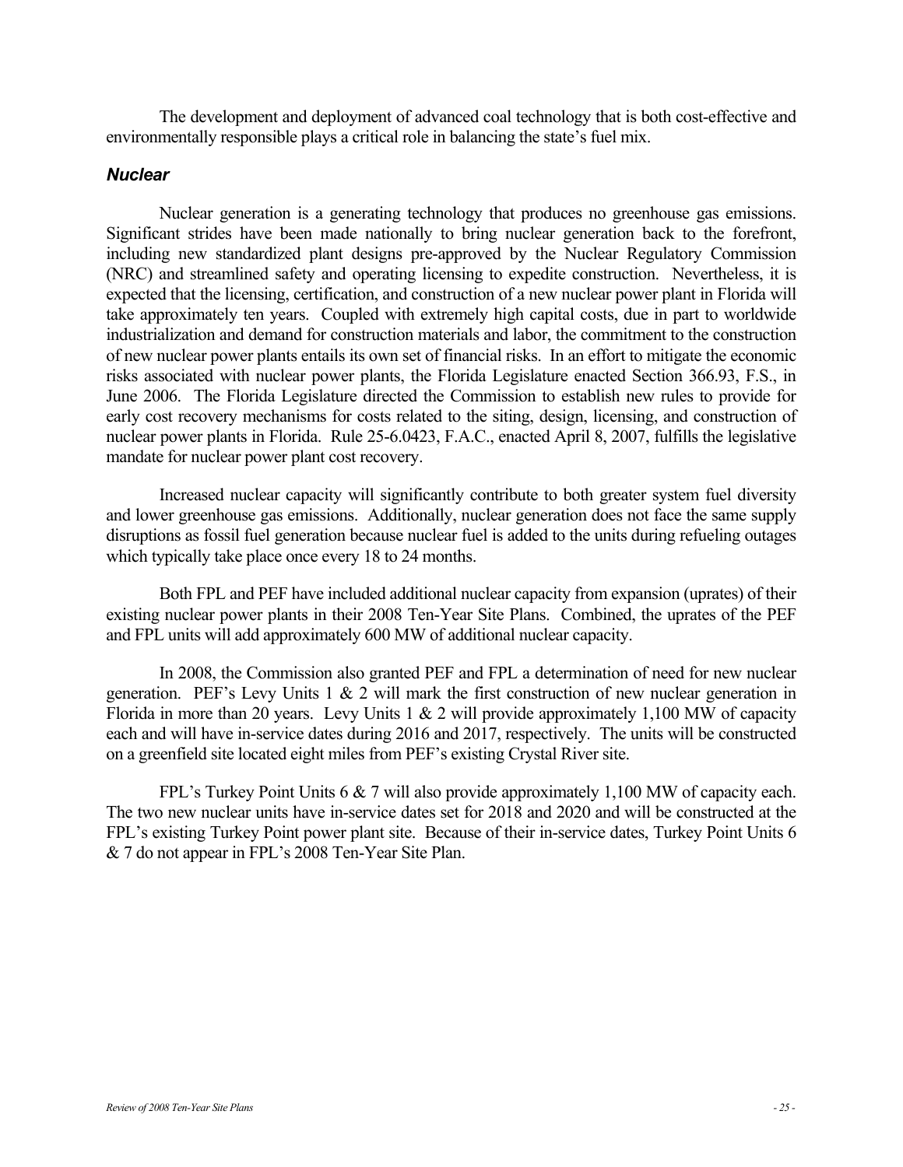The development and deployment of advanced coal technology that is both cost-effective and environmentally responsible plays a critical role in balancing the state's fuel mix.

#### *Nuclear*

Nuclear generation is a generating technology that produces no greenhouse gas emissions. Significant strides have been made nationally to bring nuclear generation back to the forefront, including new standardized plant designs pre-approved by the Nuclear Regulatory Commission (NRC) and streamlined safety and operating licensing to expedite construction. Nevertheless, it is expected that the licensing, certification, and construction of a new nuclear power plant in Florida will take approximately ten years. Coupled with extremely high capital costs, due in part to worldwide industrialization and demand for construction materials and labor, the commitment to the construction of new nuclear power plants entails its own set of financial risks. In an effort to mitigate the economic risks associated with nuclear power plants, the Florida Legislature enacted Section 366.93, F.S., in June 2006. The Florida Legislature directed the Commission to establish new rules to provide for early cost recovery mechanisms for costs related to the siting, design, licensing, and construction of nuclear power plants in Florida. Rule 25-6.0423, F.A.C., enacted April 8, 2007, fulfills the legislative mandate for nuclear power plant cost recovery.

Increased nuclear capacity will significantly contribute to both greater system fuel diversity and lower greenhouse gas emissions. Additionally, nuclear generation does not face the same supply disruptions as fossil fuel generation because nuclear fuel is added to the units during refueling outages which typically take place once every 18 to 24 months.

Both FPL and PEF have included additional nuclear capacity from expansion (uprates) of their existing nuclear power plants in their 2008 Ten-Year Site Plans. Combined, the uprates of the PEF and FPL units will add approximately 600 MW of additional nuclear capacity.

In 2008, the Commission also granted PEF and FPL a determination of need for new nuclear generation. PEF's Levy Units 1  $\&$  2 will mark the first construction of new nuclear generation in Florida in more than 20 years. Levy Units  $1 \& 2$  will provide approximately 1,100 MW of capacity each and will have in-service dates during 2016 and 2017, respectively. The units will be constructed on a greenfield site located eight miles from PEF's existing Crystal River site.

FPL's Turkey Point Units 6 & 7 will also provide approximately 1,100 MW of capacity each. The two new nuclear units have in-service dates set for 2018 and 2020 and will be constructed at the FPL's existing Turkey Point power plant site. Because of their in-service dates, Turkey Point Units 6 & 7 do not appear in FPL's 2008 Ten-Year Site Plan.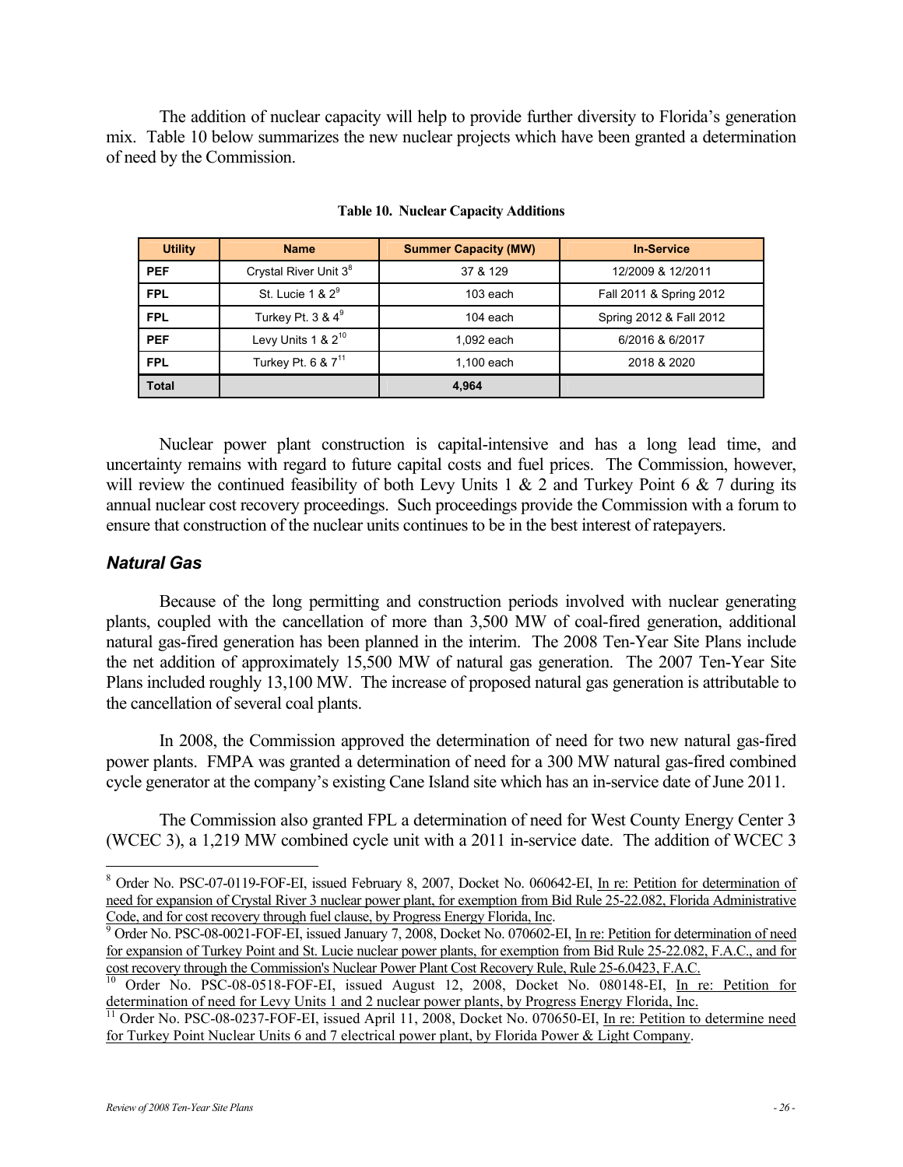The addition of nuclear capacity will help to provide further diversity to Florida's generation mix. Table 10 below summarizes the new nuclear projects which have been granted a determination of need by the Commission.

| <b>Utility</b> | <b>Name</b>                       | <b>Summer Capacity (MW)</b> | <b>In-Service</b>       |
|----------------|-----------------------------------|-----------------------------|-------------------------|
| <b>PEF</b>     | Crystal River Unit 3 <sup>8</sup> | 37 & 129                    | 12/2009 & 12/2011       |
| <b>FPL</b>     | St. Lucie 1 & $2^9$               | $103$ each                  | Fall 2011 & Spring 2012 |
| <b>FPL</b>     | Turkey Pt. $3 & 4^9$              | 104 each                    | Spring 2012 & Fall 2012 |
| <b>PEF</b>     | Levy Units $1 & 2^{10}$           | 1,092 each                  | 6/2016 & 6/2017         |
| <b>FPL</b>     | Turkey Pt. 6 & 7 <sup>11</sup>    | 1,100 each                  | 2018 & 2020             |
| <b>Total</b>   |                                   | 4.964                       |                         |

**Table 10. Nuclear Capacity Additions** 

Nuclear power plant construction is capital-intensive and has a long lead time, and uncertainty remains with regard to future capital costs and fuel prices. The Commission, however, will review the continued feasibility of both Levy Units 1  $\&$  2 and Turkey Point 6  $\&$  7 during its annual nuclear cost recovery proceedings. Such proceedings provide the Commission with a forum to ensure that construction of the nuclear units continues to be in the best interest of ratepayers.

#### *Natural Gas*

 $\overline{a}$ 

Because of the long permitting and construction periods involved with nuclear generating plants, coupled with the cancellation of more than 3,500 MW of coal-fired generation, additional natural gas-fired generation has been planned in the interim. The 2008 Ten-Year Site Plans include the net addition of approximately 15,500 MW of natural gas generation. The 2007 Ten-Year Site Plans included roughly 13,100 MW. The increase of proposed natural gas generation is attributable to the cancellation of several coal plants.

In 2008, the Commission approved the determination of need for two new natural gas-fired power plants. FMPA was granted a determination of need for a 300 MW natural gas-fired combined cycle generator at the company's existing Cane Island site which has an in-service date of June 2011.

The Commission also granted FPL a determination of need for West County Energy Center 3 (WCEC 3), a 1,219 MW combined cycle unit with a 2011 in-service date. The addition of WCEC 3

<sup>&</sup>lt;sup>8</sup> Order No. PSC-07-0119-FOF-EI, issued February 8, 2007, Docket No. 060642-EI, In re: Petition for determination of need for expansion of Crystal River 3 nuclear power plant, for exemption from Bid Rule 25-22.082, Florida Administrative Code, and for cost recovery through fuel clause, by Progress Energy Florida, Inc. 9

<sup>&</sup>lt;sup>9</sup> Order No. PSC-08-0021-FOF-EI, issued January 7, 2008, Docket No. 070602-EI, In re: Petition for determination of need for expansion of Turkey Point and St. Lucie nuclear power plants, for exemption from Bid Rule 25-22.082, F.A.C., and for

cost recovery through the Commission's Nuclear Power Plant Cost Recovery Rule, Rule 25-6.0423, F.A.C. 10 Order No. PSC-08-0518-FOF-EI, issued August 12, 2008, Docket No. 080148-EI, In re: Petition for determination of need for Levy Units 1 and 2 nuclear power plants, by Progress Energy Florida, Inc.

<sup>&</sup>lt;sup>11</sup> Order No. PSC-08-0237-FOF-EI, issued April 11, 2008, Docket No. 070650-EI, In re: Petition to determine need for Turkey Point Nuclear Units 6 and 7 electrical power plant, by Florida Power & Light Company.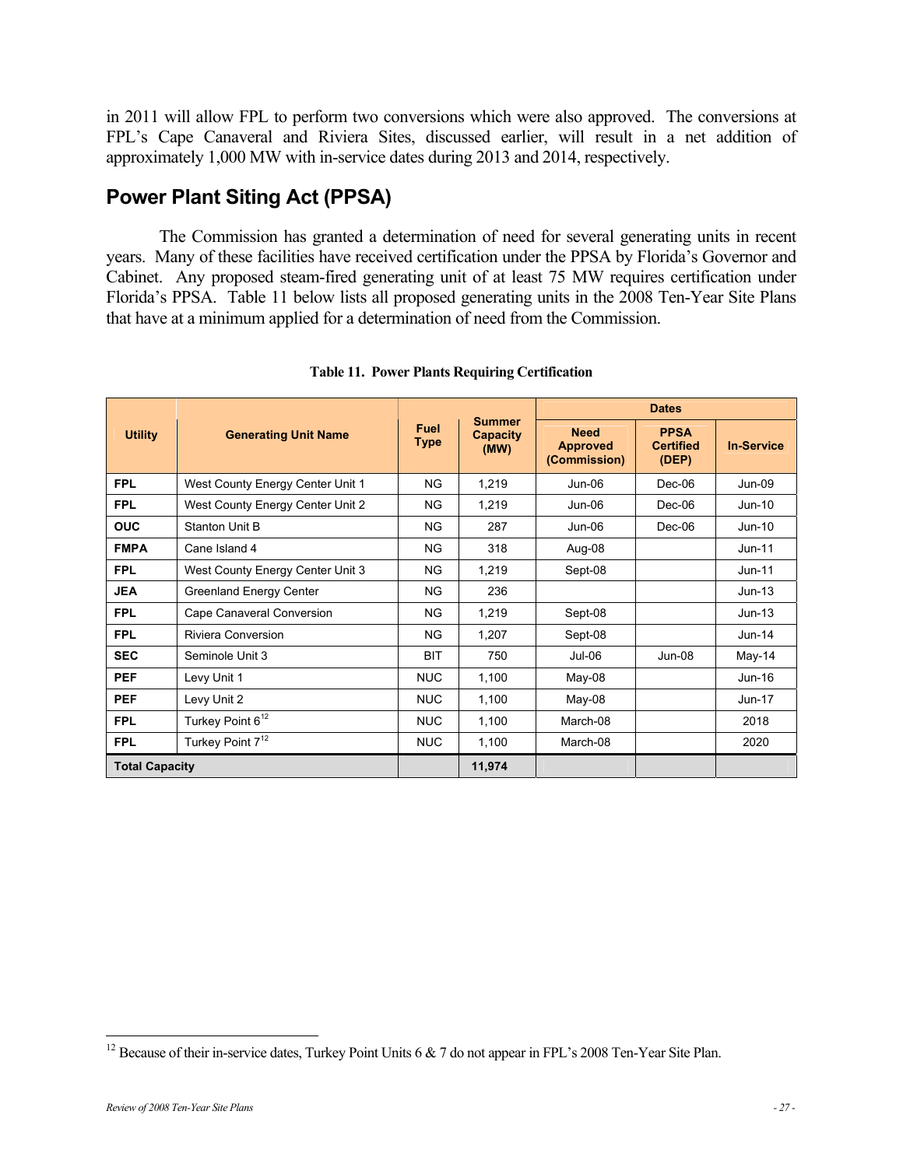in 2011 will allow FPL to perform two conversions which were also approved. The conversions at FPL's Cape Canaveral and Riviera Sites, discussed earlier, will result in a net addition of approximately 1,000 MW with in-service dates during 2013 and 2014, respectively.

## **Power Plant Siting Act (PPSA)**

The Commission has granted a determination of need for several generating units in recent years. Many of these facilities have received certification under the PPSA by Florida's Governor and Cabinet. Any proposed steam-fired generating unit of at least 75 MW requires certification under Florida's PPSA. Table 11 below lists all proposed generating units in the 2008 Ten-Year Site Plans that have at a minimum applied for a determination of need from the Commission.

| <b>Utility</b>        | <b>Generating Unit Name</b>      | Fuel<br><b>Type</b> | <b>Summer</b><br><b>Capacity</b><br>(MW) | <b>Dates</b>                                   |                                          |                   |  |
|-----------------------|----------------------------------|---------------------|------------------------------------------|------------------------------------------------|------------------------------------------|-------------------|--|
|                       |                                  |                     |                                          | <b>Need</b><br><b>Approved</b><br>(Commission) | <b>PPSA</b><br><b>Certified</b><br>(DEP) | <b>In-Service</b> |  |
| <b>FPL</b>            | West County Energy Center Unit 1 | <b>NG</b>           | 1,219                                    | $Jun-06$                                       | $Dec-06$                                 | $Jun-09$          |  |
| <b>FPL</b>            | West County Energy Center Unit 2 | <b>NG</b>           | 1,219                                    | $Jun-06$                                       | $Dec-06$                                 | $Jun-10$          |  |
| <b>OUC</b>            | Stanton Unit B                   | <b>NG</b>           | 287                                      | Jun-06                                         | $Dec-06$                                 | Jun-10            |  |
| <b>FMPA</b>           | Cane Island 4                    | NG.                 | 318                                      | Aug-08                                         |                                          | $Jun-11$          |  |
| <b>FPL</b>            | West County Energy Center Unit 3 | <b>NG</b>           | 1,219                                    | Sept-08                                        |                                          | $Jun-11$          |  |
| <b>JEA</b>            | <b>Greenland Energy Center</b>   | <b>NG</b>           | 236                                      |                                                |                                          | $Jun-13$          |  |
| <b>FPL</b>            | Cape Canaveral Conversion        | <b>NG</b>           | 1,219                                    | Sept-08                                        |                                          | $Jun-13$          |  |
| <b>FPL</b>            | Riviera Conversion               | NG.                 | 1,207                                    | Sept-08                                        |                                          | $Jun-14$          |  |
| <b>SEC</b>            | Seminole Unit 3                  | <b>BIT</b>          | 750                                      | $Jul-06$                                       | $Jun-08$                                 | $May-14$          |  |
| <b>PEF</b>            | Levy Unit 1                      | <b>NUC</b>          | 1,100                                    | $May-08$                                       |                                          | $Jun-16$          |  |
| <b>PEF</b>            | Levy Unit 2                      | <b>NUC</b>          | 1,100                                    | $May-08$                                       |                                          | Jun-17            |  |
| <b>FPL</b>            | Turkey Point 6 <sup>12</sup>     | <b>NUC</b>          | 1,100                                    | March-08                                       |                                          | 2018              |  |
| <b>FPL</b>            | Turkey Point 7 <sup>12</sup>     | <b>NUC</b>          | 1,100                                    | March-08                                       |                                          | 2020              |  |
| <b>Total Capacity</b> |                                  |                     | 11,974                                   |                                                |                                          |                   |  |

**Table 11. Power Plants Requiring Certification** 

 $\overline{a}$ <sup>12</sup> Because of their in-service dates, Turkey Point Units  $6 \& 7$  do not appear in FPL's 2008 Ten-Year Site Plan.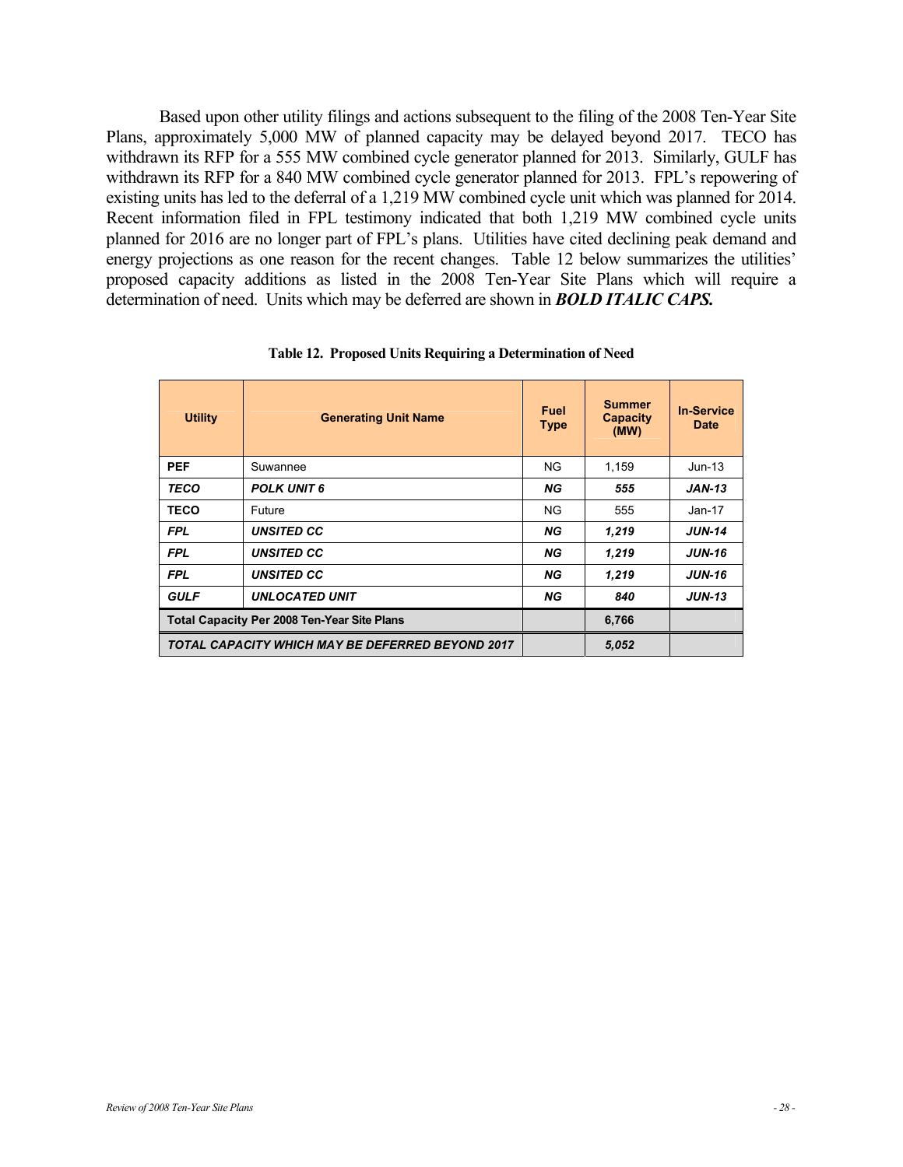Based upon other utility filings and actions subsequent to the filing of the 2008 Ten-Year Site Plans, approximately 5,000 MW of planned capacity may be delayed beyond 2017. TECO has withdrawn its RFP for a 555 MW combined cycle generator planned for 2013. Similarly, GULF has withdrawn its RFP for a 840 MW combined cycle generator planned for 2013. FPL's repowering of existing units has led to the deferral of a 1,219 MW combined cycle unit which was planned for 2014. Recent information filed in FPL testimony indicated that both 1,219 MW combined cycle units planned for 2016 are no longer part of FPL's plans. Utilities have cited declining peak demand and energy projections as one reason for the recent changes. Table 12 below summarizes the utilities' proposed capacity additions as listed in the 2008 Ten-Year Site Plans which will require a determination of need. Units which may be deferred are shown in *BOLD ITALIC CAPS.*

| <b>Utility</b>                                          | <b>Generating Unit Name</b> | <b>Fuel</b><br><b>Type</b> | <b>Summer</b><br><b>Capacity</b><br>(MW) | <b>In-Service</b><br><b>Date</b> |
|---------------------------------------------------------|-----------------------------|----------------------------|------------------------------------------|----------------------------------|
| <b>PEF</b>                                              | Suwannee                    | NG                         | 1,159                                    | $Jun-13$                         |
| <b>TECO</b>                                             | <b>POLK UNIT 6</b>          | NG                         | 555                                      | $JAN-13$                         |
| <b>TECO</b>                                             | Future                      | <b>NG</b>                  | 555                                      | Jan-17                           |
| <b>FPL</b>                                              | <b>UNSITED CC</b>           | NG.                        | 1,219                                    | <b>JUN-14</b>                    |
| <b>FPL</b>                                              | <b>UNSITED CC</b>           | NG.                        | 1,219                                    | <b>JUN-16</b>                    |
| <b>FPL</b>                                              | <b>UNSITED CC</b>           | NG.                        | 1,219                                    | <b>JUN-16</b>                    |
| <b>GULF</b>                                             | <b>UNLOCATED UNIT</b>       | <b>NG</b>                  | 840                                      | <b>JUN-13</b>                    |
| <b>Total Capacity Per 2008 Ten-Year Site Plans</b>      |                             |                            | 6,766                                    |                                  |
| <b>TOTAL CAPACITY WHICH MAY BE DEFERRED BEYOND 2017</b> |                             |                            | 5,052                                    |                                  |

**Table 12. Proposed Units Requiring a Determination of Need**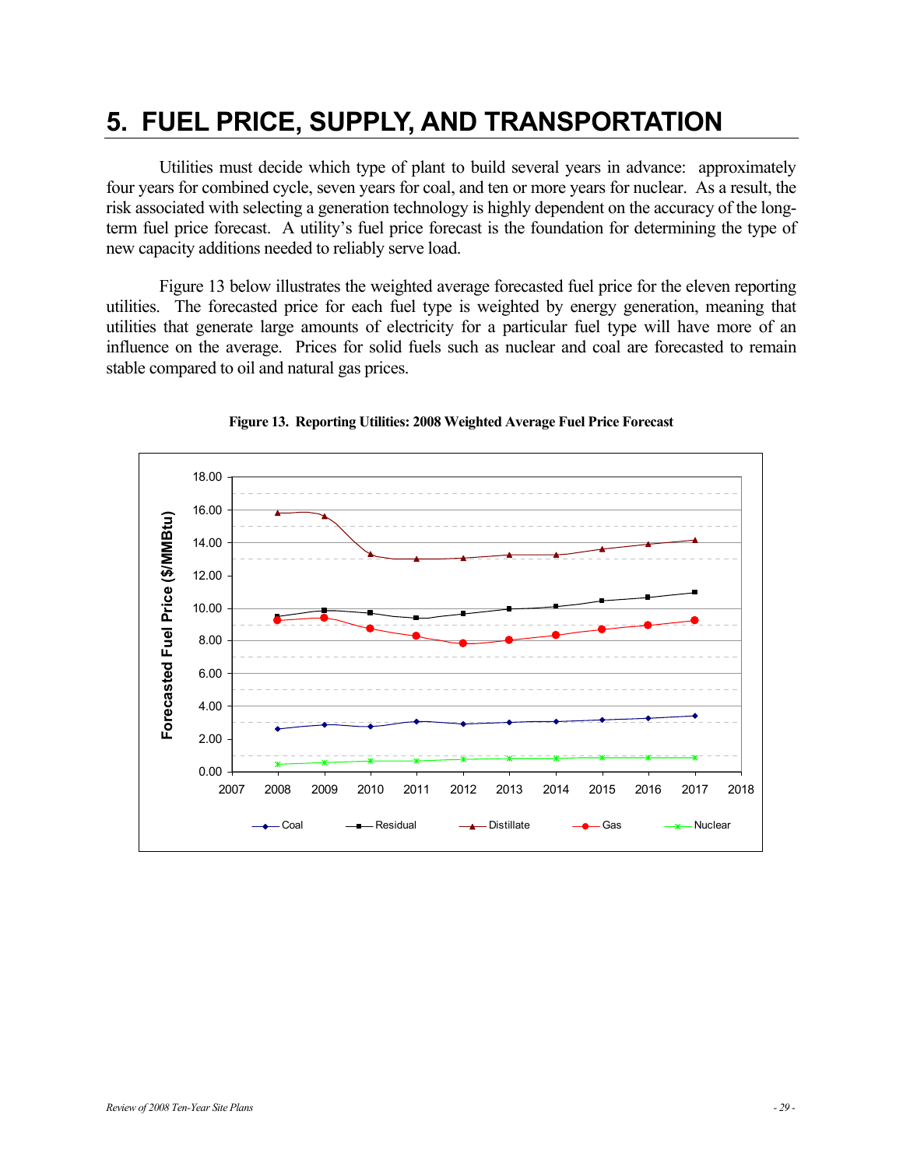## **5. FUEL PRICE, SUPPLY, AND TRANSPORTATION**

Utilities must decide which type of plant to build several years in advance: approximately four years for combined cycle, seven years for coal, and ten or more years for nuclear. As a result, the risk associated with selecting a generation technology is highly dependent on the accuracy of the longterm fuel price forecast. A utility's fuel price forecast is the foundation for determining the type of new capacity additions needed to reliably serve load.

Figure 13 below illustrates the weighted average forecasted fuel price for the eleven reporting utilities. The forecasted price for each fuel type is weighted by energy generation, meaning that utilities that generate large amounts of electricity for a particular fuel type will have more of an influence on the average. Prices for solid fuels such as nuclear and coal are forecasted to remain stable compared to oil and natural gas prices.



**Figure 13. Reporting Utilities: 2008 Weighted Average Fuel Price Forecast**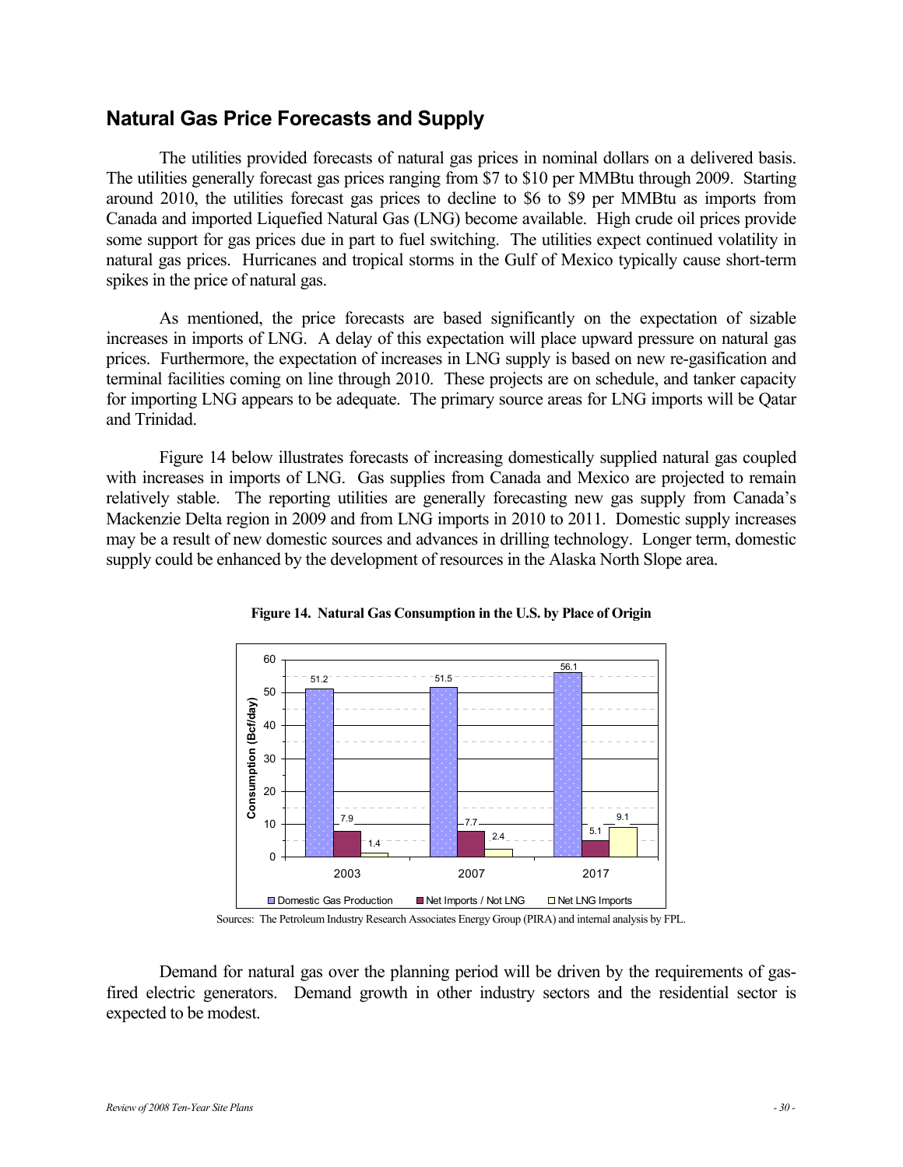### **Natural Gas Price Forecasts and Supply**

The utilities provided forecasts of natural gas prices in nominal dollars on a delivered basis. The utilities generally forecast gas prices ranging from \$7 to \$10 per MMBtu through 2009. Starting around 2010, the utilities forecast gas prices to decline to \$6 to \$9 per MMBtu as imports from Canada and imported Liquefied Natural Gas (LNG) become available. High crude oil prices provide some support for gas prices due in part to fuel switching. The utilities expect continued volatility in natural gas prices. Hurricanes and tropical storms in the Gulf of Mexico typically cause short-term spikes in the price of natural gas.

As mentioned, the price forecasts are based significantly on the expectation of sizable increases in imports of LNG. A delay of this expectation will place upward pressure on natural gas prices. Furthermore, the expectation of increases in LNG supply is based on new re-gasification and terminal facilities coming on line through 2010. These projects are on schedule, and tanker capacity for importing LNG appears to be adequate. The primary source areas for LNG imports will be Qatar and Trinidad.

Figure 14 below illustrates forecasts of increasing domestically supplied natural gas coupled with increases in imports of LNG. Gas supplies from Canada and Mexico are projected to remain relatively stable. The reporting utilities are generally forecasting new gas supply from Canada's Mackenzie Delta region in 2009 and from LNG imports in 2010 to 2011. Domestic supply increases may be a result of new domestic sources and advances in drilling technology. Longer term, domestic supply could be enhanced by the development of resources in the Alaska North Slope area.



**Figure 14. Natural Gas Consumption in the U.S. by Place of Origin** 

Sources: The Petroleum Industry Research Associates Energy Group (PIRA) and internal analysis by FPL.

Demand for natural gas over the planning period will be driven by the requirements of gasfired electric generators. Demand growth in other industry sectors and the residential sector is expected to be modest.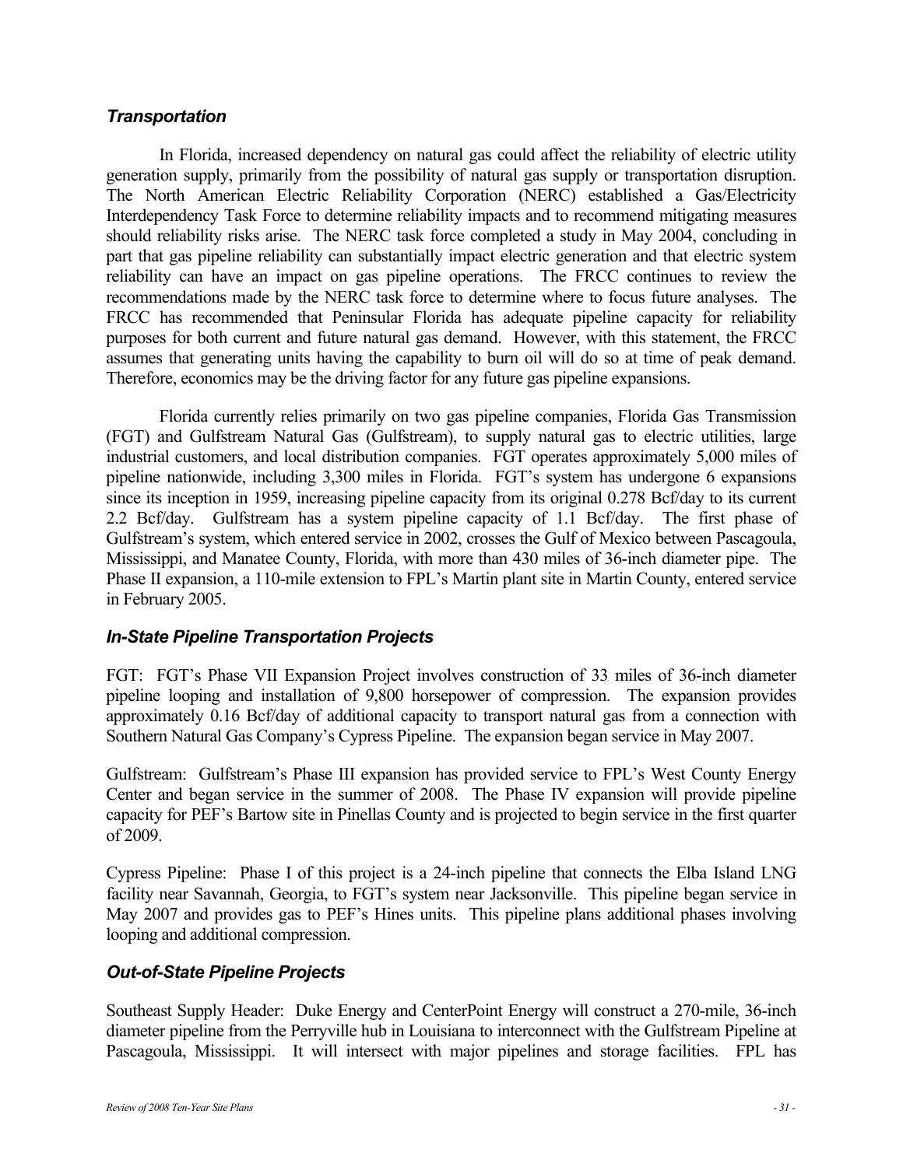#### *Transportation*

In Florida, increased dependency on natural gas could affect the reliability of electric utility generation supply, primarily from the possibility of natural gas supply or transportation disruption. The North American Electric Reliability Corporation (NERC) established a Gas/Electricity Interdependency Task Force to determine reliability impacts and to recommend mitigating measures should reliability risks arise. The NERC task force completed a study in May 2004, concluding in part that gas pipeline reliability can substantially impact electric generation and that electric system reliability can have an impact on gas pipeline operations. The FRCC continues to review the recommendations made by the NERC task force to determine where to focus future analyses. The FRCC has recommended that Peninsular Florida has adequate pipeline capacity for reliability purposes for both current and future natural gas demand. However, with this statement, the FRCC assumes that generating units having the capability to burn oil will do so at time of peak demand. Therefore, economics may be the driving factor for any future gas pipeline expansions.

Florida currently relies primarily on two gas pipeline companies, Florida Gas Transmission (FGT) and Gulfstream Natural Gas (Gulfstream), to supply natural gas to electric utilities, large industrial customers, and local distribution companies. FGT operates approximately 5,000 miles of pipeline nationwide, including 3,300 miles in Florida. FGT's system has undergone 6 expansions since its inception in 1959, increasing pipeline capacity from its original 0.278 Bcf/day to its current 2.2 Bcf/day. Gulfstream has a system pipeline capacity of 1.1 Bcf/day. The first phase of Gulfstream's system, which entered service in 2002, crosses the Gulf of Mexico between Pascagoula, Mississippi, and Manatee County, Florida, with more than 430 miles of 36-inch diameter pipe. The Phase II expansion, a 110-mile extension to FPL's Martin plant site in Martin County, entered service in February 2005.

#### *In-State Pipeline Transportation Projects*

FGT: FGT's Phase VII Expansion Project involves construction of 33 miles of 36-inch diameter pipeline looping and installation of 9,800 horsepower of compression. The expansion provides approximately 0.16 Bcf/day of additional capacity to transport natural gas from a connection with Southern Natural Gas Company's Cypress Pipeline. The expansion began service in May 2007.

Gulfstream: Gulfstream's Phase III expansion has provided service to FPL's West County Energy Center and began service in the summer of 2008. The Phase IV expansion will provide pipeline capacity for PEF's Bartow site in Pinellas County and is projected to begin service in the first quarter of 2009.

Cypress Pipeline: Phase I of this project is a 24-inch pipeline that connects the Elba Island LNG facility near Savannah, Georgia, to FGT's system near Jacksonville. This pipeline began service in May 2007 and provides gas to PEF's Hines units. This pipeline plans additional phases involving looping and additional compression.

#### *Out-of-State Pipeline Projects*

Southeast Supply Header: Duke Energy and CenterPoint Energy will construct a 270-mile, 36-inch diameter pipeline from the Perryville hub in Louisiana to interconnect with the Gulfstream Pipeline at Pascagoula, Mississippi. It will intersect with major pipelines and storage facilities. FPL has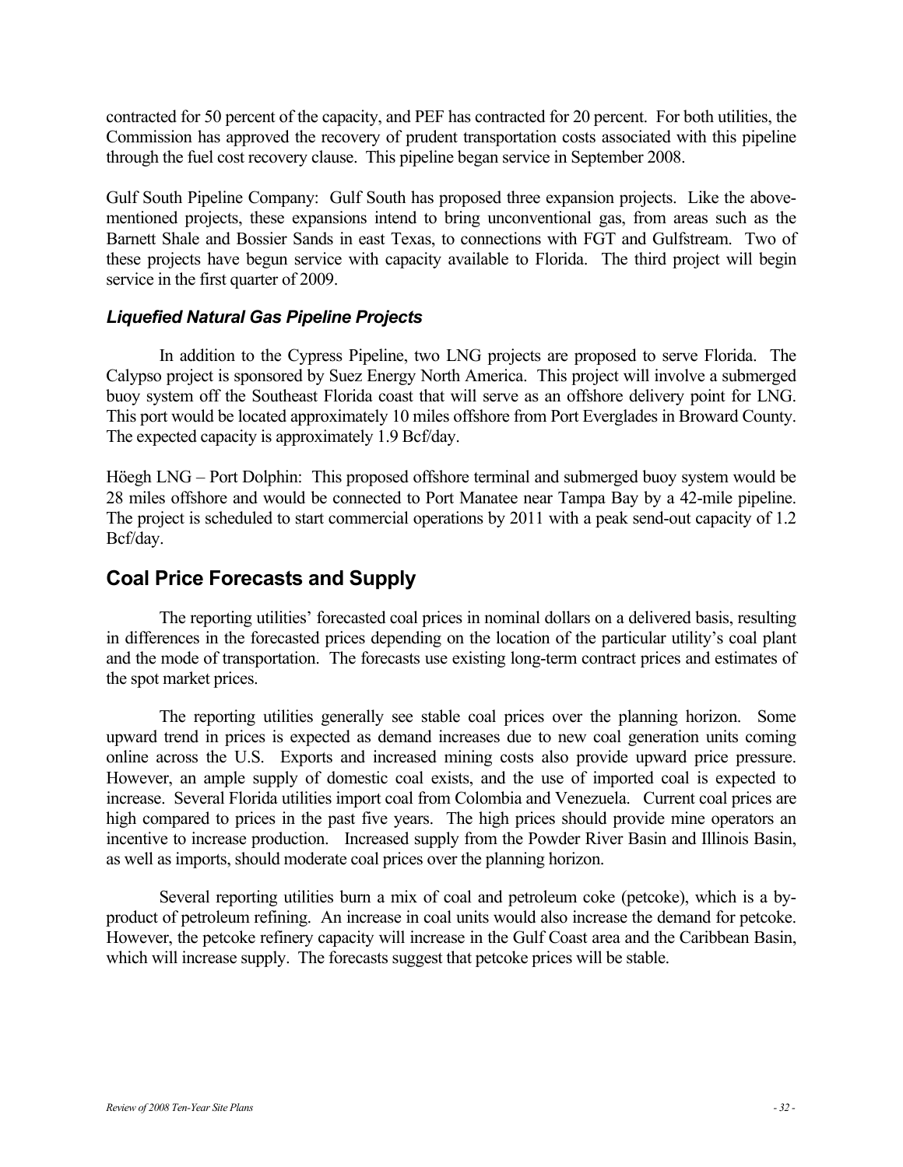contracted for 50 percent of the capacity, and PEF has contracted for 20 percent. For both utilities, the Commission has approved the recovery of prudent transportation costs associated with this pipeline through the fuel cost recovery clause. This pipeline began service in September 2008.

Gulf South Pipeline Company: Gulf South has proposed three expansion projects. Like the abovementioned projects, these expansions intend to bring unconventional gas, from areas such as the Barnett Shale and Bossier Sands in east Texas, to connections with FGT and Gulfstream. Two of these projects have begun service with capacity available to Florida. The third project will begin service in the first quarter of 2009.

#### *Liquefied Natural Gas Pipeline Projects*

In addition to the Cypress Pipeline, two LNG projects are proposed to serve Florida. The Calypso project is sponsored by Suez Energy North America. This project will involve a submerged buoy system off the Southeast Florida coast that will serve as an offshore delivery point for LNG. This port would be located approximately 10 miles offshore from Port Everglades in Broward County. The expected capacity is approximately 1.9 Bcf/day.

Höegh LNG – Port Dolphin: This proposed offshore terminal and submerged buoy system would be 28 miles offshore and would be connected to Port Manatee near Tampa Bay by a 42-mile pipeline. The project is scheduled to start commercial operations by 2011 with a peak send-out capacity of 1.2 Bcf/day.

## **Coal Price Forecasts and Supply**

The reporting utilities' forecasted coal prices in nominal dollars on a delivered basis, resulting in differences in the forecasted prices depending on the location of the particular utility's coal plant and the mode of transportation. The forecasts use existing long-term contract prices and estimates of the spot market prices.

The reporting utilities generally see stable coal prices over the planning horizon. Some upward trend in prices is expected as demand increases due to new coal generation units coming online across the U.S. Exports and increased mining costs also provide upward price pressure. However, an ample supply of domestic coal exists, and the use of imported coal is expected to increase. Several Florida utilities import coal from Colombia and Venezuela. Current coal prices are high compared to prices in the past five years. The high prices should provide mine operators an incentive to increase production. Increased supply from the Powder River Basin and Illinois Basin, as well as imports, should moderate coal prices over the planning horizon.

Several reporting utilities burn a mix of coal and petroleum coke (petcoke), which is a byproduct of petroleum refining. An increase in coal units would also increase the demand for petcoke. However, the petcoke refinery capacity will increase in the Gulf Coast area and the Caribbean Basin, which will increase supply. The forecasts suggest that petcoke prices will be stable.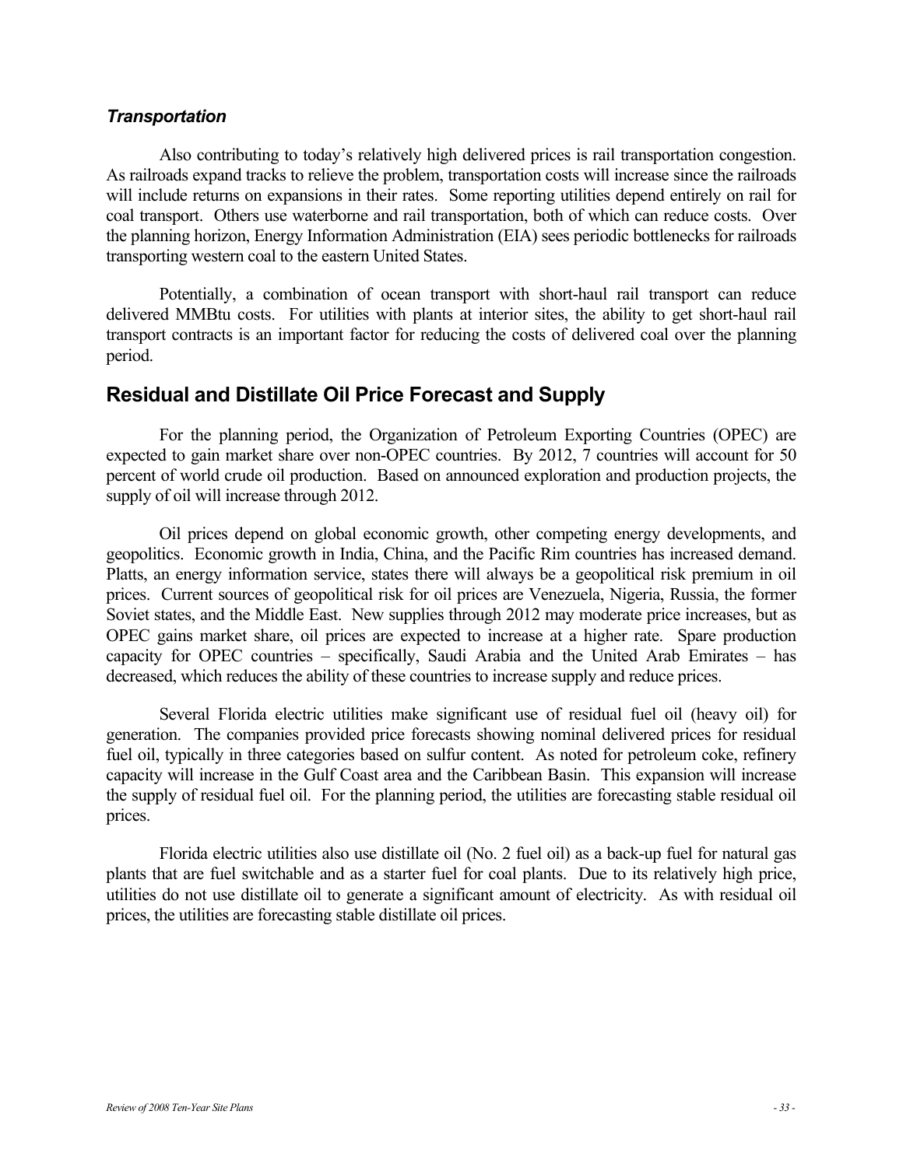#### *Transportation*

Also contributing to today's relatively high delivered prices is rail transportation congestion. As railroads expand tracks to relieve the problem, transportation costs will increase since the railroads will include returns on expansions in their rates. Some reporting utilities depend entirely on rail for coal transport. Others use waterborne and rail transportation, both of which can reduce costs. Over the planning horizon, Energy Information Administration (EIA) sees periodic bottlenecks for railroads transporting western coal to the eastern United States.

Potentially, a combination of ocean transport with short-haul rail transport can reduce delivered MMBtu costs. For utilities with plants at interior sites, the ability to get short-haul rail transport contracts is an important factor for reducing the costs of delivered coal over the planning period.

## **Residual and Distillate Oil Price Forecast and Supply**

For the planning period, the Organization of Petroleum Exporting Countries (OPEC) are expected to gain market share over non-OPEC countries. By 2012, 7 countries will account for 50 percent of world crude oil production. Based on announced exploration and production projects, the supply of oil will increase through 2012.

Oil prices depend on global economic growth, other competing energy developments, and geopolitics. Economic growth in India, China, and the Pacific Rim countries has increased demand. Platts, an energy information service, states there will always be a geopolitical risk premium in oil prices. Current sources of geopolitical risk for oil prices are Venezuela, Nigeria, Russia, the former Soviet states, and the Middle East. New supplies through 2012 may moderate price increases, but as OPEC gains market share, oil prices are expected to increase at a higher rate. Spare production capacity for OPEC countries – specifically, Saudi Arabia and the United Arab Emirates – has decreased, which reduces the ability of these countries to increase supply and reduce prices.

Several Florida electric utilities make significant use of residual fuel oil (heavy oil) for generation. The companies provided price forecasts showing nominal delivered prices for residual fuel oil, typically in three categories based on sulfur content. As noted for petroleum coke, refinery capacity will increase in the Gulf Coast area and the Caribbean Basin. This expansion will increase the supply of residual fuel oil. For the planning period, the utilities are forecasting stable residual oil prices.

Florida electric utilities also use distillate oil (No. 2 fuel oil) as a back-up fuel for natural gas plants that are fuel switchable and as a starter fuel for coal plants. Due to its relatively high price, utilities do not use distillate oil to generate a significant amount of electricity. As with residual oil prices, the utilities are forecasting stable distillate oil prices.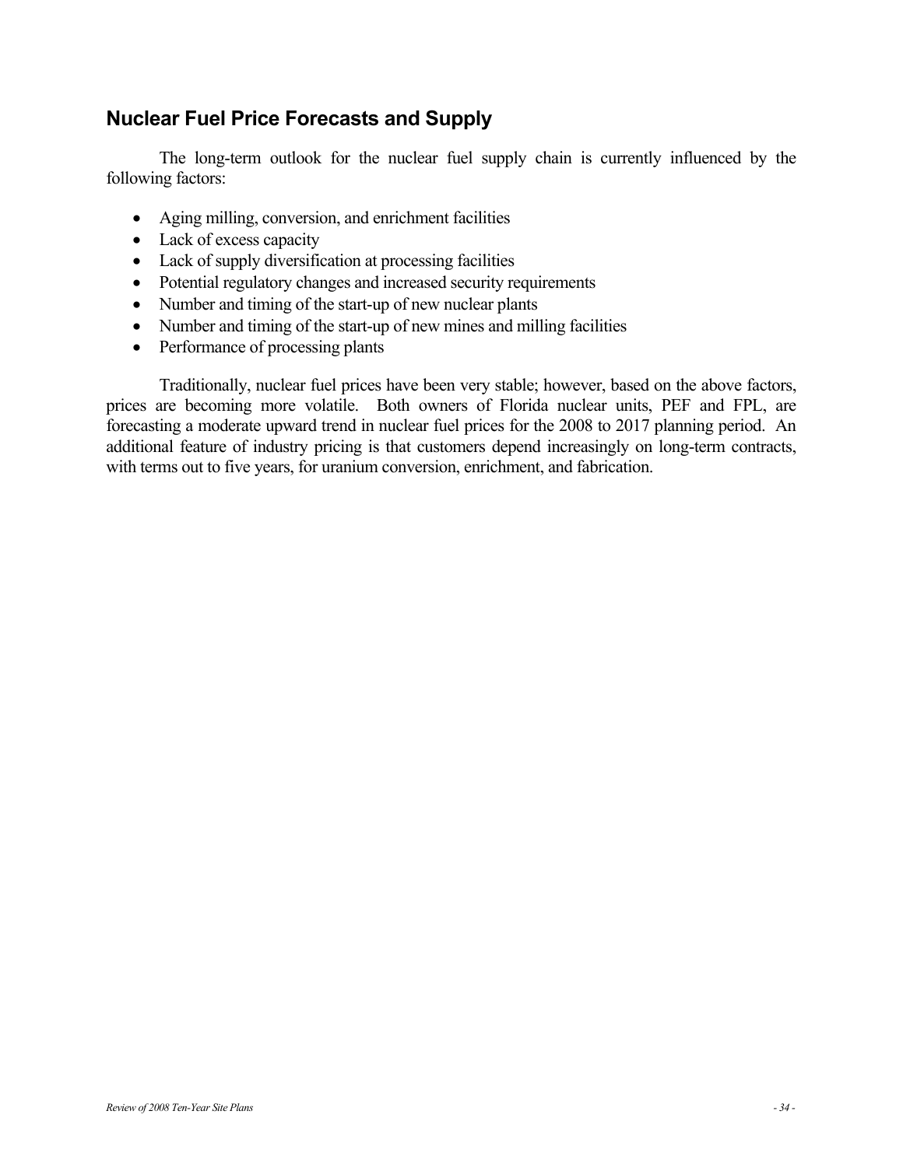## **Nuclear Fuel Price Forecasts and Supply**

The long-term outlook for the nuclear fuel supply chain is currently influenced by the following factors:

- Aging milling, conversion, and enrichment facilities
- Lack of excess capacity
- Lack of supply diversification at processing facilities
- Potential regulatory changes and increased security requirements
- Number and timing of the start-up of new nuclear plants
- Number and timing of the start-up of new mines and milling facilities
- Performance of processing plants

Traditionally, nuclear fuel prices have been very stable; however, based on the above factors, prices are becoming more volatile. Both owners of Florida nuclear units, PEF and FPL, are forecasting a moderate upward trend in nuclear fuel prices for the 2008 to 2017 planning period. An additional feature of industry pricing is that customers depend increasingly on long-term contracts, with terms out to five years, for uranium conversion, enrichment, and fabrication.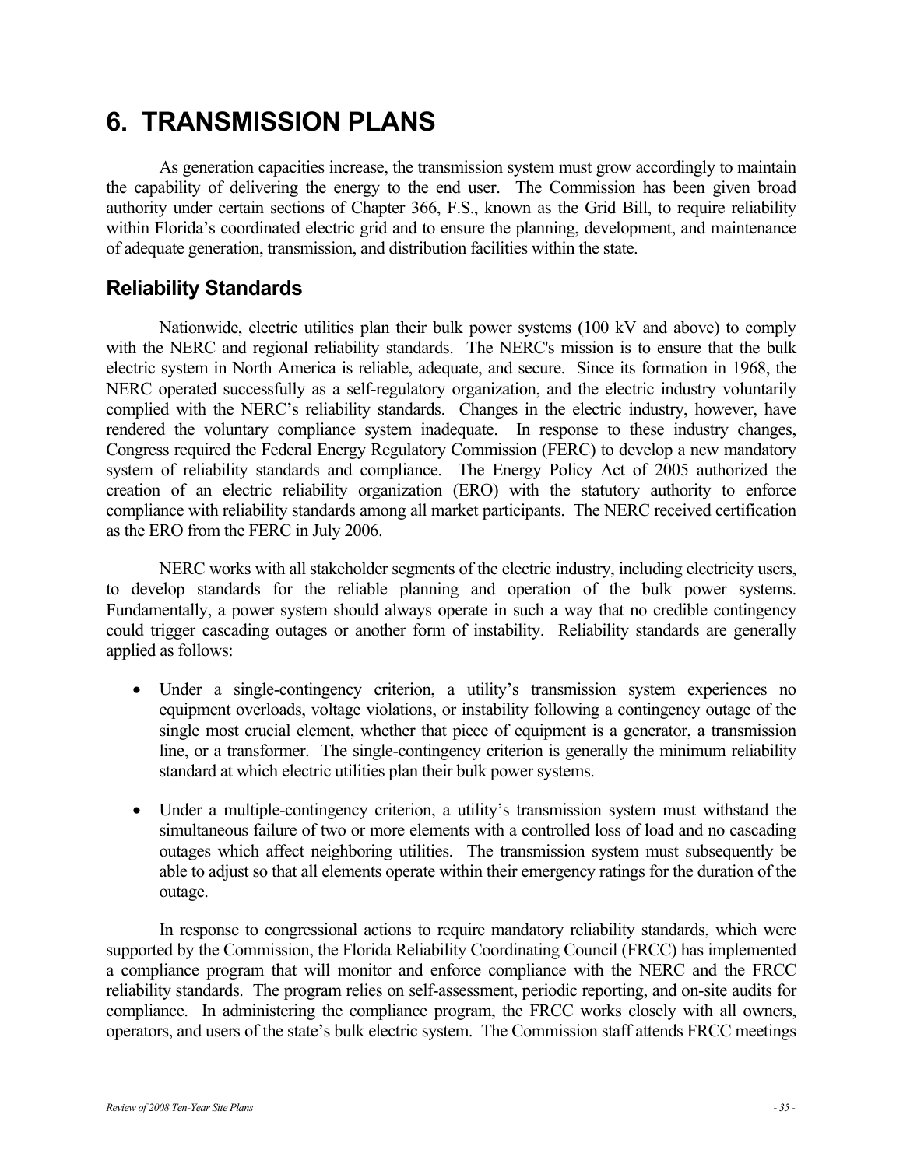## **6. TRANSMISSION PLANS**

As generation capacities increase, the transmission system must grow accordingly to maintain the capability of delivering the energy to the end user. The Commission has been given broad authority under certain sections of Chapter 366, F.S., known as the Grid Bill, to require reliability within Florida's coordinated electric grid and to ensure the planning, development, and maintenance of adequate generation, transmission, and distribution facilities within the state.

## **Reliability Standards**

Nationwide, electric utilities plan their bulk power systems (100 kV and above) to comply with the NERC and regional reliability standards. The NERC's mission is to ensure that the bulk electric system in North America is reliable, adequate, and secure. Since its formation in 1968, the NERC operated successfully as a self-regulatory organization, and the electric industry voluntarily complied with the NERC's reliability standards. Changes in the electric industry, however, have rendered the voluntary compliance system inadequate. In response to these industry changes, Congress required the Federal Energy Regulatory Commission (FERC) to develop a new mandatory system of reliability standards and compliance. The Energy Policy Act of 2005 authorized the creation of an electric reliability organization (ERO) with the statutory authority to enforce compliance with reliability standards among all market participants. The NERC received certification as the ERO from the FERC in July 2006.

NERC works with all stakeholder segments of the electric industry, including electricity users, to develop standards for the reliable planning and operation of the bulk power systems. Fundamentally, a power system should always operate in such a way that no credible contingency could trigger cascading outages or another form of instability. Reliability standards are generally applied as follows:

- Under a single-contingency criterion, a utility's transmission system experiences no equipment overloads, voltage violations, or instability following a contingency outage of the single most crucial element, whether that piece of equipment is a generator, a transmission line, or a transformer. The single-contingency criterion is generally the minimum reliability standard at which electric utilities plan their bulk power systems.
- Under a multiple-contingency criterion, a utility's transmission system must withstand the simultaneous failure of two or more elements with a controlled loss of load and no cascading outages which affect neighboring utilities. The transmission system must subsequently be able to adjust so that all elements operate within their emergency ratings for the duration of the outage.

In response to congressional actions to require mandatory reliability standards, which were supported by the Commission, the Florida Reliability Coordinating Council (FRCC) has implemented a compliance program that will monitor and enforce compliance with the NERC and the FRCC reliability standards. The program relies on self-assessment, periodic reporting, and on-site audits for compliance. In administering the compliance program, the FRCC works closely with all owners, operators, and users of the state's bulk electric system. The Commission staff attends FRCC meetings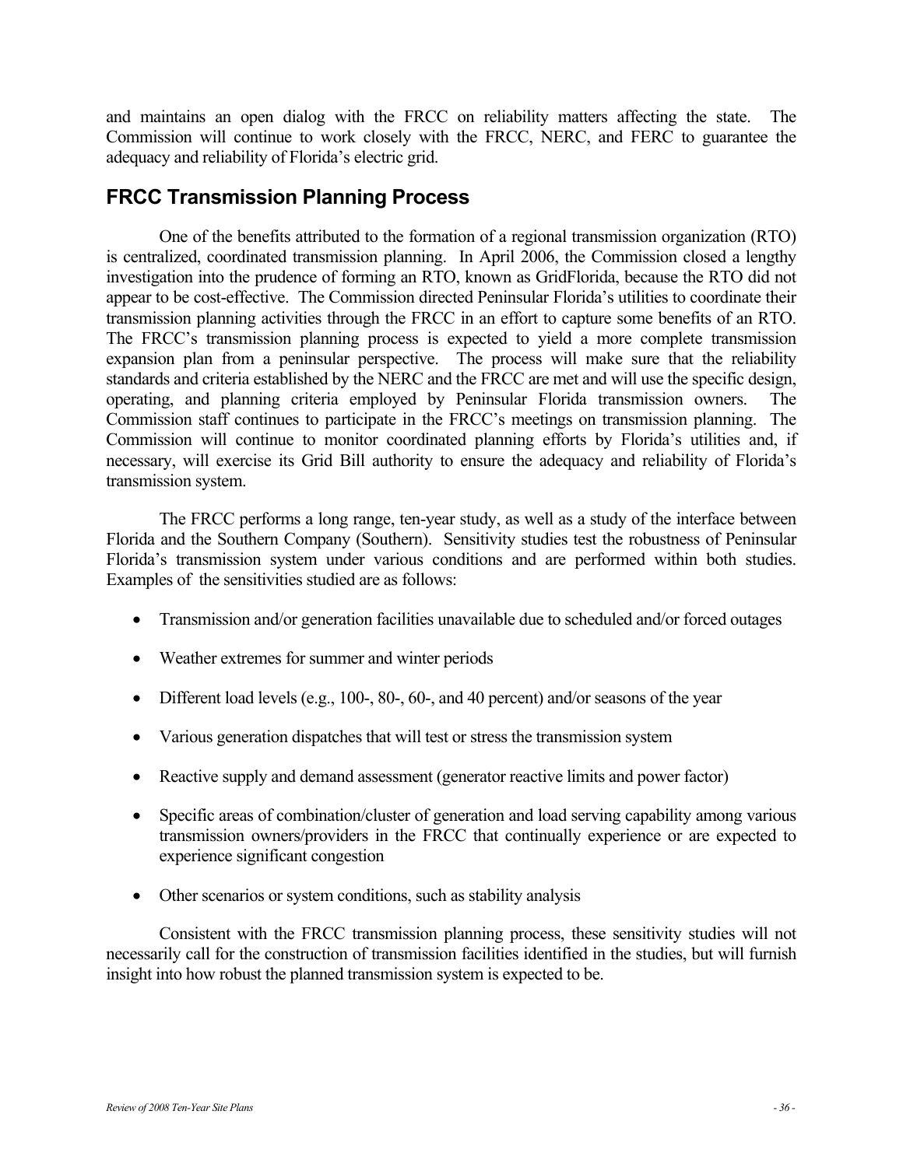and maintains an open dialog with the FRCC on reliability matters affecting the state. The Commission will continue to work closely with the FRCC, NERC, and FERC to guarantee the adequacy and reliability of Florida's electric grid.

## **FRCC Transmission Planning Process**

One of the benefits attributed to the formation of a regional transmission organization (RTO) is centralized, coordinated transmission planning. In April 2006, the Commission closed a lengthy investigation into the prudence of forming an RTO, known as GridFlorida, because the RTO did not appear to be cost-effective. The Commission directed Peninsular Florida's utilities to coordinate their transmission planning activities through the FRCC in an effort to capture some benefits of an RTO. The FRCC's transmission planning process is expected to yield a more complete transmission expansion plan from a peninsular perspective. The process will make sure that the reliability standards and criteria established by the NERC and the FRCC are met and will use the specific design, operating, and planning criteria employed by Peninsular Florida transmission owners. The Commission staff continues to participate in the FRCC's meetings on transmission planning. The Commission will continue to monitor coordinated planning efforts by Florida's utilities and, if necessary, will exercise its Grid Bill authority to ensure the adequacy and reliability of Florida's transmission system.

The FRCC performs a long range, ten-year study, as well as a study of the interface between Florida and the Southern Company (Southern). Sensitivity studies test the robustness of Peninsular Florida's transmission system under various conditions and are performed within both studies. Examples of the sensitivities studied are as follows:

- Transmission and/or generation facilities unavailable due to scheduled and/or forced outages
- Weather extremes for summer and winter periods
- Different load levels (e.g., 100-, 80-, 60-, and 40 percent) and/or seasons of the year
- Various generation dispatches that will test or stress the transmission system
- Reactive supply and demand assessment (generator reactive limits and power factor)
- Specific areas of combination/cluster of generation and load serving capability among various transmission owners/providers in the FRCC that continually experience or are expected to experience significant congestion
- Other scenarios or system conditions, such as stability analysis

Consistent with the FRCC transmission planning process, these sensitivity studies will not necessarily call for the construction of transmission facilities identified in the studies, but will furnish insight into how robust the planned transmission system is expected to be.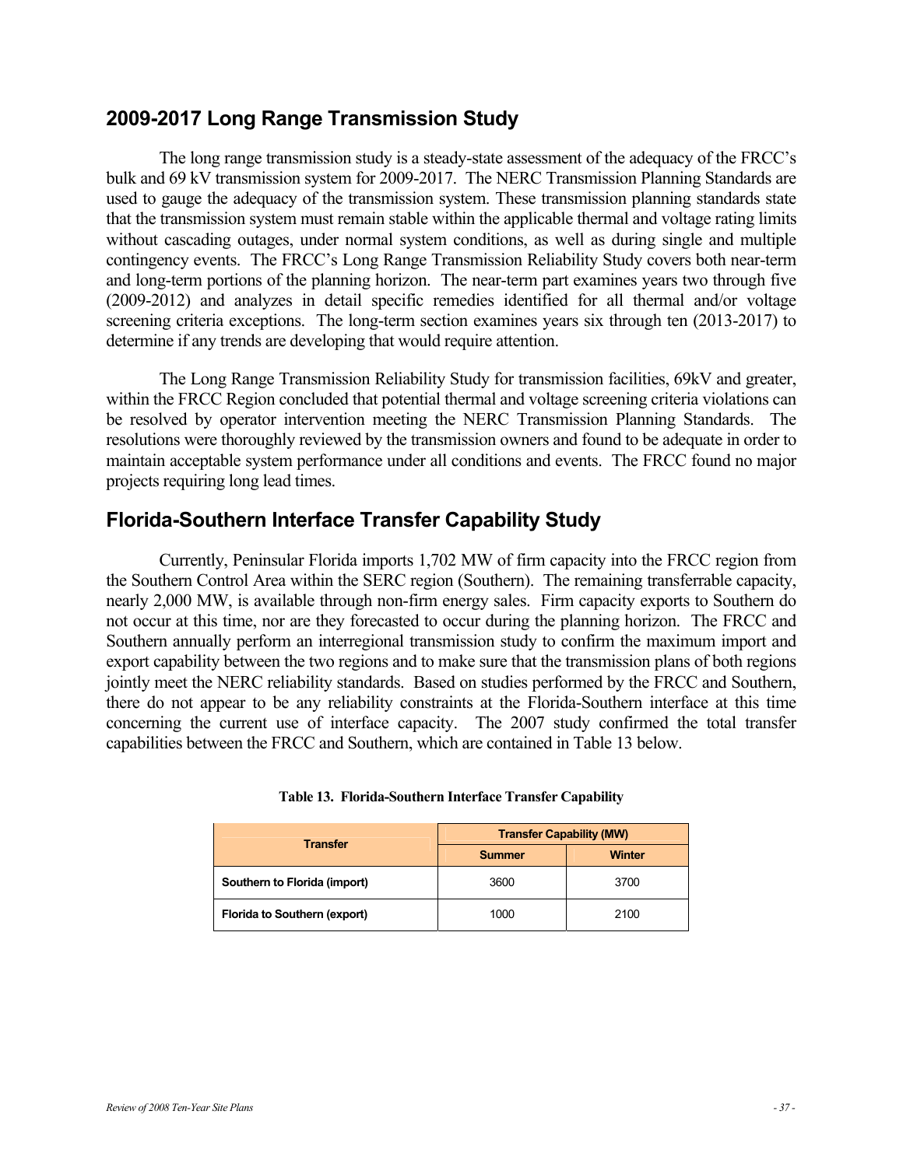### **2009-2017 Long Range Transmission Study**

The long range transmission study is a steady-state assessment of the adequacy of the FRCC's bulk and 69 kV transmission system for 2009-2017. The NERC Transmission Planning Standards are used to gauge the adequacy of the transmission system. These transmission planning standards state that the transmission system must remain stable within the applicable thermal and voltage rating limits without cascading outages, under normal system conditions, as well as during single and multiple contingency events. The FRCC's Long Range Transmission Reliability Study covers both near-term and long-term portions of the planning horizon. The near-term part examines years two through five (2009-2012) and analyzes in detail specific remedies identified for all thermal and/or voltage screening criteria exceptions. The long-term section examines years six through ten (2013-2017) to determine if any trends are developing that would require attention.

The Long Range Transmission Reliability Study for transmission facilities, 69kV and greater, within the FRCC Region concluded that potential thermal and voltage screening criteria violations can be resolved by operator intervention meeting the NERC Transmission Planning Standards. The resolutions were thoroughly reviewed by the transmission owners and found to be adequate in order to maintain acceptable system performance under all conditions and events. The FRCC found no major projects requiring long lead times.

## **Florida-Southern Interface Transfer Capability Study**

Currently, Peninsular Florida imports 1,702 MW of firm capacity into the FRCC region from the Southern Control Area within the SERC region (Southern). The remaining transferrable capacity, nearly 2,000 MW, is available through non-firm energy sales. Firm capacity exports to Southern do not occur at this time, nor are they forecasted to occur during the planning horizon. The FRCC and Southern annually perform an interregional transmission study to confirm the maximum import and export capability between the two regions and to make sure that the transmission plans of both regions jointly meet the NERC reliability standards. Based on studies performed by the FRCC and Southern, there do not appear to be any reliability constraints at the Florida-Southern interface at this time concerning the current use of interface capacity. The 2007 study confirmed the total transfer capabilities between the FRCC and Southern, which are contained in Table 13 below.

| <b>Transfer</b>              | <b>Transfer Capability (MW)</b> |        |  |  |
|------------------------------|---------------------------------|--------|--|--|
|                              | <b>Summer</b>                   | Winter |  |  |
| Southern to Florida (import) | 3600                            | 3700   |  |  |
| Florida to Southern (export) | 1000                            | 2100   |  |  |

#### **Table 13. Florida-Southern Interface Transfer Capability**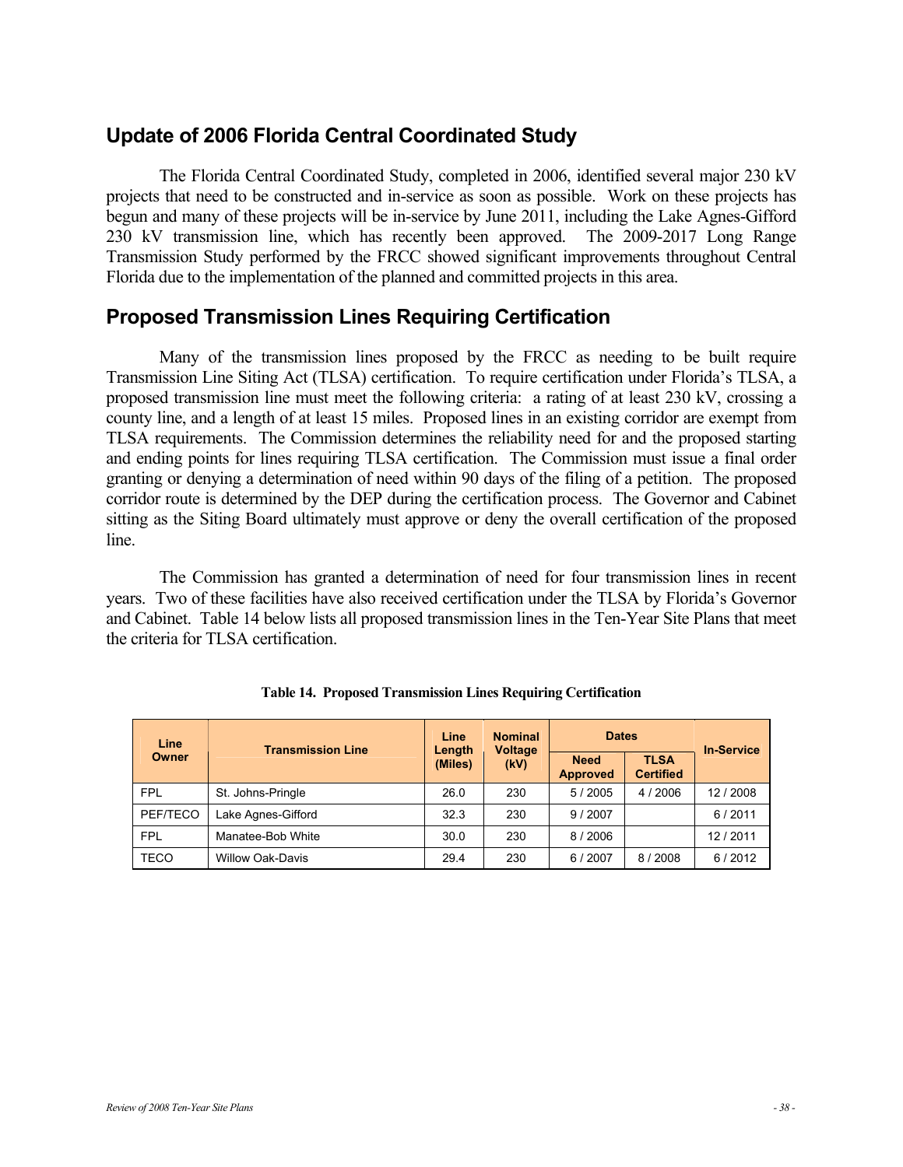## **Update of 2006 Florida Central Coordinated Study**

The Florida Central Coordinated Study, completed in 2006, identified several major 230 kV projects that need to be constructed and in-service as soon as possible. Work on these projects has begun and many of these projects will be in-service by June 2011, including the Lake Agnes-Gifford 230 kV transmission line, which has recently been approved. The 2009-2017 Long Range Transmission Study performed by the FRCC showed significant improvements throughout Central Florida due to the implementation of the planned and committed projects in this area.

## **Proposed Transmission Lines Requiring Certification**

Many of the transmission lines proposed by the FRCC as needing to be built require Transmission Line Siting Act (TLSA) certification. To require certification under Florida's TLSA, a proposed transmission line must meet the following criteria: a rating of at least 230 kV, crossing a county line, and a length of at least 15 miles. Proposed lines in an existing corridor are exempt from TLSA requirements. The Commission determines the reliability need for and the proposed starting and ending points for lines requiring TLSA certification. The Commission must issue a final order granting or denying a determination of need within 90 days of the filing of a petition. The proposed corridor route is determined by the DEP during the certification process. The Governor and Cabinet sitting as the Siting Board ultimately must approve or deny the overall certification of the proposed line.

The Commission has granted a determination of need for four transmission lines in recent years. Two of these facilities have also received certification under the TLSA by Florida's Governor and Cabinet. Table 14 below lists all proposed transmission lines in the Ten-Year Site Plans that meet the criteria for TLSA certification.

| Line<br><b>Owner</b> | <b>Transmission Line</b> | <b>Nominal</b><br>Line<br><b>Voltage</b><br>Length<br>(Miles)<br>(kV) |                                | <b>Dates</b>                    |          | <b>In-Service</b> |
|----------------------|--------------------------|-----------------------------------------------------------------------|--------------------------------|---------------------------------|----------|-------------------|
|                      |                          |                                                                       | <b>Need</b><br><b>Approved</b> | <b>TLSA</b><br><b>Certified</b> |          |                   |
| <b>FPL</b>           | St. Johns-Pringle        | 26.0                                                                  | 230                            | 5/2005                          | 4 / 2006 | 12/2008           |
| PEF/TECO             | Lake Agnes-Gifford       | 32.3                                                                  | 230                            | 9/2007                          |          | 6/2011            |
| <b>FPL</b>           | Manatee-Bob White        | 30.0                                                                  | 230                            | 8/2006                          |          | 12/2011           |
| TECO                 | <b>Willow Oak-Davis</b>  | 29.4                                                                  | 230                            | 6/2007                          | 8/2008   | 6/2012            |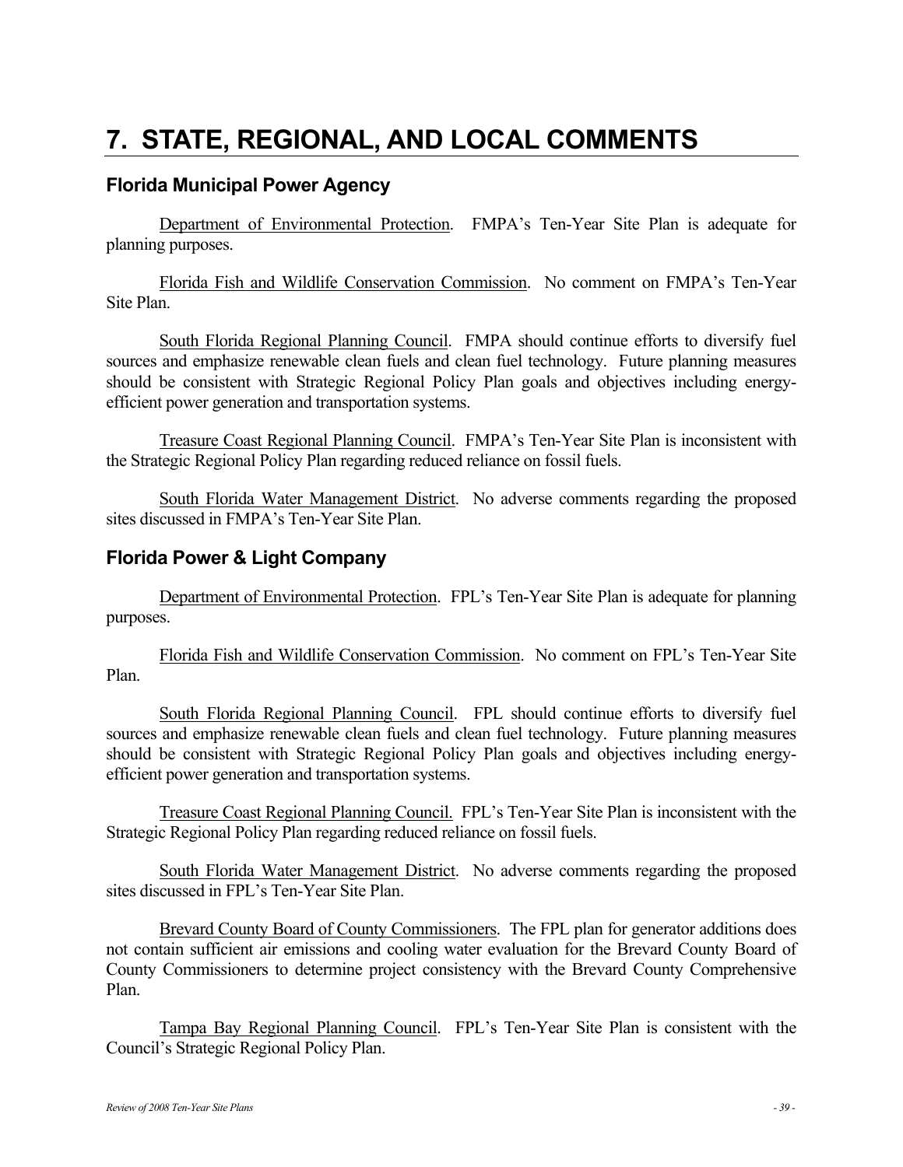## **7. STATE, REGIONAL, AND LOCAL COMMENTS**

### **Florida Municipal Power Agency**

Department of Environmental Protection. FMPA's Ten-Year Site Plan is adequate for planning purposes.

Florida Fish and Wildlife Conservation Commission. No comment on FMPA's Ten-Year Site Plan.

South Florida Regional Planning Council. FMPA should continue efforts to diversify fuel sources and emphasize renewable clean fuels and clean fuel technology. Future planning measures should be consistent with Strategic Regional Policy Plan goals and objectives including energyefficient power generation and transportation systems.

Treasure Coast Regional Planning Council. FMPA's Ten-Year Site Plan is inconsistent with the Strategic Regional Policy Plan regarding reduced reliance on fossil fuels.

South Florida Water Management District. No adverse comments regarding the proposed sites discussed in FMPA's Ten-Year Site Plan.

### **Florida Power & Light Company**

Department of Environmental Protection. FPL's Ten-Year Site Plan is adequate for planning purposes.

Florida Fish and Wildlife Conservation Commission. No comment on FPL's Ten-Year Site Plan.

South Florida Regional Planning Council. FPL should continue efforts to diversify fuel sources and emphasize renewable clean fuels and clean fuel technology. Future planning measures should be consistent with Strategic Regional Policy Plan goals and objectives including energyefficient power generation and transportation systems.

Treasure Coast Regional Planning Council. FPL's Ten-Year Site Plan is inconsistent with the Strategic Regional Policy Plan regarding reduced reliance on fossil fuels.

South Florida Water Management District. No adverse comments regarding the proposed sites discussed in FPL's Ten-Year Site Plan.

Brevard County Board of County Commissioners. The FPL plan for generator additions does not contain sufficient air emissions and cooling water evaluation for the Brevard County Board of County Commissioners to determine project consistency with the Brevard County Comprehensive Plan.

Tampa Bay Regional Planning Council. FPL's Ten-Year Site Plan is consistent with the Council's Strategic Regional Policy Plan.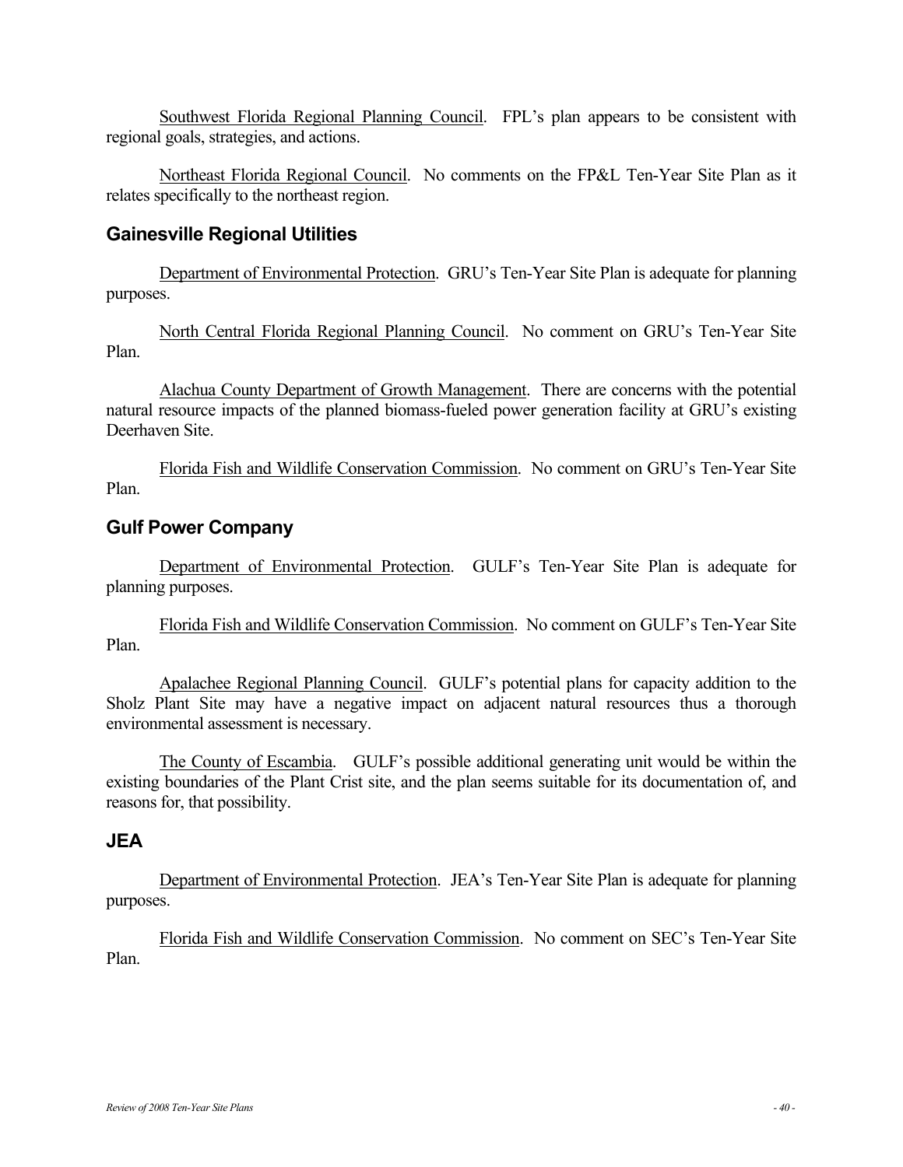Southwest Florida Regional Planning Council. FPL's plan appears to be consistent with regional goals, strategies, and actions.

Northeast Florida Regional Council. No comments on the FP&L Ten-Year Site Plan as it relates specifically to the northeast region.

### **Gainesville Regional Utilities**

Department of Environmental Protection. GRU's Ten-Year Site Plan is adequate for planning purposes.

North Central Florida Regional Planning Council. No comment on GRU's Ten-Year Site Plan.

Alachua County Department of Growth Management. There are concerns with the potential natural resource impacts of the planned biomass-fueled power generation facility at GRU's existing Deerhaven Site.

Florida Fish and Wildlife Conservation Commission. No comment on GRU's Ten-Year Site Plan.

### **Gulf Power Company**

Department of Environmental Protection. GULF's Ten-Year Site Plan is adequate for planning purposes.

Florida Fish and Wildlife Conservation Commission. No comment on GULF's Ten-Year Site Plan.

Apalachee Regional Planning Council. GULF's potential plans for capacity addition to the Sholz Plant Site may have a negative impact on adjacent natural resources thus a thorough environmental assessment is necessary.

The County of Escambia. GULF's possible additional generating unit would be within the existing boundaries of the Plant Crist site, and the plan seems suitable for its documentation of, and reasons for, that possibility.

#### **JEA**

Department of Environmental Protection. JEA's Ten-Year Site Plan is adequate for planning purposes.

Florida Fish and Wildlife Conservation Commission. No comment on SEC's Ten-Year Site Plan.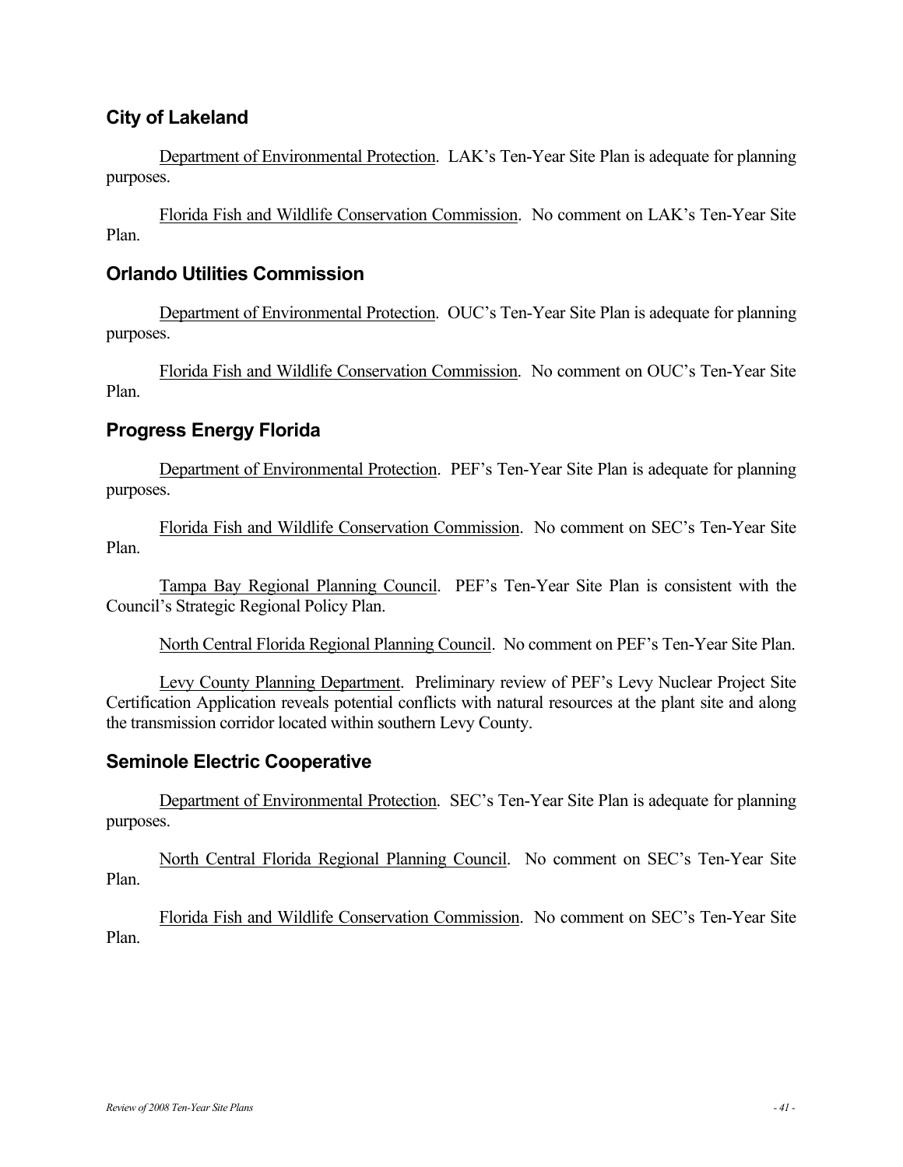## **City of Lakeland**

Department of Environmental Protection. LAK's Ten-Year Site Plan is adequate for planning purposes.

Florida Fish and Wildlife Conservation Commission. No comment on LAK's Ten-Year Site Plan.

### **Orlando Utilities Commission**

Department of Environmental Protection. OUC's Ten-Year Site Plan is adequate for planning purposes.

Florida Fish and Wildlife Conservation Commission. No comment on OUC's Ten-Year Site Plan.

## **Progress Energy Florida**

Department of Environmental Protection. PEF's Ten-Year Site Plan is adequate for planning purposes.

Florida Fish and Wildlife Conservation Commission. No comment on SEC's Ten-Year Site Plan.

Tampa Bay Regional Planning Council. PEF's Ten-Year Site Plan is consistent with the Council's Strategic Regional Policy Plan.

North Central Florida Regional Planning Council. No comment on PEF's Ten-Year Site Plan.

Levy County Planning Department. Preliminary review of PEF's Levy Nuclear Project Site Certification Application reveals potential conflicts with natural resources at the plant site and along the transmission corridor located within southern Levy County.

### **Seminole Electric Cooperative**

Department of Environmental Protection. SEC's Ten-Year Site Plan is adequate for planning purposes.

North Central Florida Regional Planning Council. No comment on SEC's Ten-Year Site Plan.

Florida Fish and Wildlife Conservation Commission. No comment on SEC's Ten-Year Site Plan.